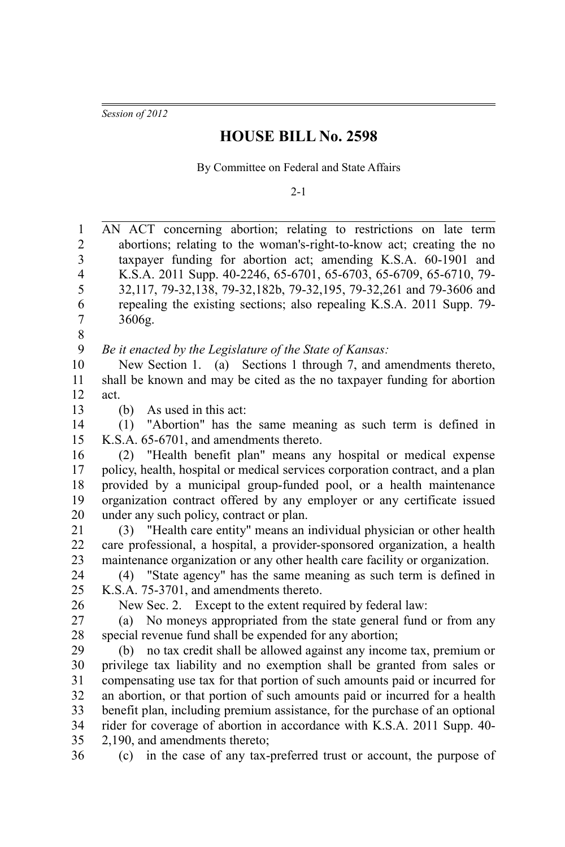*Session of 2012*

## **HOUSE BILL No. 2598**

By Committee on Federal and State Affairs

2-1

| $\mathbf{1}$   | AN ACT concerning abortion; relating to restrictions on late term             |
|----------------|-------------------------------------------------------------------------------|
| $\sqrt{2}$     | abortions; relating to the woman's-right-to-know act; creating the no         |
| $\overline{3}$ | taxpayer funding for abortion act; amending K.S.A. 60-1901 and                |
| $\overline{4}$ | K.S.A. 2011 Supp. 40-2246, 65-6701, 65-6703, 65-6709, 65-6710, 79-            |
| 5              | 32,117, 79-32,138, 79-32,182b, 79-32,195, 79-32,261 and 79-3606 and           |
| 6              | repealing the existing sections; also repealing K.S.A. 2011 Supp. 79-         |
| $\overline{7}$ | 3606g.                                                                        |
| 8              |                                                                               |
| 9              | Be it enacted by the Legislature of the State of Kansas:                      |
| 10             | New Section 1. (a) Sections 1 through 7, and amendments thereto,              |
| 11             | shall be known and may be cited as the no taxpayer funding for abortion       |
| 12             | act.                                                                          |
| 13             | (b)<br>As used in this act:                                                   |
| 14             | (1) "Abortion" has the same meaning as such term is defined in                |
| 15             | K.S.A. 65-6701, and amendments thereto.                                       |
| 16             | "Health benefit plan" means any hospital or medical expense<br>(2)            |
| 17             | policy, health, hospital or medical services corporation contract, and a plan |
| 18             | provided by a municipal group-funded pool, or a health maintenance            |
| 19             | organization contract offered by any employer or any certificate issued       |
| 20             | under any such policy, contract or plan.                                      |
| 21             | (3) "Health care entity" means an individual physician or other health        |
| 22             | care professional, a hospital, a provider-sponsored organization, a health    |
| 23             | maintenance organization or any other health care facility or organization.   |
| 24             | (4) "State agency" has the same meaning as such term is defined in            |
| 25             | K.S.A. 75-3701, and amendments thereto.                                       |
| 26             | New Sec. 2. Except to the extent required by federal law:                     |
| 27             | (a) No moneys appropriated from the state general fund or from any            |
| 28             | special revenue fund shall be expended for any abortion;                      |
| 29             | no tax credit shall be allowed against any income tax, premium or<br>(b)      |
| 30             | privilege tax liability and no exemption shall be granted from sales or       |
| 31             | compensating use tax for that portion of such amounts paid or incurred for    |
| 32             | an abortion, or that portion of such amounts paid or incurred for a health    |
| 33             | benefit plan, including premium assistance, for the purchase of an optional   |
| 34             | rider for coverage of abortion in accordance with K.S.A. 2011 Supp. 40-       |
| 35             | 2,190, and amendments thereto;                                                |
| 36             | (c) in the case of any tax-preferred trust or account, the purpose of         |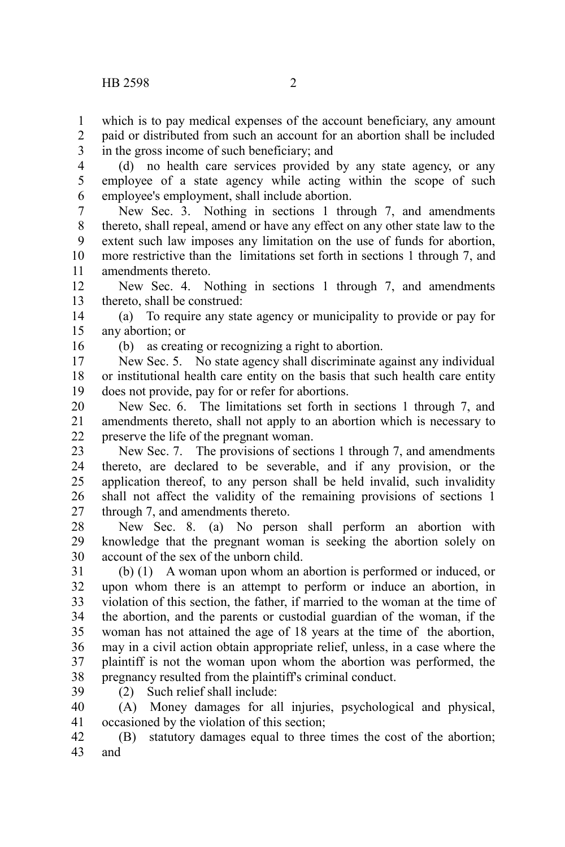which is to pay medical expenses of the account beneficiary, any amount paid or distributed from such an account for an abortion shall be included 1 2

in the gross income of such beneficiary; and 3

(d) no health care services provided by any state agency, or any employee of a state agency while acting within the scope of such employee's employment, shall include abortion. 4 5 6

New Sec. 3. Nothing in sections 1 through 7, and amendments thereto, shall repeal, amend or have any effect on any other state law to the extent such law imposes any limitation on the use of funds for abortion, more restrictive than the limitations set forth in sections 1 through 7, and amendments thereto. 7 8 9 10 11

New Sec. 4. Nothing in sections 1 through 7, and amendments thereto, shall be construed: 12 13

(a) To require any state agency or municipality to provide or pay for any abortion; or 14 15

16

(b) as creating or recognizing a right to abortion.

New Sec. 5. No state agency shall discriminate against any individual or institutional health care entity on the basis that such health care entity does not provide, pay for or refer for abortions. 17 18 19

New Sec. 6. The limitations set forth in sections 1 through 7, and amendments thereto, shall not apply to an abortion which is necessary to preserve the life of the pregnant woman. 20 21 22

New Sec. 7. The provisions of sections 1 through 7, and amendments thereto, are declared to be severable, and if any provision, or the application thereof, to any person shall be held invalid, such invalidity shall not affect the validity of the remaining provisions of sections 1 through 7, and amendments thereto. 23 24 25 26 27

New Sec. 8. (a) No person shall perform an abortion with knowledge that the pregnant woman is seeking the abortion solely on account of the sex of the unborn child. 28 29 30

(b) (1) A woman upon whom an abortion is performed or induced, or upon whom there is an attempt to perform or induce an abortion, in violation of this section, the father, if married to the woman at the time of the abortion, and the parents or custodial guardian of the woman, if the woman has not attained the age of 18 years at the time of the abortion, may in a civil action obtain appropriate relief, unless, in a case where the plaintiff is not the woman upon whom the abortion was performed, the pregnancy resulted from the plaintiff's criminal conduct. 31 32 33 34 35 36 37 38

(2) Such relief shall include: 39

(A) Money damages for all injuries, psychological and physical, occasioned by the violation of this section; 40 41

(B) statutory damages equal to three times the cost of the abortion; and 42 43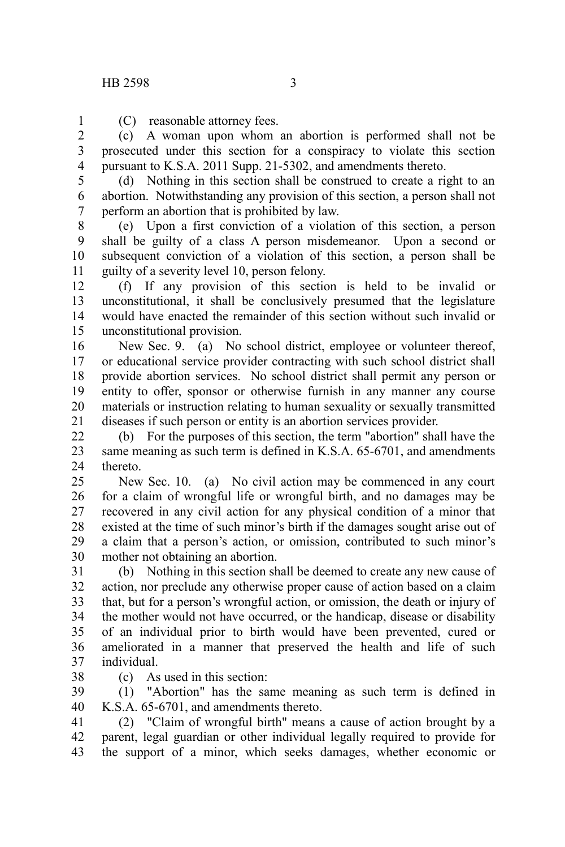(C) reasonable attorney fees.

(c) A woman upon whom an abortion is performed shall not be prosecuted under this section for a conspiracy to violate this section pursuant to K.S.A. 2011 Supp. 21-5302, and amendments thereto. 2 3 4

5

1

(d) Nothing in this section shall be construed to create a right to an abortion. Notwithstanding any provision of this section, a person shall not perform an abortion that is prohibited by law. 6 7

(e) Upon a first conviction of a violation of this section, a person shall be guilty of a class A person misdemeanor. Upon a second or subsequent conviction of a violation of this section, a person shall be guilty of a severity level 10, person felony. 8 9 10 11

(f) If any provision of this section is held to be invalid or unconstitutional, it shall be conclusively presumed that the legislature would have enacted the remainder of this section without such invalid or unconstitutional provision. 12 13 14 15

New Sec. 9. (a) No school district, employee or volunteer thereof, or educational service provider contracting with such school district shall provide abortion services. No school district shall permit any person or entity to offer, sponsor or otherwise furnish in any manner any course materials or instruction relating to human sexuality or sexually transmitted diseases if such person or entity is an abortion services provider. 16 17 18 19 20 21

(b) For the purposes of this section, the term "abortion" shall have the same meaning as such term is defined in K.S.A. 65-6701, and amendments thereto.  $22$ 23 24

New Sec. 10. (a) No civil action may be commenced in any court for a claim of wrongful life or wrongful birth, and no damages may be recovered in any civil action for any physical condition of a minor that existed at the time of such minor's birth if the damages sought arise out of a claim that a person's action, or omission, contributed to such minor's mother not obtaining an abortion.  $25$ 26 27 28 29 30

(b) Nothing in this section shall be deemed to create any new cause of action, nor preclude any otherwise proper cause of action based on a claim that, but for a person's wrongful action, or omission, the death or injury of the mother would not have occurred, or the handicap, disease or disability of an individual prior to birth would have been prevented, cured or ameliorated in a manner that preserved the health and life of such individual. 31 32 33 34 35 36 37

(c) As used in this section: 38

(1) "Abortion" has the same meaning as such term is defined in K.S.A. 65-6701, and amendments thereto. 39 40

(2) "Claim of wrongful birth" means a cause of action brought by a parent, legal guardian or other individual legally required to provide for the support of a minor, which seeks damages, whether economic or 41 42 43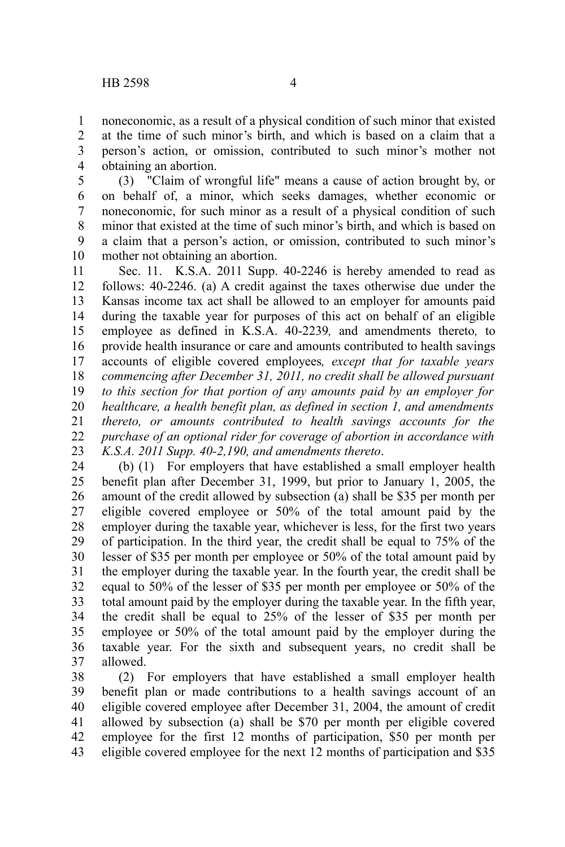noneconomic, as a result of a physical condition of such minor that existed at the time of such minor's birth, and which is based on a claim that a person's action, or omission, contributed to such minor's mother not obtaining an abortion. 1 2 3 4

(3) "Claim of wrongful life" means a cause of action brought by, or on behalf of, a minor, which seeks damages, whether economic or noneconomic, for such minor as a result of a physical condition of such minor that existed at the time of such minor's birth, and which is based on a claim that a person's action, or omission, contributed to such minor's mother not obtaining an abortion. 5 6 7 8 9 10

Sec. 11. K.S.A. 2011 Supp. 40-2246 is hereby amended to read as follows: 40-2246. (a) A credit against the taxes otherwise due under the Kansas income tax act shall be allowed to an employer for amounts paid during the taxable year for purposes of this act on behalf of an eligible employee as defined in K.S.A. 40-2239*,* and amendments thereto*,* to provide health insurance or care and amounts contributed to health savings accounts of eligible covered employees*, except that for taxable years commencing after December 31, 2011, no credit shall be allowed pursuant to this section for that portion of any amounts paid by an employer for healthcare, a health benefit plan, as defined in section 1, and amendments thereto, or amounts contributed to health savings accounts for the purchase of an optional rider for coverage of abortion in accordance with K.S.A. 2011 Supp. 40-2,190, and amendments thereto*. 11 12 13 14 15 16 17 18 19 20 21 22 23

(b) (1) For employers that have established a small employer health benefit plan after December 31, 1999, but prior to January 1, 2005, the amount of the credit allowed by subsection (a) shall be \$35 per month per eligible covered employee or 50% of the total amount paid by the employer during the taxable year, whichever is less, for the first two years of participation. In the third year, the credit shall be equal to 75% of the lesser of \$35 per month per employee or 50% of the total amount paid by the employer during the taxable year. In the fourth year, the credit shall be equal to 50% of the lesser of \$35 per month per employee or 50% of the total amount paid by the employer during the taxable year. In the fifth year, the credit shall be equal to 25% of the lesser of \$35 per month per employee or 50% of the total amount paid by the employer during the taxable year. For the sixth and subsequent years, no credit shall be allowed. 24 25 26 27 28 29 30 31 32 33 34 35 36 37

(2) For employers that have established a small employer health benefit plan or made contributions to a health savings account of an eligible covered employee after December 31, 2004, the amount of credit allowed by subsection (a) shall be \$70 per month per eligible covered employee for the first 12 months of participation, \$50 per month per eligible covered employee for the next 12 months of participation and \$35 38 39 40 41 42 43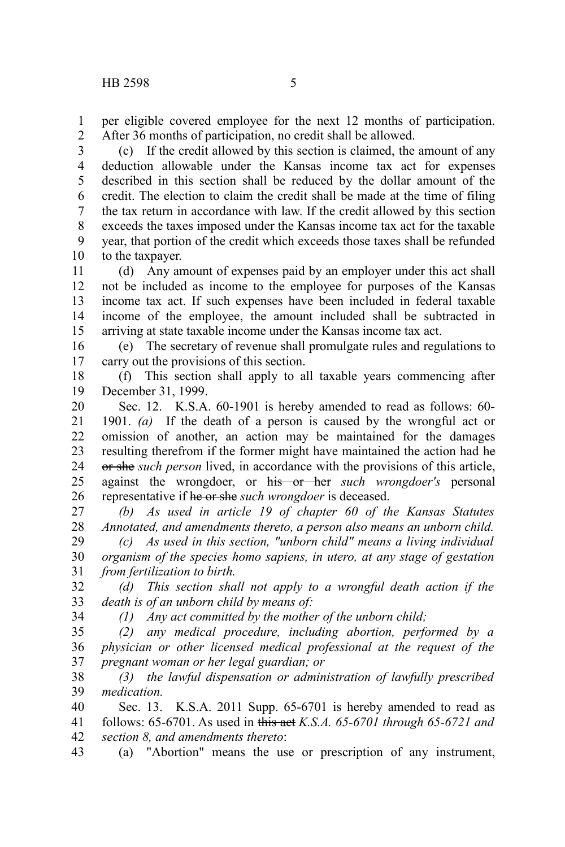per eligible covered employee for the next 12 months of participation. After 36 months of participation, no credit shall be allowed. 1 2

(c) If the credit allowed by this section is claimed, the amount of any deduction allowable under the Kansas income tax act for expenses described in this section shall be reduced by the dollar amount of the credit. The election to claim the credit shall be made at the time of filing the tax return in accordance with law. If the credit allowed by this section exceeds the taxes imposed under the Kansas income tax act for the taxable year, that portion of the credit which exceeds those taxes shall be refunded to the taxpayer. 3 4 5 6 7 8 9 10

(d) Any amount of expenses paid by an employer under this act shall not be included as income to the employee for purposes of the Kansas income tax act. If such expenses have been included in federal taxable income of the employee, the amount included shall be subtracted in arriving at state taxable income under the Kansas income tax act. 11 12 13 14 15

(e) The secretary of revenue shall promulgate rules and regulations to carry out the provisions of this section. 16 17

(f) This section shall apply to all taxable years commencing after December 31, 1999. 18 19

Sec. 12. K.S.A. 60-1901 is hereby amended to read as follows: 60- 1901. *(a)* If the death of a person is caused by the wrongful act or omission of another, an action may be maintained for the damages resulting therefrom if the former might have maintained the action had he or she *such person* lived, in accordance with the provisions of this article, against the wrongdoer, or his or her *such wrongdoer's* personal representative if he or she *such wrongdoer* is deceased. 20 21 22 23 24 25 26

*(b) As used in article 19 of chapter 60 of the Kansas Statutes Annotated, and amendments thereto, a person also means an unborn child. (c) As used in this section, "unborn child" means a living individual organism of the species homo sapiens, in utero, at any stage of gestation from fertilization to birth.* 27 28 29 30 31

*(d) This section shall not apply to a wrongful death action if the death is of an unborn child by means of:* 32 33

34

*(1) Any act committed by the mother of the unborn child;*

*(2) any medical procedure, including abortion, performed by a physician or other licensed medical professional at the request of the pregnant woman or her legal guardian; or* 35 36 37

*(3) the lawful dispensation or administration of lawfully prescribed medication.* 38 39

Sec. 13. K.S.A. 2011 Supp. 65-6701 is hereby amended to read as follows: 65-6701. As used in this act *K.S.A. 65-6701 through 65-6721 and section 8, and amendments thereto*: 40 41 42

(a) "Abortion" means the use or prescription of any instrument, 43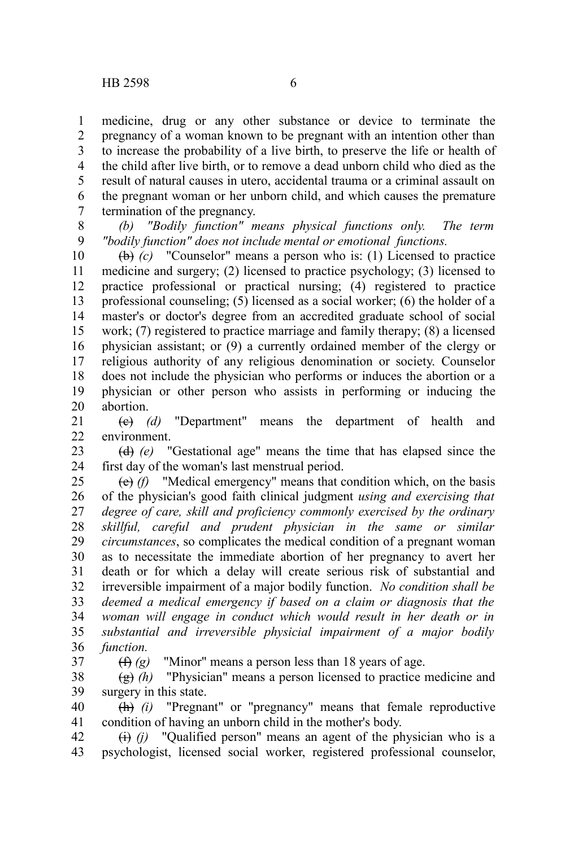medicine, drug or any other substance or device to terminate the pregnancy of a woman known to be pregnant with an intention other than to increase the probability of a live birth, to preserve the life or health of the child after live birth, or to remove a dead unborn child who died as the result of natural causes in utero, accidental trauma or a criminal assault on the pregnant woman or her unborn child, and which causes the premature termination of the pregnancy. 1 2 3 4 5 6 7

*(b) "Bodily function" means physical functions only. The term "bodily function" does not include mental or emotional functions.* 8 9

(b) *(c)* "Counselor" means a person who is: (1) Licensed to practice medicine and surgery; (2) licensed to practice psychology; (3) licensed to practice professional or practical nursing; (4) registered to practice professional counseling; (5) licensed as a social worker; (6) the holder of a master's or doctor's degree from an accredited graduate school of social work; (7) registered to practice marriage and family therapy; (8) a licensed physician assistant; or (9) a currently ordained member of the clergy or religious authority of any religious denomination or society. Counselor does not include the physician who performs or induces the abortion or a physician or other person who assists in performing or inducing the abortion. 10 11 12 13 14 15 16 17 18 19 20

(c) *(d)* "Department" means the department of health and environment. 21 22

(d) *(e)* "Gestational age" means the time that has elapsed since the first day of the woman's last menstrual period. 23 24

(e) *(f)* "Medical emergency" means that condition which, on the basis of the physician's good faith clinical judgment *using and exercising that degree of care, skill and proficiency commonly exercised by the ordinary skillful, careful and prudent physician in the same or similar circumstances*, so complicates the medical condition of a pregnant woman as to necessitate the immediate abortion of her pregnancy to avert her death or for which a delay will create serious risk of substantial and irreversible impairment of a major bodily function. *No condition shall be deemed a medical emergency if based on a claim or diagnosis that the woman will engage in conduct which would result in her death or in substantial and irreversible physicial impairment of a major bodily function.* 25 26 27 28 29 30 31 32 33 34 35 36

37

(f) *(g)* "Minor" means a person less than 18 years of age.

(g) *(h)* "Physician" means a person licensed to practice medicine and surgery in this state. 38 39

(h) *(i)* "Pregnant" or "pregnancy" means that female reproductive condition of having an unborn child in the mother's body. 40 41

 $(i)$  (i) "Qualified person" means an agent of the physician who is a psychologist, licensed social worker, registered professional counselor, 42 43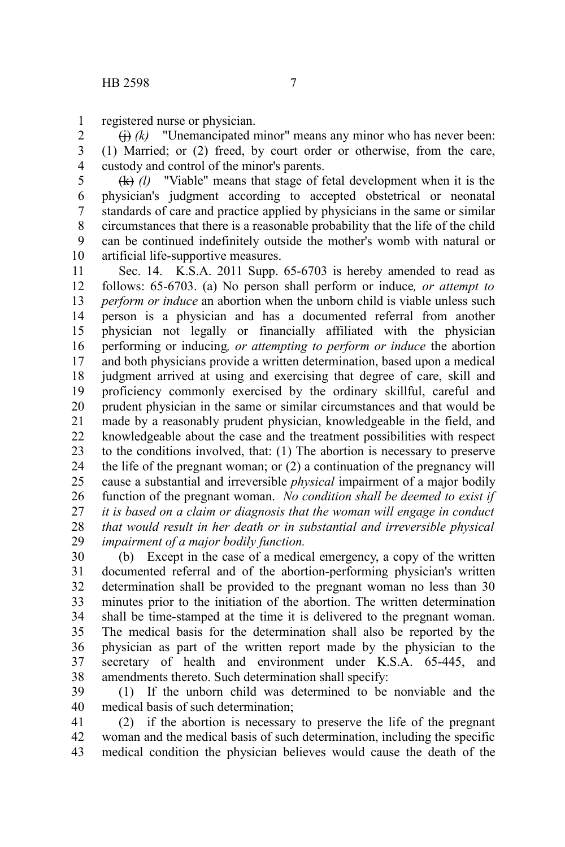registered nurse or physician. 1

 $\overline{(i)}$  (k) "Unemancipated minor" means any minor who has never been: (1) Married; or (2) freed, by court order or otherwise, from the care, custody and control of the minor's parents. 2 3 4

(k) *(l)* "Viable" means that stage of fetal development when it is the physician's judgment according to accepted obstetrical or neonatal standards of care and practice applied by physicians in the same or similar circumstances that there is a reasonable probability that the life of the child can be continued indefinitely outside the mother's womb with natural or artificial life-supportive measures. 5 6 7 8 9 10

Sec. 14. K.S.A. 2011 Supp. 65-6703 is hereby amended to read as follows: 65-6703. (a) No person shall perform or induce*, or attempt to perform or induce* an abortion when the unborn child is viable unless such person is a physician and has a documented referral from another physician not legally or financially affiliated with the physician performing or inducing*, or attempting to perform or induce* the abortion and both physicians provide a written determination, based upon a medical judgment arrived at using and exercising that degree of care, skill and proficiency commonly exercised by the ordinary skillful, careful and prudent physician in the same or similar circumstances and that would be made by a reasonably prudent physician, knowledgeable in the field, and knowledgeable about the case and the treatment possibilities with respect to the conditions involved, that: (1) The abortion is necessary to preserve the life of the pregnant woman; or (2) a continuation of the pregnancy will cause a substantial and irreversible *physical* impairment of a major bodily function of the pregnant woman. *No condition shall be deemed to exist if it is based on a claim or diagnosis that the woman will engage in conduct that would result in her death or in substantial and irreversible physical impairment of a major bodily function.* 11 12 13 14 15 16 17 18 19 20 21 22 23 24 25 26 27 28 29

(b) Except in the case of a medical emergency, a copy of the written documented referral and of the abortion-performing physician's written determination shall be provided to the pregnant woman no less than 30 minutes prior to the initiation of the abortion. The written determination shall be time-stamped at the time it is delivered to the pregnant woman. The medical basis for the determination shall also be reported by the physician as part of the written report made by the physician to the secretary of health and environment under K.S.A. 65-445, and amendments thereto. Such determination shall specify: 30 31 32 33 34 35 36 37 38

(1) If the unborn child was determined to be nonviable and the medical basis of such determination; 39 40

(2) if the abortion is necessary to preserve the life of the pregnant woman and the medical basis of such determination, including the specific medical condition the physician believes would cause the death of the 41 42 43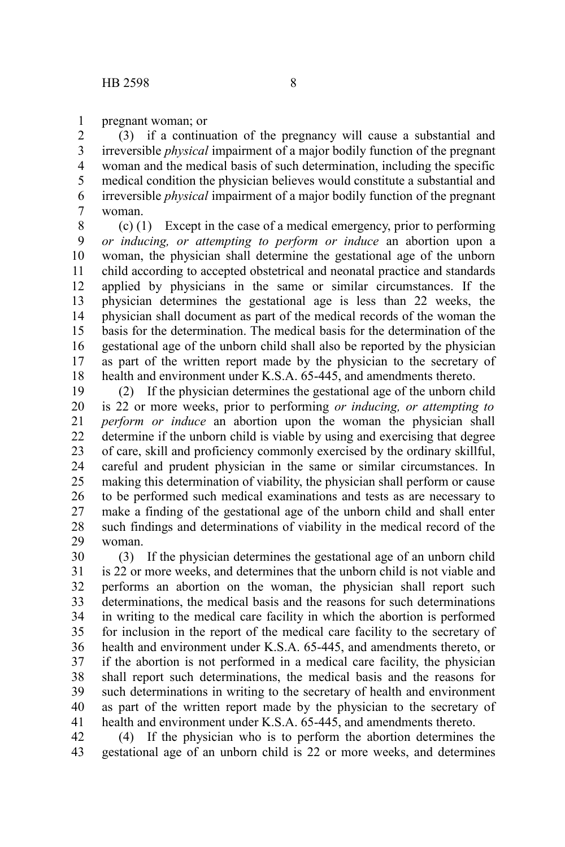pregnant woman; or 1

(3) if a continuation of the pregnancy will cause a substantial and irreversible *physical* impairment of a major bodily function of the pregnant woman and the medical basis of such determination, including the specific medical condition the physician believes would constitute a substantial and irreversible *physical* impairment of a major bodily function of the pregnant woman. 2 3 4 5 6 7

(c) (1) Except in the case of a medical emergency, prior to performing *or inducing, or attempting to perform or induce* an abortion upon a woman, the physician shall determine the gestational age of the unborn child according to accepted obstetrical and neonatal practice and standards applied by physicians in the same or similar circumstances. If the physician determines the gestational age is less than 22 weeks, the physician shall document as part of the medical records of the woman the basis for the determination. The medical basis for the determination of the gestational age of the unborn child shall also be reported by the physician as part of the written report made by the physician to the secretary of health and environment under K.S.A. 65-445, and amendments thereto. 8 9 10 11 12 13 14 15 16 17 18

(2) If the physician determines the gestational age of the unborn child is 22 or more weeks, prior to performing *or inducing, or attempting to perform or induce* an abortion upon the woman the physician shall determine if the unborn child is viable by using and exercising that degree of care, skill and proficiency commonly exercised by the ordinary skillful, careful and prudent physician in the same or similar circumstances. In making this determination of viability, the physician shall perform or cause to be performed such medical examinations and tests as are necessary to make a finding of the gestational age of the unborn child and shall enter such findings and determinations of viability in the medical record of the woman. 19 20 21 22 23 24 25 26 27 28 29

(3) If the physician determines the gestational age of an unborn child is 22 or more weeks, and determines that the unborn child is not viable and performs an abortion on the woman, the physician shall report such determinations, the medical basis and the reasons for such determinations in writing to the medical care facility in which the abortion is performed for inclusion in the report of the medical care facility to the secretary of health and environment under K.S.A. 65-445, and amendments thereto, or if the abortion is not performed in a medical care facility, the physician shall report such determinations, the medical basis and the reasons for such determinations in writing to the secretary of health and environment as part of the written report made by the physician to the secretary of health and environment under K.S.A. 65-445, and amendments thereto. 30 31 32 33 34 35 36 37 38 39 40 41

(4) If the physician who is to perform the abortion determines the gestational age of an unborn child is 22 or more weeks, and determines 42 43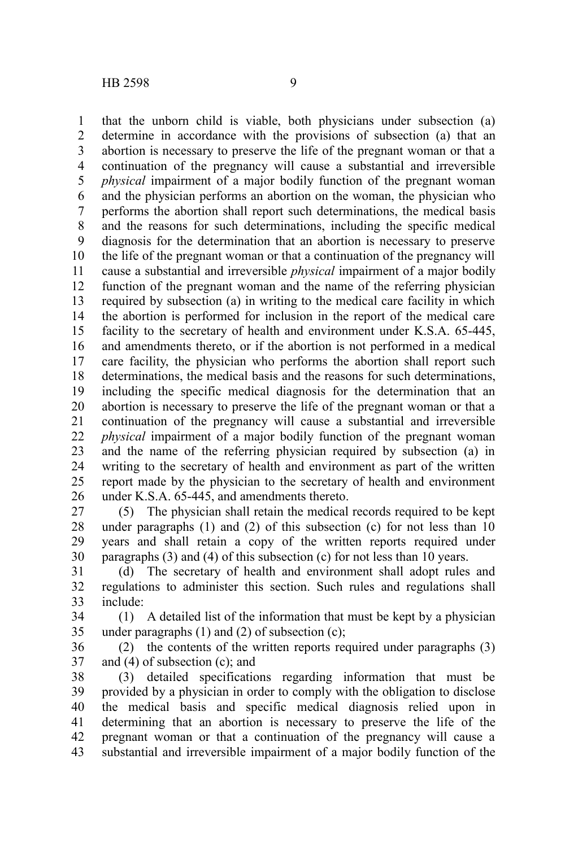that the unborn child is viable, both physicians under subsection (a) determine in accordance with the provisions of subsection (a) that an abortion is necessary to preserve the life of the pregnant woman or that a continuation of the pregnancy will cause a substantial and irreversible *physical* impairment of a major bodily function of the pregnant woman and the physician performs an abortion on the woman, the physician who performs the abortion shall report such determinations, the medical basis and the reasons for such determinations, including the specific medical diagnosis for the determination that an abortion is necessary to preserve the life of the pregnant woman or that a continuation of the pregnancy will cause a substantial and irreversible *physical* impairment of a major bodily function of the pregnant woman and the name of the referring physician required by subsection (a) in writing to the medical care facility in which the abortion is performed for inclusion in the report of the medical care facility to the secretary of health and environment under K.S.A. 65-445, and amendments thereto, or if the abortion is not performed in a medical care facility, the physician who performs the abortion shall report such determinations, the medical basis and the reasons for such determinations, including the specific medical diagnosis for the determination that an abortion is necessary to preserve the life of the pregnant woman or that a continuation of the pregnancy will cause a substantial and irreversible *physical* impairment of a major bodily function of the pregnant woman and the name of the referring physician required by subsection (a) in writing to the secretary of health and environment as part of the written report made by the physician to the secretary of health and environment under K.S.A. 65-445, and amendments thereto. 1 2 3 4 5 6 7 8 9 10 11 12 13 14 15 16 17 18 19 20 21 22 23 24 25 26

(5) The physician shall retain the medical records required to be kept under paragraphs (1) and (2) of this subsection (c) for not less than 10 years and shall retain a copy of the written reports required under paragraphs (3) and (4) of this subsection (c) for not less than 10 years. 27 28 29 30

(d) The secretary of health and environment shall adopt rules and regulations to administer this section. Such rules and regulations shall include: 31 32 33

(1) A detailed list of the information that must be kept by a physician under paragraphs  $(1)$  and  $(2)$  of subsection  $(c)$ ; 34 35

(2) the contents of the written reports required under paragraphs (3) and (4) of subsection (c); and 36 37

(3) detailed specifications regarding information that must be provided by a physician in order to comply with the obligation to disclose the medical basis and specific medical diagnosis relied upon in determining that an abortion is necessary to preserve the life of the pregnant woman or that a continuation of the pregnancy will cause a substantial and irreversible impairment of a major bodily function of the 38 39 40 41 42 43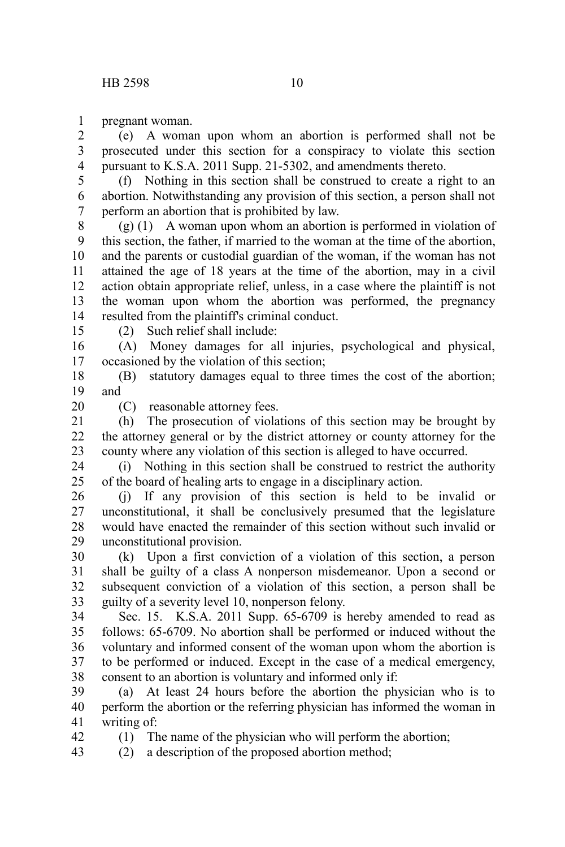pregnant woman. 1

(e) A woman upon whom an abortion is performed shall not be prosecuted under this section for a conspiracy to violate this section pursuant to K.S.A. 2011 Supp. 21-5302, and amendments thereto. 2 3 4

(f) Nothing in this section shall be construed to create a right to an abortion. Notwithstanding any provision of this section, a person shall not perform an abortion that is prohibited by law. 5 6 7

(g) (1) A woman upon whom an abortion is performed in violation of this section, the father, if married to the woman at the time of the abortion, and the parents or custodial guardian of the woman, if the woman has not attained the age of 18 years at the time of the abortion, may in a civil action obtain appropriate relief, unless, in a case where the plaintiff is not the woman upon whom the abortion was performed, the pregnancy resulted from the plaintiff's criminal conduct. 8 9 10 11 12 13 14

15

(2) Such relief shall include:

(A) Money damages for all injuries, psychological and physical, occasioned by the violation of this section; 16 17

(B) statutory damages equal to three times the cost of the abortion; and 18 19

20

(C) reasonable attorney fees.

(h) The prosecution of violations of this section may be brought by the attorney general or by the district attorney or county attorney for the county where any violation of this section is alleged to have occurred. 21 22 23

(i) Nothing in this section shall be construed to restrict the authority of the board of healing arts to engage in a disciplinary action. 24  $25$ 

(j) If any provision of this section is held to be invalid or unconstitutional, it shall be conclusively presumed that the legislature would have enacted the remainder of this section without such invalid or unconstitutional provision. 26 27 28 29

(k) Upon a first conviction of a violation of this section, a person shall be guilty of a class A nonperson misdemeanor. Upon a second or subsequent conviction of a violation of this section, a person shall be guilty of a severity level 10, nonperson felony. 30 31 32 33

Sec. 15. K.S.A. 2011 Supp. 65-6709 is hereby amended to read as follows: 65-6709. No abortion shall be performed or induced without the voluntary and informed consent of the woman upon whom the abortion is to be performed or induced. Except in the case of a medical emergency, consent to an abortion is voluntary and informed only if: 34 35 36 37 38

(a) At least 24 hours before the abortion the physician who is to perform the abortion or the referring physician has informed the woman in writing of: 39 40 41

(1) The name of the physician who will perform the abortion; 42

(2) a description of the proposed abortion method; 43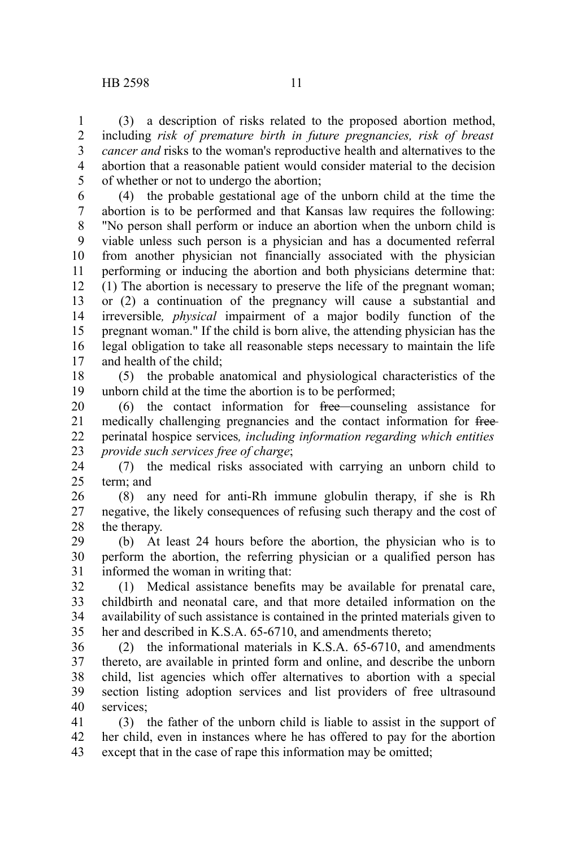(3) a description of risks related to the proposed abortion method, including *risk of premature birth in future pregnancies, risk of breast cancer and* risks to the woman's reproductive health and alternatives to the abortion that a reasonable patient would consider material to the decision of whether or not to undergo the abortion; 1 2 3 4 5

(4) the probable gestational age of the unborn child at the time the abortion is to be performed and that Kansas law requires the following: "No person shall perform or induce an abortion when the unborn child is viable unless such person is a physician and has a documented referral from another physician not financially associated with the physician performing or inducing the abortion and both physicians determine that: (1) The abortion is necessary to preserve the life of the pregnant woman; or (2) a continuation of the pregnancy will cause a substantial and irreversible*, physical* impairment of a major bodily function of the pregnant woman." If the child is born alive, the attending physician has the legal obligation to take all reasonable steps necessary to maintain the life and health of the child: 6 7 8 9 10 11 12 13 14 15 16 17

(5) the probable anatomical and physiological characteristics of the unborn child at the time the abortion is to be performed; 18 19

(6) the contact information for free counseling assistance for medically challenging pregnancies and the contact information for free perinatal hospice services*, including information regarding which entities provide such services free of charge*; 20 21 22 23

(7) the medical risks associated with carrying an unborn child to term; and 24  $25$ 

(8) any need for anti-Rh immune globulin therapy, if she is Rh negative, the likely consequences of refusing such therapy and the cost of the therapy. 26 27 28

(b) At least 24 hours before the abortion, the physician who is to perform the abortion, the referring physician or a qualified person has informed the woman in writing that: 29 30 31

(1) Medical assistance benefits may be available for prenatal care, childbirth and neonatal care, and that more detailed information on the availability of such assistance is contained in the printed materials given to her and described in K.S.A. 65-6710, and amendments thereto; 32 33 34 35

(2) the informational materials in K.S.A. 65-6710, and amendments thereto, are available in printed form and online, and describe the unborn child, list agencies which offer alternatives to abortion with a special section listing adoption services and list providers of free ultrasound services; 36 37 38 39 40

(3) the father of the unborn child is liable to assist in the support of her child, even in instances where he has offered to pay for the abortion except that in the case of rape this information may be omitted; 41 42 43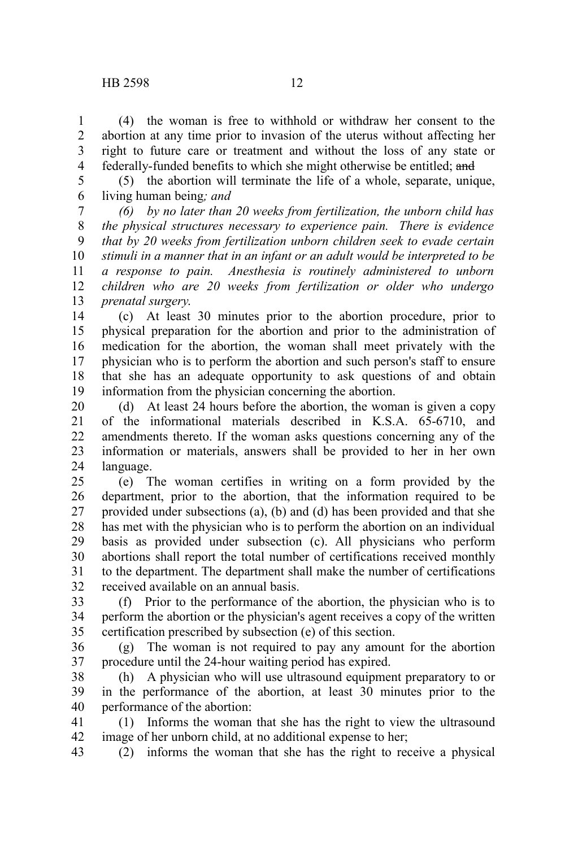(4) the woman is free to withhold or withdraw her consent to the abortion at any time prior to invasion of the uterus without affecting her right to future care or treatment and without the loss of any state or federally-funded benefits to which she might otherwise be entitled; and 1 2 3 4

(5) the abortion will terminate the life of a whole, separate, unique, living human being*; and* 5 6

*(6) by no later than 20 weeks from fertilization, the unborn child has the physical structures necessary to experience pain. There is evidence that by 20 weeks from fertilization unborn children seek to evade certain stimuli in a manner that in an infant or an adult would be interpreted to be a response to pain. Anesthesia is routinely administered to unborn children who are 20 weeks from fertilization or older who undergo prenatal surgery*. 7 8 9 10 11 12 13

(c) At least 30 minutes prior to the abortion procedure, prior to physical preparation for the abortion and prior to the administration of medication for the abortion, the woman shall meet privately with the physician who is to perform the abortion and such person's staff to ensure that she has an adequate opportunity to ask questions of and obtain information from the physician concerning the abortion. 14 15 16 17 18 19

(d) At least 24 hours before the abortion, the woman is given a copy of the informational materials described in K.S.A. 65-6710, and amendments thereto. If the woman asks questions concerning any of the information or materials, answers shall be provided to her in her own language. 20 21 22 23 24

(e) The woman certifies in writing on a form provided by the department, prior to the abortion, that the information required to be provided under subsections (a), (b) and (d) has been provided and that she has met with the physician who is to perform the abortion on an individual basis as provided under subsection (c). All physicians who perform abortions shall report the total number of certifications received monthly to the department. The department shall make the number of certifications received available on an annual basis. 25 26 27 28 29 30 31 32

(f) Prior to the performance of the abortion, the physician who is to perform the abortion or the physician's agent receives a copy of the written certification prescribed by subsection (e) of this section. 33 34 35

(g) The woman is not required to pay any amount for the abortion procedure until the 24-hour waiting period has expired. 36 37

(h) A physician who will use ultrasound equipment preparatory to or in the performance of the abortion, at least 30 minutes prior to the performance of the abortion: 38 39 40

(1) Informs the woman that she has the right to view the ultrasound image of her unborn child, at no additional expense to her; 41 42

(2) informs the woman that she has the right to receive a physical 43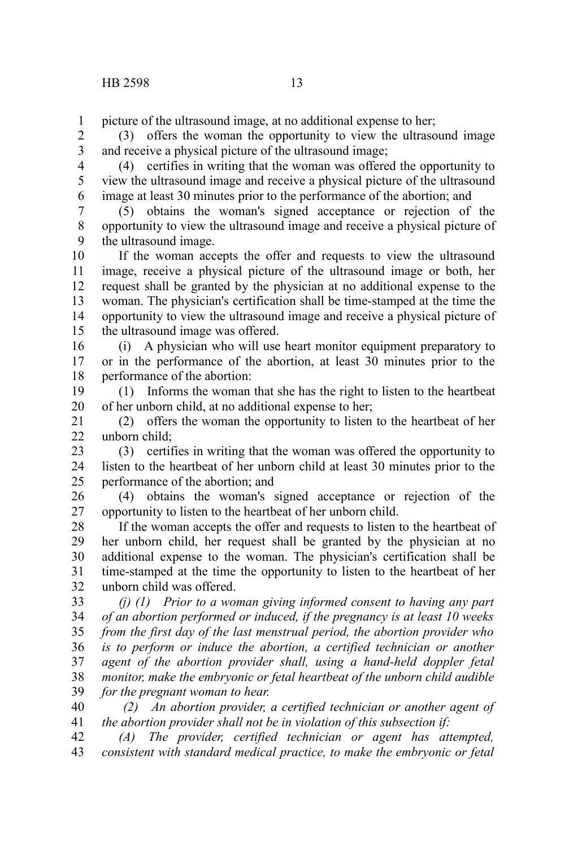picture of the ultrasound image, at no additional expense to her; 1

(3) offers the woman the opportunity to view the ultrasound image and receive a physical picture of the ultrasound image; 2 3

(4) certifies in writing that the woman was offered the opportunity to view the ultrasound image and receive a physical picture of the ultrasound image at least 30 minutes prior to the performance of the abortion; and 4 5 6

(5) obtains the woman's signed acceptance or rejection of the opportunity to view the ultrasound image and receive a physical picture of the ultrasound image. 7 8 9

If the woman accepts the offer and requests to view the ultrasound image, receive a physical picture of the ultrasound image or both, her request shall be granted by the physician at no additional expense to the woman. The physician's certification shall be time-stamped at the time the opportunity to view the ultrasound image and receive a physical picture of the ultrasound image was offered. 10 11 12 13 14 15

(i) A physician who will use heart monitor equipment preparatory to or in the performance of the abortion, at least 30 minutes prior to the performance of the abortion: 16 17 18

(1) Informs the woman that she has the right to listen to the heartbeat of her unborn child, at no additional expense to her; 19 20

(2) offers the woman the opportunity to listen to the heartbeat of her unborn child; 21  $22$ 

(3) certifies in writing that the woman was offered the opportunity to listen to the heartbeat of her unborn child at least 30 minutes prior to the performance of the abortion; and 23 24 25

(4) obtains the woman's signed acceptance or rejection of the opportunity to listen to the heartbeat of her unborn child. 26 27

If the woman accepts the offer and requests to listen to the heartbeat of her unborn child, her request shall be granted by the physician at no additional expense to the woman. The physician's certification shall be time-stamped at the time the opportunity to listen to the heartbeat of her unborn child was offered. 28 29 30 31 32

*(j) (1) Prior to a woman giving informed consent to having any part of an abortion performed or induced, if the pregnancy is at least 10 weeks from the first day of the last menstrual period, the abortion provider who is to perform or induce the abortion, a certified technician or another agent of the abortion provider shall, using a hand-held doppler fetal monitor, make the embryonic or fetal heartbeat of the unborn child audible for the pregnant woman to hear.* 33 34 35 36 37 38 39

 *(2) An abortion provider, a certified technician or another agent of the abortion provider shall not be in violation of this subsection if:* 40 41

*(A) The provider, certified technician or agent has attempted, consistent with standard medical practice, to make the embryonic or fetal* 42 43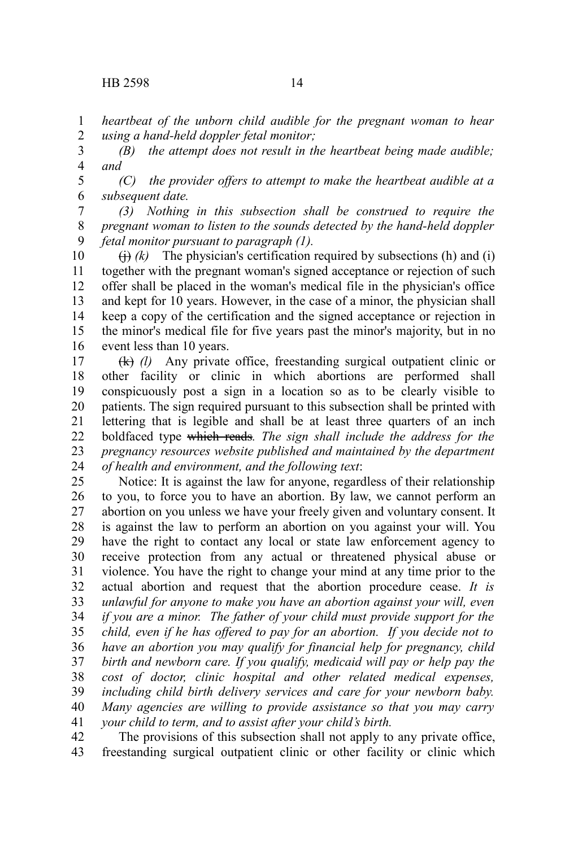*heartbeat of the unborn child audible for the pregnant woman to hear using a hand-held doppler fetal monitor;* 1 2

*(B) the attempt does not result in the heartbeat being made audible; and*  3 4

*(C) the provider offers to attempt to make the heartbeat audible at a subsequent date.* 5 6

*(3) Nothing in this subsection shall be construed to require the pregnant woman to listen to the sounds detected by the hand-held doppler fetal monitor pursuant to paragraph (1).* 7 8 9

 $\overline{(i)}$  (k) The physician's certification required by subsections (h) and (i) together with the pregnant woman's signed acceptance or rejection of such offer shall be placed in the woman's medical file in the physician's office and kept for 10 years. However, in the case of a minor, the physician shall keep a copy of the certification and the signed acceptance or rejection in the minor's medical file for five years past the minor's majority, but in no event less than 10 years. 10 11 12 13 14 15 16

(k) *(l)* Any private office, freestanding surgical outpatient clinic or other facility or clinic in which abortions are performed shall conspicuously post a sign in a location so as to be clearly visible to patients. The sign required pursuant to this subsection shall be printed with lettering that is legible and shall be at least three quarters of an inch boldfaced type which reads*. The sign shall include the address for the pregnancy resources website published and maintained by the department of health and environment, and the following text*: 17 18 19 20 21 22 23 24

Notice: It is against the law for anyone, regardless of their relationship to you, to force you to have an abortion. By law, we cannot perform an abortion on you unless we have your freely given and voluntary consent. It is against the law to perform an abortion on you against your will. You have the right to contact any local or state law enforcement agency to receive protection from any actual or threatened physical abuse or violence. You have the right to change your mind at any time prior to the actual abortion and request that the abortion procedure cease. *It is unlawful for anyone to make you have an abortion against your will, even if you are a minor. The father of your child must provide support for the child, even if he has offered to pay for an abortion. If you decide not to have an abortion you may qualify for financial help for pregnancy, child birth and newborn care. If you qualify, medicaid will pay or help pay the cost of doctor, clinic hospital and other related medical expenses, including child birth delivery services and care for your newborn baby. Many agencies are willing to provide assistance so that you may carry your child to term, and to assist after your child's birth.* 25 26 27 28 29 30 31 32 33 34 35 36 37 38 39 40 41

The provisions of this subsection shall not apply to any private office, freestanding surgical outpatient clinic or other facility or clinic which 42 43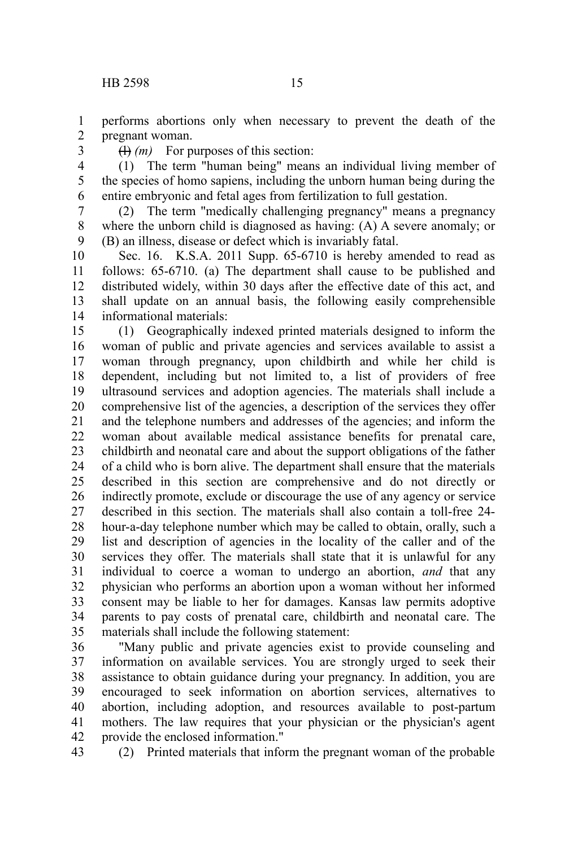performs abortions only when necessary to prevent the death of the pregnant woman. 1 2

3

(l) *(m)* For purposes of this section:

(1) The term "human being" means an individual living member of the species of homo sapiens, including the unborn human being during the entire embryonic and fetal ages from fertilization to full gestation. 4 5 6

(2) The term "medically challenging pregnancy" means a pregnancy where the unborn child is diagnosed as having: (A) A severe anomaly; or (B) an illness, disease or defect which is invariably fatal. 7 8 9

Sec. 16. K.S.A. 2011 Supp. 65-6710 is hereby amended to read as follows: 65-6710. (a) The department shall cause to be published and distributed widely, within 30 days after the effective date of this act, and shall update on an annual basis, the following easily comprehensible informational materials: 10 11 12 13 14

(1) Geographically indexed printed materials designed to inform the woman of public and private agencies and services available to assist a woman through pregnancy, upon childbirth and while her child is dependent, including but not limited to, a list of providers of free ultrasound services and adoption agencies. The materials shall include a comprehensive list of the agencies, a description of the services they offer and the telephone numbers and addresses of the agencies; and inform the woman about available medical assistance benefits for prenatal care, childbirth and neonatal care and about the support obligations of the father of a child who is born alive. The department shall ensure that the materials described in this section are comprehensive and do not directly or indirectly promote, exclude or discourage the use of any agency or service described in this section. The materials shall also contain a toll-free 24 hour-a-day telephone number which may be called to obtain, orally, such a list and description of agencies in the locality of the caller and of the services they offer. The materials shall state that it is unlawful for any individual to coerce a woman to undergo an abortion, *and* that any physician who performs an abortion upon a woman without her informed consent may be liable to her for damages. Kansas law permits adoptive parents to pay costs of prenatal care, childbirth and neonatal care. The materials shall include the following statement: 15 16 17 18 19 20 21 22 23 24 25 26 27 28 29 30 31 32 33 34 35

"Many public and private agencies exist to provide counseling and information on available services. You are strongly urged to seek their assistance to obtain guidance during your pregnancy. In addition, you are encouraged to seek information on abortion services, alternatives to abortion, including adoption, and resources available to post-partum mothers. The law requires that your physician or the physician's agent provide the enclosed information." 36 37 38 39 40 41 42

43

(2) Printed materials that inform the pregnant woman of the probable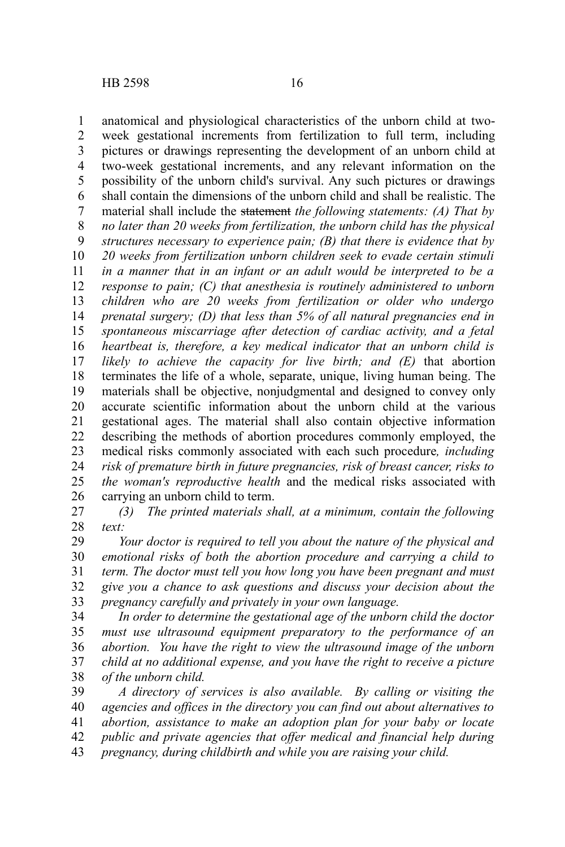anatomical and physiological characteristics of the unborn child at twoweek gestational increments from fertilization to full term, including pictures or drawings representing the development of an unborn child at two-week gestational increments, and any relevant information on the possibility of the unborn child's survival. Any such pictures or drawings shall contain the dimensions of the unborn child and shall be realistic. The material shall include the statement *the following statements: (A) That by no later than 20 weeks from fertilization, the unborn child has the physical structures necessary to experience pain; (B) that there is evidence that by 20 weeks from fertilization unborn children seek to evade certain stimuli in a manner that in an infant or an adult would be interpreted to be a response to pain; (C) that anesthesia is routinely administered to unborn children who are 20 weeks from fertilization or older who undergo prenatal surgery; (D) that less than 5% of all natural pregnancies end in spontaneous miscarriage after detection of cardiac activity, and a fetal heartbeat is, therefore, a key medical indicator that an unborn child is likely to achieve the capacity for live birth; and (E)* that abortion terminates the life of a whole, separate, unique, living human being. The materials shall be objective, nonjudgmental and designed to convey only accurate scientific information about the unborn child at the various gestational ages. The material shall also contain objective information describing the methods of abortion procedures commonly employed, the medical risks commonly associated with each such procedure*, including risk of premature birth in future pregnancies, risk of breast cancer, risks to the woman's reproductive health* and the medical risks associated with carrying an unborn child to term. 1 2 3 4 5 6 7 8 9 10 11 12 13 14 15 16 17 18 19 20 21 22 23 24 25 26

*(3) The printed materials shall, at a minimum, contain the following text:* 27 28

*Your doctor is required to tell you about the nature of the physical and emotional risks of both the abortion procedure and carrying a child to term. The doctor must tell you how long you have been pregnant and must give you a chance to ask questions and discuss your decision about the pregnancy carefully and privately in your own language.* 29 30 31 32 33

*In order to determine the gestational age of the unborn child the doctor must use ultrasound equipment preparatory to the performance of an abortion. You have the right to view the ultrasound image of the unborn child at no additional expense, and you have the right to receive a picture of the unborn child.*  34 35 36 37 38

*A directory of services is also available. By calling or visiting the agencies and offices in the directory you can find out about alternatives to abortion, assistance to make an adoption plan for your baby or locate public and private agencies that offer medical and financial help during pregnancy, during childbirth and while you are raising your child.* 39 40 41 42 43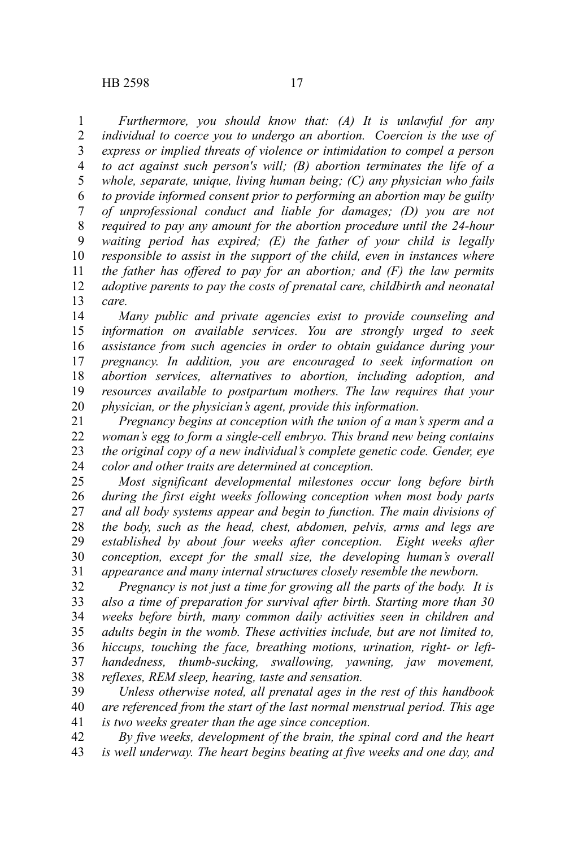*Furthermore, you should know that: (A) It is unlawful for any individual to coerce you to undergo an abortion. Coercion is the use of express or implied threats of violence or intimidation to compel a person to act against such person's will; (B) abortion terminates the life of a whole, separate, unique, living human being; (C) any physician who fails to provide informed consent prior to performing an abortion may be guilty of unprofessional conduct and liable for damages; (D) you are not required to pay any amount for the abortion procedure until the 24-hour waiting period has expired; (E) the father of your child is legally responsible to assist in the support of the child, even in instances where the father has offered to pay for an abortion; and (F) the law permits adoptive parents to pay the costs of prenatal care, childbirth and neonatal care.* 1 2 3 4 5 6 7 8 9 10 11 12 13

*Many public and private agencies exist to provide counseling and information on available services. You are strongly urged to seek assistance from such agencies in order to obtain guidance during your pregnancy. In addition, you are encouraged to seek information on abortion services, alternatives to abortion, including adoption, and resources available to postpartum mothers. The law requires that your physician, or the physician's agent, provide this information.* 14 15 16 17 18 19 20

*Pregnancy begins at conception with the union of a man's sperm and a woman's egg to form a single-cell embryo. This brand new being contains the original copy of a new individual's complete genetic code. Gender, eye color and other traits are determined at conception.* 21 22 23 24

*Most significant developmental milestones occur long before birth during the first eight weeks following conception when most body parts and all body systems appear and begin to function. The main divisions of the body, such as the head, chest, abdomen, pelvis, arms and legs are established by about four weeks after conception. Eight weeks after conception, except for the small size, the developing human's overall appearance and many internal structures closely resemble the newborn.* 25 26 27 28 29 30 31

*Pregnancy is not just a time for growing all the parts of the body. It is also a time of preparation for survival after birth. Starting more than 30 weeks before birth, many common daily activities seen in children and adults begin in the womb. These activities include, but are not limited to, hiccups, touching the face, breathing motions, urination, right- or lefthandedness, thumb-sucking, swallowing, yawning, jaw movement, reflexes, REM sleep, hearing, taste and sensation.* 32 33 34 35 36 37 38

*Unless otherwise noted, all prenatal ages in the rest of this handbook are referenced from the start of the last normal menstrual period. This age is two weeks greater than the age since conception.* 39 40 41

*By five weeks, development of the brain, the spinal cord and the heart is well underway. The heart begins beating at five weeks and one day, and* 42 43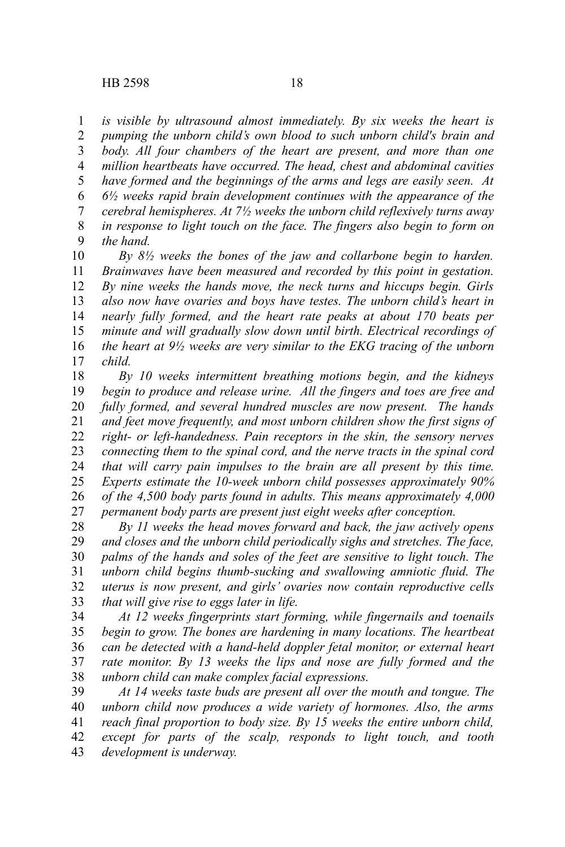*is visible by ultrasound almost immediately. By six weeks the heart is pumping the unborn child's own blood to such unborn child's brain and body. All four chambers of the heart are present, and more than one million heartbeats have occurred. The head, chest and abdominal cavities have formed and the beginnings of the arms and legs are easily seen. At 6½ weeks rapid brain development continues with the appearance of the cerebral hemispheres. At 7½ weeks the unborn child reflexively turns away in response to light touch on the face. The fingers also begin to form on the hand.* 1 2 3 4 5 6 7 8 9

*By 8½ weeks the bones of the jaw and collarbone begin to harden. Brainwaves have been measured and recorded by this point in gestation. By nine weeks the hands move, the neck turns and hiccups begin. Girls also now have ovaries and boys have testes. The unborn child's heart in nearly fully formed, and the heart rate peaks at about 170 beats per minute and will gradually slow down until birth. Electrical recordings of the heart at 9½ weeks are very similar to the EKG tracing of the unborn child.* 10 11 12 13 14 15 16 17

*By 10 weeks intermittent breathing motions begin, and the kidneys begin to produce and release urine. All the fingers and toes are free and fully formed, and several hundred muscles are now present. The hands and feet move frequently, and most unborn children show the first signs of right- or left-handedness. Pain receptors in the skin, the sensory nerves connecting them to the spinal cord, and the nerve tracts in the spinal cord that will carry pain impulses to the brain are all present by this time. Experts estimate the 10-week unborn child possesses approximately 90% of the 4,500 body parts found in adults. This means approximately 4,000 permanent body parts are present just eight weeks after conception.* 18 19 20 21 22 23 24 25 26 27

*By 11 weeks the head moves forward and back, the jaw actively opens and closes and the unborn child periodically sighs and stretches. The face, palms of the hands and soles of the feet are sensitive to light touch. The unborn child begins thumb-sucking and swallowing amniotic fluid. The uterus is now present, and girls' ovaries now contain reproductive cells that will give rise to eggs later in life.* 28 29 30 31 32 33

*At 12 weeks fingerprints start forming, while fingernails and toenails begin to grow. The bones are hardening in many locations. The heartbeat can be detected with a hand-held doppler fetal monitor, or external heart rate monitor. By 13 weeks the lips and nose are fully formed and the unborn child can make complex facial expressions.* 34 35 36 37 38

*At 14 weeks taste buds are present all over the mouth and tongue. The unborn child now produces a wide variety of hormones. Also, the arms reach final proportion to body size. By 15 weeks the entire unborn child, except for parts of the scalp, responds to light touch, and tooth development is underway.* 39 40 41 42 43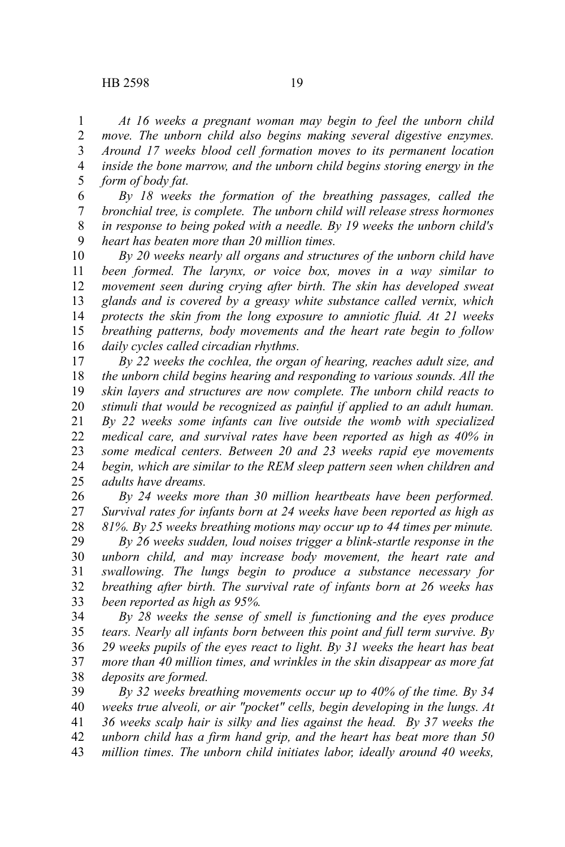*At 16 weeks a pregnant woman may begin to feel the unborn child move. The unborn child also begins making several digestive enzymes. Around 17 weeks blood cell formation moves to its permanent location inside the bone marrow, and the unborn child begins storing energy in the form of body fat.* 1 2 3 4 5

*By 18 weeks the formation of the breathing passages, called the bronchial tree, is complete. The unborn child will release stress hormones in response to being poked with a needle. By 19 weeks the unborn child's heart has beaten more than 20 million times.* 6 7 8 9

*By 20 weeks nearly all organs and structures of the unborn child have been formed. The larynx, or voice box, moves in a way similar to movement seen during crying after birth. The skin has developed sweat glands and is covered by a greasy white substance called vernix, which protects the skin from the long exposure to amniotic fluid. At 21 weeks breathing patterns, body movements and the heart rate begin to follow daily cycles called circadian rhythms.* 10 11 12 13 14 15 16

*By 22 weeks the cochlea, the organ of hearing, reaches adult size, and the unborn child begins hearing and responding to various sounds. All the skin layers and structures are now complete. The unborn child reacts to stimuli that would be recognized as painful if applied to an adult human. By 22 weeks some infants can live outside the womb with specialized medical care, and survival rates have been reported as high as 40% in some medical centers. Between 20 and 23 weeks rapid eye movements begin, which are similar to the REM sleep pattern seen when children and adults have dreams.* 17 18 19 20 21 22 23 24 25

*By 24 weeks more than 30 million heartbeats have been performed. Survival rates for infants born at 24 weeks have been reported as high as 81%. By 25 weeks breathing motions may occur up to 44 times per minute.* 26 27 28

*By 26 weeks sudden, loud noises trigger a blink-startle response in the unborn child, and may increase body movement, the heart rate and swallowing. The lungs begin to produce a substance necessary for breathing after birth. The survival rate of infants born at 26 weeks has been reported as high as 95%.* 29 30 31 32 33

*By 28 weeks the sense of smell is functioning and the eyes produce tears. Nearly all infants born between this point and full term survive. By 29 weeks pupils of the eyes react to light. By 31 weeks the heart has beat more than 40 million times, and wrinkles in the skin disappear as more fat deposits are formed.* 34 35 36 37 38

*By 32 weeks breathing movements occur up to 40% of the time. By 34 weeks true alveoli, or air "pocket" cells, begin developing in the lungs. At 36 weeks scalp hair is silky and lies against the head. By 37 weeks the unborn child has a firm hand grip, and the heart has beat more than 50 million times. The unborn child initiates labor, ideally around 40 weeks,* 39 40 41 42 43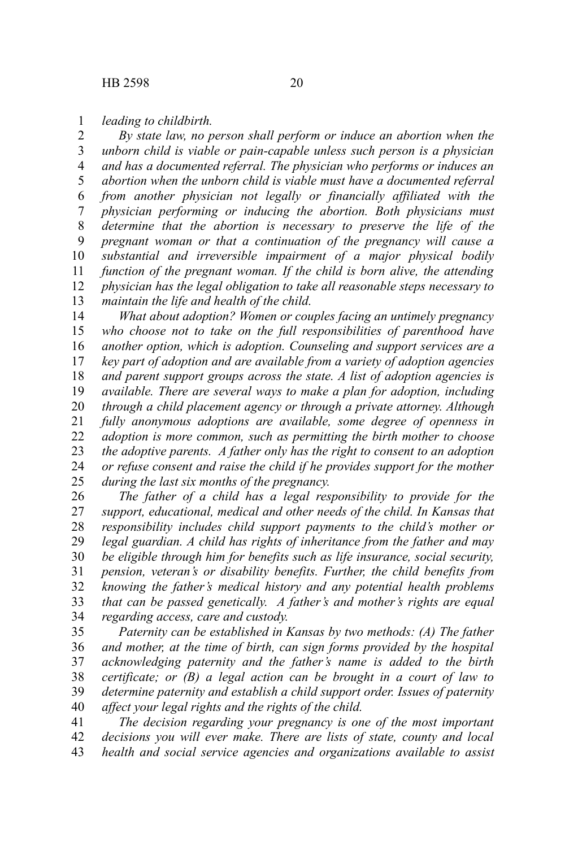*leading to childbirth.* 1

*By state law, no person shall perform or induce an abortion when the unborn child is viable or pain-capable unless such person is a physician and has a documented referral. The physician who performs or induces an abortion when the unborn child is viable must have a documented referral from another physician not legally or financially affiliated with the physician performing or inducing the abortion. Both physicians must determine that the abortion is necessary to preserve the life of the pregnant woman or that a continuation of the pregnancy will cause a substantial and irreversible impairment of a major physical bodily function of the pregnant woman. If the child is born alive, the attending physician has the legal obligation to take all reasonable steps necessary to maintain the life and health of the child.* 2 3 4 5 6 7 8 9 10 11 12 13

*What about adoption? Women or couples facing an untimely pregnancy who choose not to take on the full responsibilities of parenthood have another option, which is adoption. Counseling and support services are a key part of adoption and are available from a variety of adoption agencies and parent support groups across the state. A list of adoption agencies is available. There are several ways to make a plan for adoption, including through a child placement agency or through a private attorney. Although fully anonymous adoptions are available, some degree of openness in adoption is more common, such as permitting the birth mother to choose the adoptive parents. A father only has the right to consent to an adoption or refuse consent and raise the child if he provides support for the mother during the last six months of the pregnancy.* 14 15 16 17 18 19 20 21 22 23 24 25

*The father of a child has a legal responsibility to provide for the support, educational, medical and other needs of the child. In Kansas that responsibility includes child support payments to the child's mother or legal guardian. A child has rights of inheritance from the father and may be eligible through him for benefits such as life insurance, social security, pension, veteran's or disability benefits. Further, the child benefits from knowing the father's medical history and any potential health problems that can be passed genetically. A father's and mother's rights are equal regarding access, care and custody.* 26 27 28 29 30 31 32 33 34

*Paternity can be established in Kansas by two methods: (A) The father and mother, at the time of birth, can sign forms provided by the hospital acknowledging paternity and the father's name is added to the birth certificate; or (B) a legal action can be brought in a court of law to determine paternity and establish a child support order. Issues of paternity affect your legal rights and the rights of the child.* 35 36 37 38 39 40

*The decision regarding your pregnancy is one of the most important decisions you will ever make. There are lists of state, county and local health and social service agencies and organizations available to assist* 41 42 43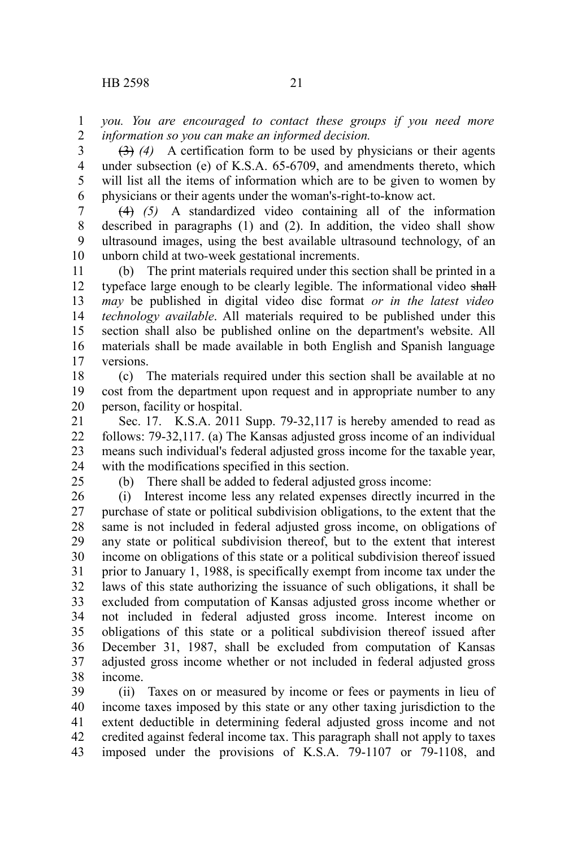*you. You are encouraged to contact these groups if you need more information so you can make an informed decision.* 1 2

(3) *(4)* A certification form to be used by physicians or their agents under subsection (e) of K.S.A. 65-6709, and amendments thereto, which will list all the items of information which are to be given to women by physicians or their agents under the woman's-right-to-know act. 3 4 5 6

(4) *(5)* A standardized video containing all of the information described in paragraphs (1) and (2). In addition, the video shall show ultrasound images, using the best available ultrasound technology, of an unborn child at two*-*week gestational increments. 7 8 9 10

(b) The print materials required under this section shall be printed in a typeface large enough to be clearly legible. The informational video shall *may* be published in digital video disc format *or in the latest video technology available*. All materials required to be published under this section shall also be published online on the department's website. All materials shall be made available in both English and Spanish language versions. 11 12 13 14 15 16 17

(c) The materials required under this section shall be available at no cost from the department upon request and in appropriate number to any person, facility or hospital. 18 19 20

Sec. 17. K.S.A. 2011 Supp. 79-32,117 is hereby amended to read as follows: 79-32,117. (a) The Kansas adjusted gross income of an individual means such individual's federal adjusted gross income for the taxable year, with the modifications specified in this section. 21 22 23 24

25

(b) There shall be added to federal adjusted gross income:

(i) Interest income less any related expenses directly incurred in the purchase of state or political subdivision obligations, to the extent that the same is not included in federal adjusted gross income, on obligations of any state or political subdivision thereof, but to the extent that interest income on obligations of this state or a political subdivision thereof issued prior to January 1, 1988, is specifically exempt from income tax under the laws of this state authorizing the issuance of such obligations, it shall be excluded from computation of Kansas adjusted gross income whether or not included in federal adjusted gross income. Interest income on obligations of this state or a political subdivision thereof issued after December 31, 1987, shall be excluded from computation of Kansas adjusted gross income whether or not included in federal adjusted gross income. 26 27 28 29 30 31 32 33 34 35 36 37 38

(ii) Taxes on or measured by income or fees or payments in lieu of income taxes imposed by this state or any other taxing jurisdiction to the extent deductible in determining federal adjusted gross income and not credited against federal income tax. This paragraph shall not apply to taxes imposed under the provisions of K.S.A. 79-1107 or 79-1108, and 39 40 41 42 43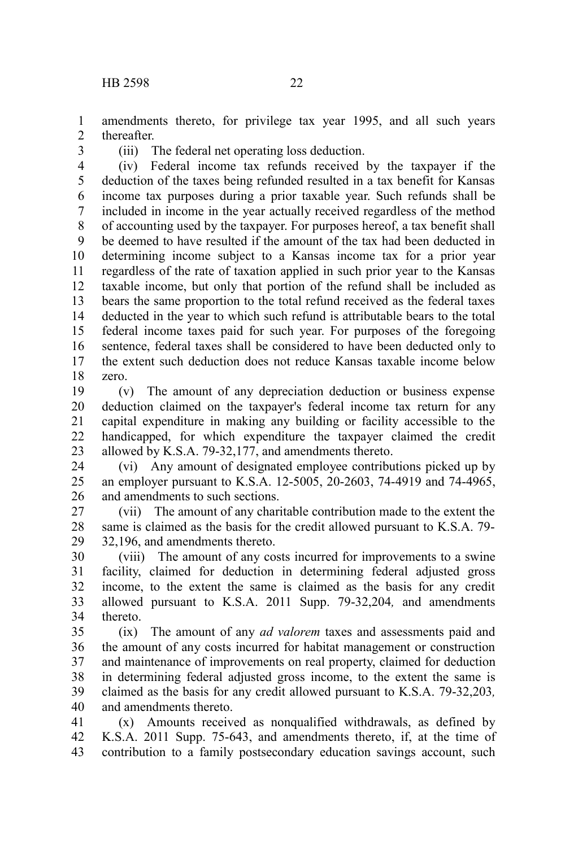amendments thereto, for privilege tax year 1995, and all such years thereafter. 1  $\mathcal{L}$ 

3

(iii) The federal net operating loss deduction.

(iv) Federal income tax refunds received by the taxpayer if the deduction of the taxes being refunded resulted in a tax benefit for Kansas income tax purposes during a prior taxable year. Such refunds shall be included in income in the year actually received regardless of the method of accounting used by the taxpayer. For purposes hereof, a tax benefit shall be deemed to have resulted if the amount of the tax had been deducted in determining income subject to a Kansas income tax for a prior year regardless of the rate of taxation applied in such prior year to the Kansas taxable income, but only that portion of the refund shall be included as bears the same proportion to the total refund received as the federal taxes deducted in the year to which such refund is attributable bears to the total federal income taxes paid for such year. For purposes of the foregoing sentence, federal taxes shall be considered to have been deducted only to the extent such deduction does not reduce Kansas taxable income below zero. 4 5 6 7 8 9 10 11 12 13 14 15 16 17 18

(v) The amount of any depreciation deduction or business expense deduction claimed on the taxpayer's federal income tax return for any capital expenditure in making any building or facility accessible to the handicapped, for which expenditure the taxpayer claimed the credit allowed by K.S.A. 79-32,177, and amendments thereto. 19 20 21 22 23

(vi) Any amount of designated employee contributions picked up by an employer pursuant to K.S.A. 12-5005, 20-2603, 74-4919 and 74-4965, and amendments to such sections. 24  $25$ 26

(vii) The amount of any charitable contribution made to the extent the same is claimed as the basis for the credit allowed pursuant to K.S.A. 79- 32,196, and amendments thereto. 27 28 29

(viii) The amount of any costs incurred for improvements to a swine facility, claimed for deduction in determining federal adjusted gross income, to the extent the same is claimed as the basis for any credit allowed pursuant to K.S.A. 2011 Supp. 79-32,204*,* and amendments thereto. 30 31 32 33 34

(ix) The amount of any *ad valorem* taxes and assessments paid and the amount of any costs incurred for habitat management or construction and maintenance of improvements on real property, claimed for deduction in determining federal adjusted gross income, to the extent the same is claimed as the basis for any credit allowed pursuant to K.S.A. 79-32,203*,* and amendments thereto. 35 36 37 38 39 40

(x) Amounts received as nonqualified withdrawals, as defined by K.S.A. 2011 Supp. 75-643, and amendments thereto, if, at the time of contribution to a family postsecondary education savings account, such 41 42 43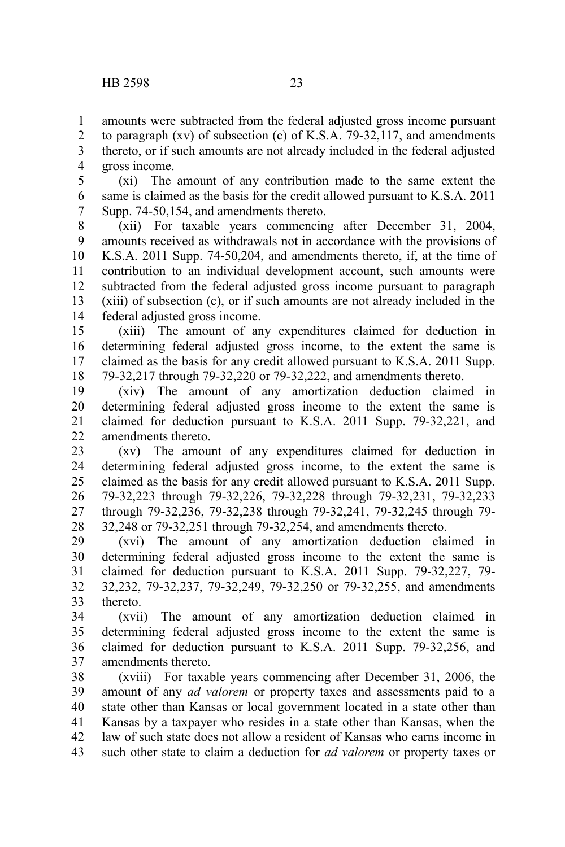amounts were subtracted from the federal adjusted gross income pursuant to paragraph (xv) of subsection (c) of K.S.A. 79-32,117, and amendments thereto, or if such amounts are not already included in the federal adjusted gross income. 1 2 3 4

(xi) The amount of any contribution made to the same extent the same is claimed as the basis for the credit allowed pursuant to K.S.A. 2011 Supp. 74-50,154, and amendments thereto. 5 6 7

(xii) For taxable years commencing after December 31, 2004, amounts received as withdrawals not in accordance with the provisions of K.S.A. 2011 Supp. 74-50,204, and amendments thereto, if, at the time of contribution to an individual development account, such amounts were subtracted from the federal adjusted gross income pursuant to paragraph (xiii) of subsection (c), or if such amounts are not already included in the federal adjusted gross income. 8 9 10 11 12 13 14

(xiii) The amount of any expenditures claimed for deduction in determining federal adjusted gross income, to the extent the same is claimed as the basis for any credit allowed pursuant to K.S.A. 2011 Supp. 79-32,217 through 79-32,220 or 79-32,222, and amendments thereto. 15 16 17 18

(xiv) The amount of any amortization deduction claimed in determining federal adjusted gross income to the extent the same is claimed for deduction pursuant to K.S.A. 2011 Supp. 79-32,221, and amendments thereto. 19 20 21  $22$ 

(xv) The amount of any expenditures claimed for deduction in determining federal adjusted gross income, to the extent the same is claimed as the basis for any credit allowed pursuant to K.S.A. 2011 Supp. 79-32,223 through 79-32,226, 79-32,228 through 79-32,231, 79-32,233 through 79-32,236, 79-32,238 through 79-32,241, 79-32,245 through 79- 32,248 or 79-32,251 through 79-32,254, and amendments thereto. 23 24 25 26 27 28

(xvi) The amount of any amortization deduction claimed in determining federal adjusted gross income to the extent the same is claimed for deduction pursuant to K.S.A. 2011 Supp. 79-32,227, 79- 32,232, 79-32,237, 79-32,249, 79-32,250 or 79-32,255, and amendments thereto. 29 30 31 32 33

(xvii) The amount of any amortization deduction claimed in determining federal adjusted gross income to the extent the same is claimed for deduction pursuant to K.S.A. 2011 Supp. 79-32,256, and amendments thereto. 34 35 36 37

(xviii) For taxable years commencing after December 31, 2006, the amount of any *ad valorem* or property taxes and assessments paid to a state other than Kansas or local government located in a state other than Kansas by a taxpayer who resides in a state other than Kansas, when the law of such state does not allow a resident of Kansas who earns income in such other state to claim a deduction for *ad valorem* or property taxes or 38 39 40 41 42 43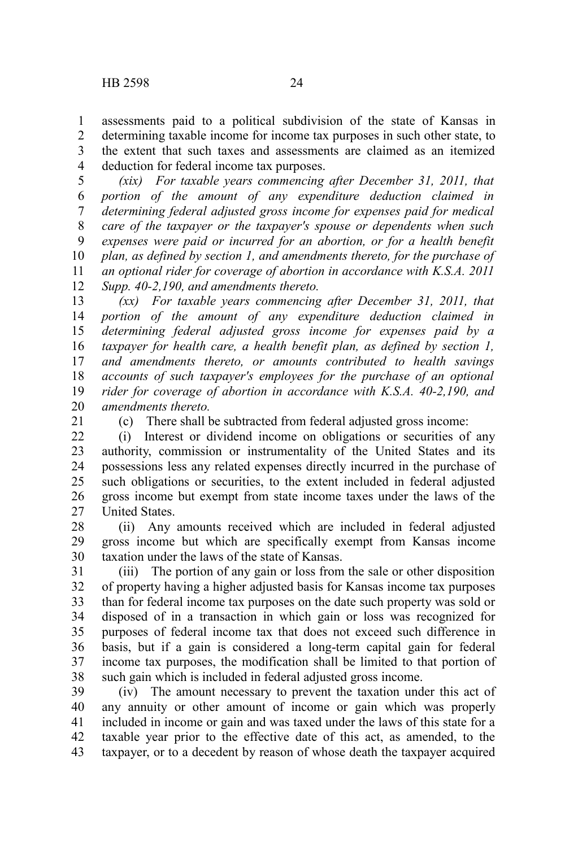assessments paid to a political subdivision of the state of Kansas in determining taxable income for income tax purposes in such other state, to the extent that such taxes and assessments are claimed as an itemized deduction for federal income tax purposes. 1 2 3 4

*(xix) For taxable years commencing after December 31, 2011, that portion of the amount of any expenditure deduction claimed in determining federal adjusted gross income for expenses paid for medical care of the taxpayer or the taxpayer's spouse or dependents when such expenses were paid or incurred for an abortion, or for a health benefit plan, as defined by section 1, and amendments thereto, for the purchase of an optional rider for coverage of abortion in accordance with K.S.A. 2011 Supp. 40-2,190, and amendments thereto.* 5 6 7 8 9 10 11 12

*(xx) For taxable years commencing after December 31, 2011, that portion of the amount of any expenditure deduction claimed in determining federal adjusted gross income for expenses paid by a taxpayer for health care, a health benefit plan, as defined by section 1, and amendments thereto, or amounts contributed to health savings accounts of such taxpayer's employees for the purchase of an optional rider for coverage of abortion in accordance with K.S.A. 40-2,190, and amendments thereto.* 13 14 15 16 17 18 19 20

21

(c) There shall be subtracted from federal adjusted gross income:

(i) Interest or dividend income on obligations or securities of any authority, commission or instrumentality of the United States and its possessions less any related expenses directly incurred in the purchase of such obligations or securities, to the extent included in federal adjusted gross income but exempt from state income taxes under the laws of the United States. 22 23 24 25 26 27

(ii) Any amounts received which are included in federal adjusted gross income but which are specifically exempt from Kansas income taxation under the laws of the state of Kansas. 28 29 30

(iii) The portion of any gain or loss from the sale or other disposition of property having a higher adjusted basis for Kansas income tax purposes than for federal income tax purposes on the date such property was sold or disposed of in a transaction in which gain or loss was recognized for purposes of federal income tax that does not exceed such difference in basis, but if a gain is considered a long-term capital gain for federal income tax purposes, the modification shall be limited to that portion of such gain which is included in federal adjusted gross income. 31 32 33 34 35 36 37 38

(iv) The amount necessary to prevent the taxation under this act of any annuity or other amount of income or gain which was properly included in income or gain and was taxed under the laws of this state for a taxable year prior to the effective date of this act, as amended, to the taxpayer, or to a decedent by reason of whose death the taxpayer acquired 39 40 41 42 43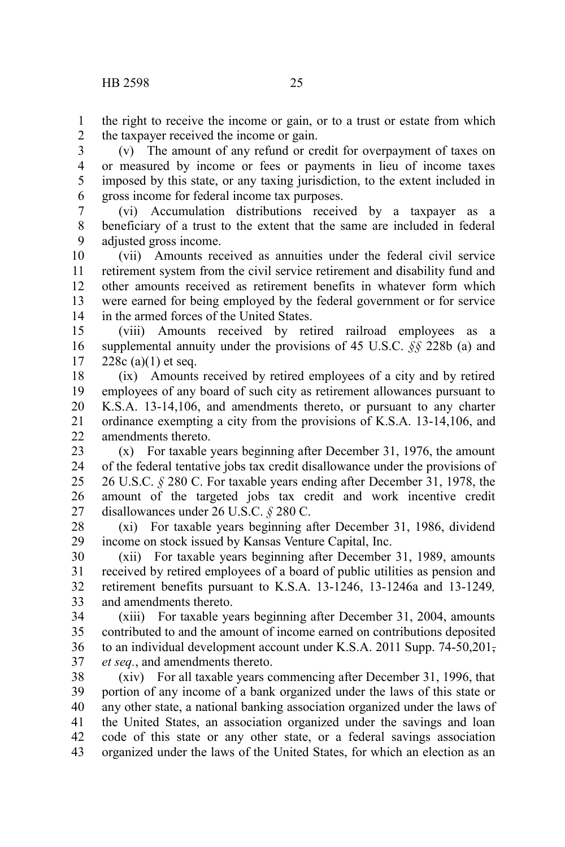the right to receive the income or gain, or to a trust or estate from which the taxpayer received the income or gain. 1 2

(v) The amount of any refund or credit for overpayment of taxes on or measured by income or fees or payments in lieu of income taxes imposed by this state, or any taxing jurisdiction, to the extent included in gross income for federal income tax purposes. 3 4 5 6

(vi) Accumulation distributions received by a taxpayer as a beneficiary of a trust to the extent that the same are included in federal adjusted gross income. 7 8 9

(vii) Amounts received as annuities under the federal civil service retirement system from the civil service retirement and disability fund and other amounts received as retirement benefits in whatever form which were earned for being employed by the federal government or for service in the armed forces of the United States. 10 11 12 13 14

(viii) Amounts received by retired railroad employees as a supplemental annuity under the provisions of 45 U.S.C. *§§* 228b (a) and 228c (a) $(1)$  et seq. 15 16 17

(ix) Amounts received by retired employees of a city and by retired employees of any board of such city as retirement allowances pursuant to K.S.A. 13-14,106, and amendments thereto, or pursuant to any charter ordinance exempting a city from the provisions of K.S.A. 13-14,106, and amendments thereto. 18 19 20 21  $22$ 

(x) For taxable years beginning after December 31, 1976, the amount of the federal tentative jobs tax credit disallowance under the provisions of 26 U.S.C. *§* 280 C. For taxable years ending after December 31, 1978, the amount of the targeted jobs tax credit and work incentive credit disallowances under 26 U.S.C. *§* 280 C. 23 24 25 26 27

(xi) For taxable years beginning after December 31, 1986, dividend income on stock issued by Kansas Venture Capital, Inc. 28 29

(xii) For taxable years beginning after December 31, 1989, amounts received by retired employees of a board of public utilities as pension and retirement benefits pursuant to K.S.A. 13-1246, 13-1246a and 13-1249*,* and amendments thereto. 30 31 32 33

(xiii) For taxable years beginning after December 31, 2004, amounts contributed to and the amount of income earned on contributions deposited to an individual development account under K.S.A. 2011 Supp. 74-50,201, *et seq.*, and amendments thereto. 34 35 36 37

(xiv) For all taxable years commencing after December 31, 1996, that portion of any income of a bank organized under the laws of this state or any other state, a national banking association organized under the laws of the United States, an association organized under the savings and loan code of this state or any other state, or a federal savings association organized under the laws of the United States, for which an election as an 38 39 40 41 42 43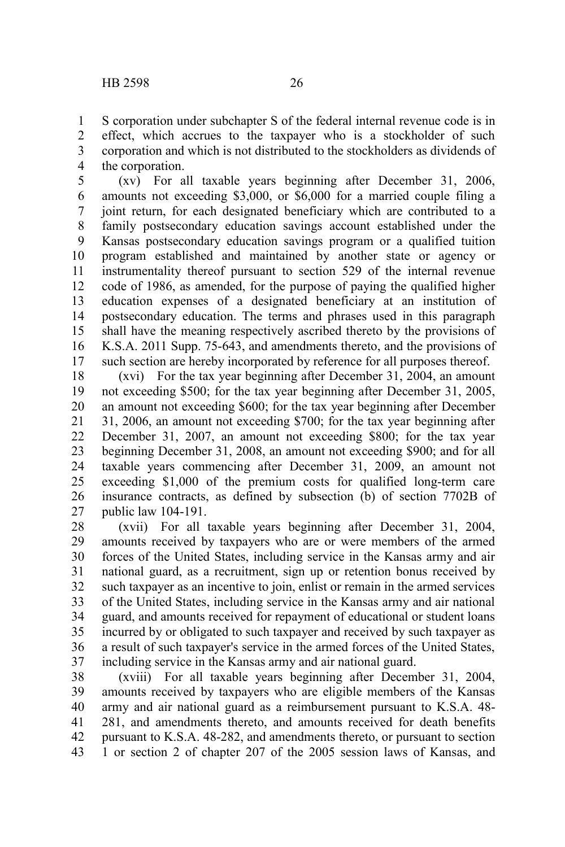S corporation under subchapter S of the federal internal revenue code is in effect, which accrues to the taxpayer who is a stockholder of such corporation and which is not distributed to the stockholders as dividends of the corporation. 1 2 3 4

(xv) For all taxable years beginning after December 31, 2006, amounts not exceeding \$3,000, or \$6,000 for a married couple filing a joint return, for each designated beneficiary which are contributed to a family postsecondary education savings account established under the Kansas postsecondary education savings program or a qualified tuition program established and maintained by another state or agency or instrumentality thereof pursuant to section 529 of the internal revenue code of 1986, as amended, for the purpose of paying the qualified higher education expenses of a designated beneficiary at an institution of postsecondary education. The terms and phrases used in this paragraph shall have the meaning respectively ascribed thereto by the provisions of K.S.A. 2011 Supp. 75-643, and amendments thereto, and the provisions of such section are hereby incorporated by reference for all purposes thereof. 5 6 7 8 9 10 11 12 13 14 15 16 17

(xvi) For the tax year beginning after December 31, 2004, an amount not exceeding \$500; for the tax year beginning after December 31, 2005, an amount not exceeding \$600; for the tax year beginning after December 31, 2006, an amount not exceeding \$700; for the tax year beginning after December 31, 2007, an amount not exceeding \$800; for the tax year beginning December 31, 2008, an amount not exceeding \$900; and for all taxable years commencing after December 31, 2009, an amount not exceeding \$1,000 of the premium costs for qualified long-term care insurance contracts, as defined by subsection (b) of section 7702B of public law 104-191. 18 19 20 21 22 23 24 25 26 27

(xvii) For all taxable years beginning after December 31, 2004, amounts received by taxpayers who are or were members of the armed forces of the United States, including service in the Kansas army and air national guard, as a recruitment, sign up or retention bonus received by such taxpayer as an incentive to join, enlist or remain in the armed services of the United States, including service in the Kansas army and air national guard, and amounts received for repayment of educational or student loans incurred by or obligated to such taxpayer and received by such taxpayer as a result of such taxpayer's service in the armed forces of the United States, including service in the Kansas army and air national guard. 28 29 30 31 32 33 34 35 36 37

(xviii) For all taxable years beginning after December 31, 2004, amounts received by taxpayers who are eligible members of the Kansas army and air national guard as a reimbursement pursuant to K.S.A. 48- 281, and amendments thereto, and amounts received for death benefits pursuant to K.S.A. 48-282, and amendments thereto, or pursuant to section 1 or section 2 of chapter 207 of the 2005 session laws of Kansas, and 38 39 40 41 42 43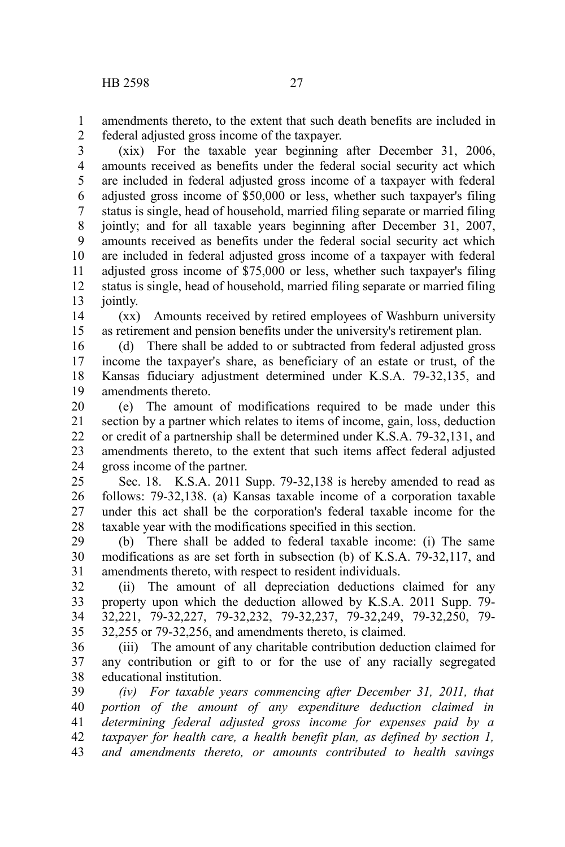amendments thereto, to the extent that such death benefits are included in federal adjusted gross income of the taxpayer. 1 2

(xix) For the taxable year beginning after December 31, 2006, amounts received as benefits under the federal social security act which are included in federal adjusted gross income of a taxpayer with federal adjusted gross income of \$50,000 or less, whether such taxpayer's filing status is single, head of household, married filing separate or married filing jointly; and for all taxable years beginning after December 31, 2007, amounts received as benefits under the federal social security act which are included in federal adjusted gross income of a taxpayer with federal adjusted gross income of \$75,000 or less, whether such taxpayer's filing status is single, head of household, married filing separate or married filing jointly. 3 4 5 6 7 8 9 10 11 12 13

(xx) Amounts received by retired employees of Washburn university as retirement and pension benefits under the university's retirement plan. 14 15

(d) There shall be added to or subtracted from federal adjusted gross income the taxpayer's share, as beneficiary of an estate or trust, of the Kansas fiduciary adjustment determined under K.S.A. 79-32,135, and amendments thereto. 16 17 18 19

(e) The amount of modifications required to be made under this section by a partner which relates to items of income, gain, loss, deduction or credit of a partnership shall be determined under K.S.A. 79-32,131, and amendments thereto, to the extent that such items affect federal adjusted gross income of the partner. 20 21 22 23 24

Sec. 18. K.S.A. 2011 Supp. 79-32,138 is hereby amended to read as follows: 79-32,138. (a) Kansas taxable income of a corporation taxable under this act shall be the corporation's federal taxable income for the taxable year with the modifications specified in this section. 25 26 27 28

(b) There shall be added to federal taxable income: (i) The same modifications as are set forth in subsection (b) of K.S.A. 79-32,117, and amendments thereto, with respect to resident individuals. 29 30 31

(ii) The amount of all depreciation deductions claimed for any property upon which the deduction allowed by K.S.A. 2011 Supp. 79- 32,221, 79-32,227, 79-32,232, 79-32,237, 79-32,249, 79-32,250, 79- 32,255 or 79-32,256, and amendments thereto, is claimed. 32 33 34 35

(iii) The amount of any charitable contribution deduction claimed for any contribution or gift to or for the use of any racially segregated educational institution. 36 37 38

*(iv) For taxable years commencing after December 31, 2011, that portion of the amount of any expenditure deduction claimed in determining federal adjusted gross income for expenses paid by a taxpayer for health care, a health benefit plan, as defined by section 1, and amendments thereto, or amounts contributed to health savings* 39 40 41 42 43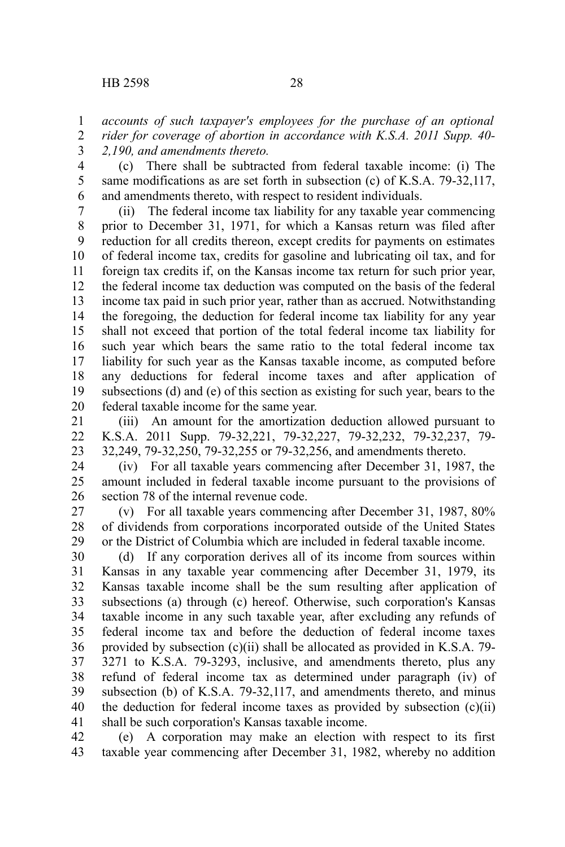*accounts of such taxpayer's employees for the purchase of an optional rider for coverage of abortion in accordance with K.S.A. 2011 Supp. 40- 2,190, and amendments thereto.* 1 2 3

(c) There shall be subtracted from federal taxable income: (i) The same modifications as are set forth in subsection (c) of K.S.A. 79-32,117, and amendments thereto, with respect to resident individuals. 4 5 6

(ii) The federal income tax liability for any taxable year commencing prior to December 31, 1971, for which a Kansas return was filed after reduction for all credits thereon, except credits for payments on estimates of federal income tax, credits for gasoline and lubricating oil tax, and for foreign tax credits if, on the Kansas income tax return for such prior year, the federal income tax deduction was computed on the basis of the federal income tax paid in such prior year, rather than as accrued. Notwithstanding the foregoing, the deduction for federal income tax liability for any year shall not exceed that portion of the total federal income tax liability for such year which bears the same ratio to the total federal income tax liability for such year as the Kansas taxable income, as computed before any deductions for federal income taxes and after application of subsections (d) and (e) of this section as existing for such year, bears to the federal taxable income for the same year. 7 8 9 10 11 12 13 14 15 16 17 18 19 20

(iii) An amount for the amortization deduction allowed pursuant to K.S.A. 2011 Supp. 79-32,221, 79-32,227, 79-32,232, 79-32,237, 79- 32,249, 79-32,250, 79-32,255 or 79-32,256, and amendments thereto. 21 22 23

(iv) For all taxable years commencing after December 31, 1987, the amount included in federal taxable income pursuant to the provisions of section 78 of the internal revenue code. 24 25 26

(v) For all taxable years commencing after December 31, 1987, 80% of dividends from corporations incorporated outside of the United States or the District of Columbia which are included in federal taxable income. 27 28 29

(d) If any corporation derives all of its income from sources within Kansas in any taxable year commencing after December 31, 1979, its Kansas taxable income shall be the sum resulting after application of subsections (a) through (c) hereof. Otherwise, such corporation's Kansas taxable income in any such taxable year, after excluding any refunds of federal income tax and before the deduction of federal income taxes provided by subsection (c)(ii) shall be allocated as provided in K.S.A. 79- 3271 to K.S.A. 79-3293, inclusive, and amendments thereto, plus any refund of federal income tax as determined under paragraph (iv) of subsection (b) of K.S.A. 79-32,117, and amendments thereto, and minus the deduction for federal income taxes as provided by subsection (c)(ii) shall be such corporation's Kansas taxable income. 30 31 32 33 34 35 36 37 38 39 40 41

(e) A corporation may make an election with respect to its first taxable year commencing after December 31, 1982, whereby no addition 42 43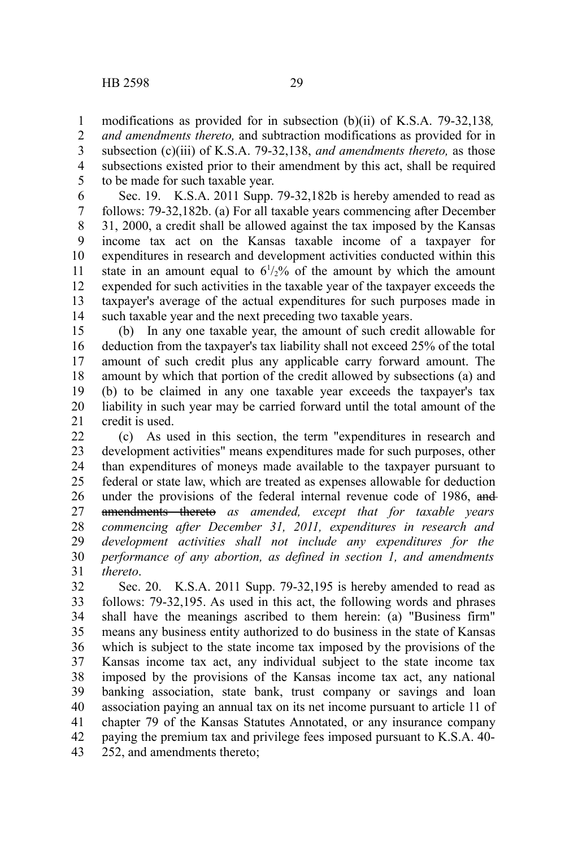modifications as provided for in subsection (b)(ii) of K.S.A. 79-32,138*,* 1

*and amendments thereto,* and subtraction modifications as provided for in subsection (c)(iii) of K.S.A. 79-32,138, *and amendments thereto,* as those subsections existed prior to their amendment by this act, shall be required to be made for such taxable year. 2 3 4 5

Sec. 19. K.S.A. 2011 Supp. 79-32,182b is hereby amended to read as follows: 79-32,182b. (a) For all taxable years commencing after December 31, 2000, a credit shall be allowed against the tax imposed by the Kansas income tax act on the Kansas taxable income of a taxpayer for expenditures in research and development activities conducted within this state in an amount equal to  $6^{1/2}$ % of the amount by which the amount expended for such activities in the taxable year of the taxpayer exceeds the taxpayer's average of the actual expenditures for such purposes made in such taxable year and the next preceding two taxable years. 6 7 8 9 10 11 12 13 14

(b) In any one taxable year, the amount of such credit allowable for deduction from the taxpayer's tax liability shall not exceed 25% of the total amount of such credit plus any applicable carry forward amount. The amount by which that portion of the credit allowed by subsections (a) and (b) to be claimed in any one taxable year exceeds the taxpayer's tax liability in such year may be carried forward until the total amount of the credit is used. 15 16 17 18 19 20 21

(c) As used in this section, the term "expenditures in research and development activities" means expenditures made for such purposes, other than expenditures of moneys made available to the taxpayer pursuant to federal or state law, which are treated as expenses allowable for deduction under the provisions of the federal internal revenue code of 1986, and amendments thereto *as amended, except that for taxable years commencing after December 31, 2011, expenditures in research and development activities shall not include any expenditures for the performance of any abortion, as defined in section 1, and amendments thereto*.  $22$ 23 24 25 26 27 28 29 30 31

Sec. 20. K.S.A. 2011 Supp. 79-32,195 is hereby amended to read as follows: 79-32,195. As used in this act, the following words and phrases shall have the meanings ascribed to them herein: (a) "Business firm" means any business entity authorized to do business in the state of Kansas which is subject to the state income tax imposed by the provisions of the Kansas income tax act, any individual subject to the state income tax imposed by the provisions of the Kansas income tax act, any national banking association, state bank, trust company or savings and loan association paying an annual tax on its net income pursuant to article 11 of chapter 79 of the Kansas Statutes Annotated, or any insurance company paying the premium tax and privilege fees imposed pursuant to K.S.A. 40- 252, and amendments thereto; 32 33 34 35 36 37 38 39 40 41 42 43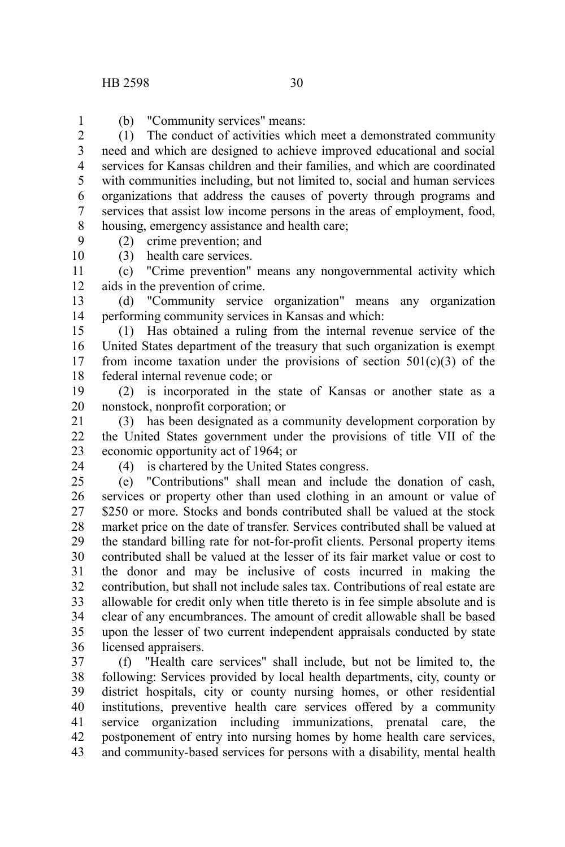(b) "Community services" means: (1) The conduct of activities which meet a demonstrated community need and which are designed to achieve improved educational and social services for Kansas children and their families, and which are coordinated with communities including, but not limited to, social and human services organizations that address the causes of poverty through programs and services that assist low income persons in the areas of employment, food, housing, emergency assistance and health care; 1 2 3 4 5 6 7 8

9 10

24

(2) crime prevention; and

(3) health care services.

(c) "Crime prevention" means any nongovernmental activity which aids in the prevention of crime. 11 12

(d) "Community service organization" means any organization performing community services in Kansas and which: 13 14

(1) Has obtained a ruling from the internal revenue service of the United States department of the treasury that such organization is exempt from income taxation under the provisions of section  $501(c)(3)$  of the federal internal revenue code; or 15 16 17 18

(2) is incorporated in the state of Kansas or another state as a nonstock, nonprofit corporation; or 19 20

(3) has been designated as a community development corporation by the United States government under the provisions of title VII of the economic opportunity act of 1964; or 21 22 23

(4) is chartered by the United States congress.

(e) "Contributions" shall mean and include the donation of cash, services or property other than used clothing in an amount or value of \$250 or more. Stocks and bonds contributed shall be valued at the stock market price on the date of transfer. Services contributed shall be valued at the standard billing rate for not-for-profit clients. Personal property items contributed shall be valued at the lesser of its fair market value or cost to the donor and may be inclusive of costs incurred in making the contribution, but shall not include sales tax. Contributions of real estate are allowable for credit only when title thereto is in fee simple absolute and is clear of any encumbrances. The amount of credit allowable shall be based upon the lesser of two current independent appraisals conducted by state licensed appraisers.  $25$ 26 27 28 29 30 31 32 33 34 35 36

(f) "Health care services" shall include, but not be limited to, the following: Services provided by local health departments, city, county or district hospitals, city or county nursing homes, or other residential institutions, preventive health care services offered by a community service organization including immunizations, prenatal care, the postponement of entry into nursing homes by home health care services, and community*-*based services for persons with a disability, mental health 37 38 39 40 41 42 43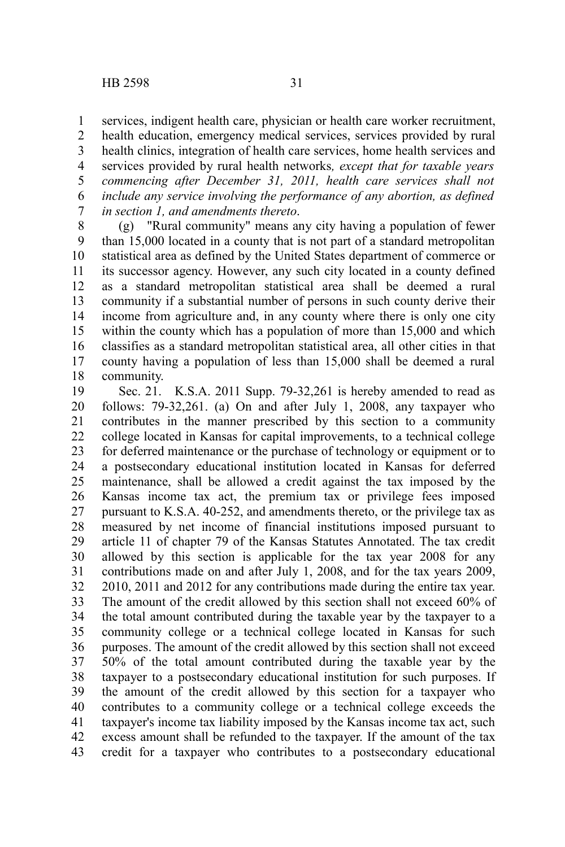services, indigent health care, physician or health care worker recruitment, 1

health education, emergency medical services, services provided by rural health clinics, integration of health care services, home health services and services provided by rural health networks*, except that for taxable years commencing after December 31, 2011, health care services shall not include any service involving the performance of any abortion, as defined in section 1, and amendments thereto*. 2 3 4 5 6 7

(g) "Rural community" means any city having a population of fewer than 15,000 located in a county that is not part of a standard metropolitan statistical area as defined by the United States department of commerce or its successor agency. However, any such city located in a county defined as a standard metropolitan statistical area shall be deemed a rural community if a substantial number of persons in such county derive their income from agriculture and, in any county where there is only one city within the county which has a population of more than 15,000 and which classifies as a standard metropolitan statistical area, all other cities in that county having a population of less than 15,000 shall be deemed a rural community. 8 9 10 11 12 13 14 15 16 17 18

Sec. 21. K.S.A. 2011 Supp. 79-32,261 is hereby amended to read as follows: 79-32,261. (a) On and after July 1, 2008, any taxpayer who contributes in the manner prescribed by this section to a community college located in Kansas for capital improvements, to a technical college for deferred maintenance or the purchase of technology or equipment or to a postsecondary educational institution located in Kansas for deferred maintenance, shall be allowed a credit against the tax imposed by the Kansas income tax act, the premium tax or privilege fees imposed pursuant to K.S.A. 40-252, and amendments thereto, or the privilege tax as measured by net income of financial institutions imposed pursuant to article 11 of chapter 79 of the Kansas Statutes Annotated. The tax credit allowed by this section is applicable for the tax year 2008 for any contributions made on and after July 1, 2008, and for the tax years 2009, 2010, 2011 and 2012 for any contributions made during the entire tax year. The amount of the credit allowed by this section shall not exceed 60% of the total amount contributed during the taxable year by the taxpayer to a community college or a technical college located in Kansas for such purposes. The amount of the credit allowed by this section shall not exceed 50% of the total amount contributed during the taxable year by the taxpayer to a postsecondary educational institution for such purposes. If the amount of the credit allowed by this section for a taxpayer who contributes to a community college or a technical college exceeds the taxpayer's income tax liability imposed by the Kansas income tax act, such excess amount shall be refunded to the taxpayer. If the amount of the tax credit for a taxpayer who contributes to a postsecondary educational 19 20 21 22 23 24 25 26 27 28 29 30 31 32 33 34 35 36 37 38 39 40 41 42 43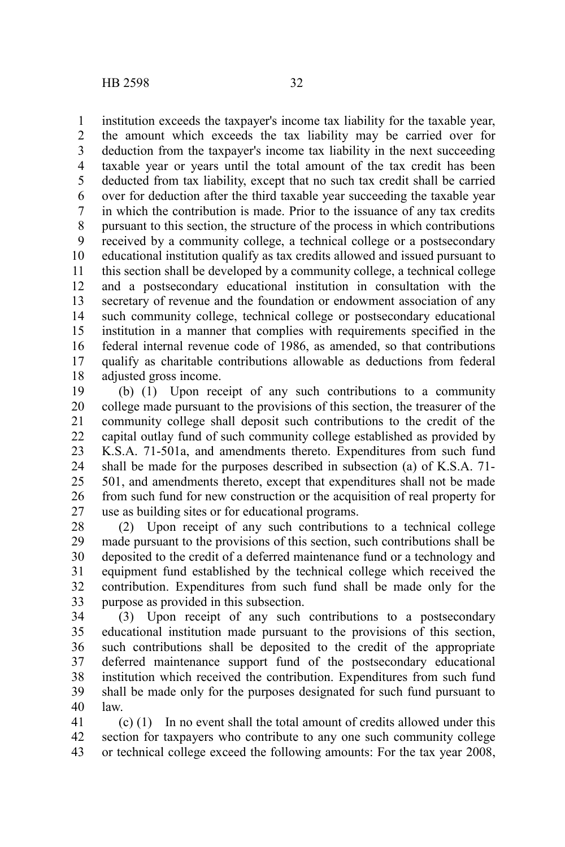institution exceeds the taxpayer's income tax liability for the taxable year, the amount which exceeds the tax liability may be carried over for deduction from the taxpayer's income tax liability in the next succeeding taxable year or years until the total amount of the tax credit has been deducted from tax liability, except that no such tax credit shall be carried over for deduction after the third taxable year succeeding the taxable year in which the contribution is made. Prior to the issuance of any tax credits pursuant to this section, the structure of the process in which contributions received by a community college, a technical college or a postsecondary educational institution qualify as tax credits allowed and issued pursuant to this section shall be developed by a community college, a technical college and a postsecondary educational institution in consultation with the secretary of revenue and the foundation or endowment association of any such community college, technical college or postsecondary educational institution in a manner that complies with requirements specified in the federal internal revenue code of 1986, as amended, so that contributions qualify as charitable contributions allowable as deductions from federal adjusted gross income. 1 2 3 4 5 6 7 8 9 10 11 12 13 14 15 16 17 18

(b) (1) Upon receipt of any such contributions to a community college made pursuant to the provisions of this section, the treasurer of the community college shall deposit such contributions to the credit of the capital outlay fund of such community college established as provided by K.S.A. 71-501a, and amendments thereto. Expenditures from such fund shall be made for the purposes described in subsection (a) of K.S.A. 71- 501, and amendments thereto, except that expenditures shall not be made from such fund for new construction or the acquisition of real property for use as building sites or for educational programs. 19 20 21 22 23 24 25 26 27

(2) Upon receipt of any such contributions to a technical college made pursuant to the provisions of this section, such contributions shall be deposited to the credit of a deferred maintenance fund or a technology and equipment fund established by the technical college which received the contribution. Expenditures from such fund shall be made only for the purpose as provided in this subsection. 28 29 30 31 32 33

(3) Upon receipt of any such contributions to a postsecondary educational institution made pursuant to the provisions of this section, such contributions shall be deposited to the credit of the appropriate deferred maintenance support fund of the postsecondary educational institution which received the contribution. Expenditures from such fund shall be made only for the purposes designated for such fund pursuant to law. 34 35 36 37 38 39 40

(c) (1) In no event shall the total amount of credits allowed under this section for taxpayers who contribute to any one such community college or technical college exceed the following amounts: For the tax year 2008, 41 42 43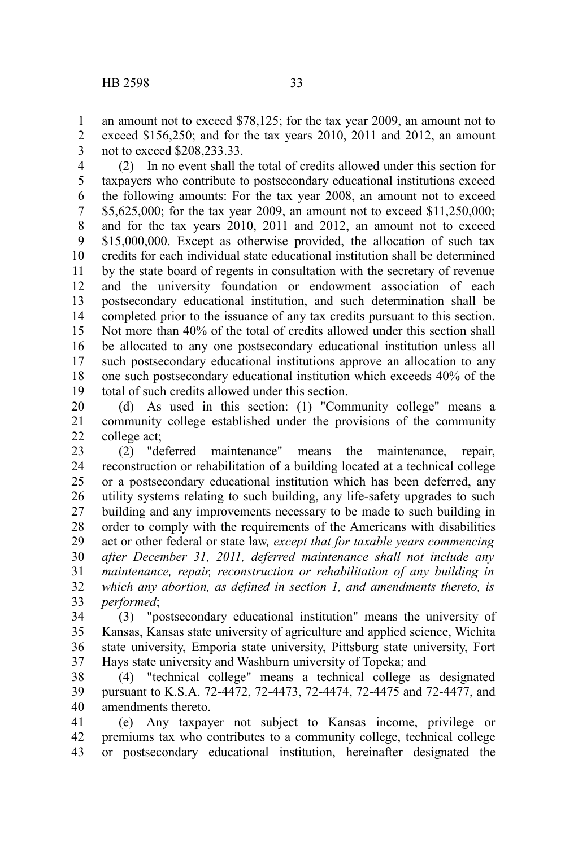an amount not to exceed \$78,125; for the tax year 2009, an amount not to exceed \$156,250; and for the tax years 2010, 2011 and 2012, an amount not to exceed \$208,233.33. 1 2 3

(2) In no event shall the total of credits allowed under this section for taxpayers who contribute to postsecondary educational institutions exceed the following amounts: For the tax year 2008, an amount not to exceed \$5,625,000; for the tax year 2009, an amount not to exceed \$11,250,000; and for the tax years 2010, 2011 and 2012, an amount not to exceed \$15,000,000. Except as otherwise provided, the allocation of such tax credits for each individual state educational institution shall be determined by the state board of regents in consultation with the secretary of revenue and the university foundation or endowment association of each postsecondary educational institution, and such determination shall be completed prior to the issuance of any tax credits pursuant to this section. Not more than 40% of the total of credits allowed under this section shall be allocated to any one postsecondary educational institution unless all such postsecondary educational institutions approve an allocation to any one such postsecondary educational institution which exceeds 40% of the total of such credits allowed under this section. 4 5 6 7 8 9 10 11 12 13 14 15 16 17 18 19

(d) As used in this section: (1) "Community college" means a community college established under the provisions of the community college act; 20 21 22

(2) "deferred maintenance" means the maintenance, repair, reconstruction or rehabilitation of a building located at a technical college or a postsecondary educational institution which has been deferred, any utility systems relating to such building, any life-safety upgrades to such building and any improvements necessary to be made to such building in order to comply with the requirements of the Americans with disabilities act or other federal or state law*, except that for taxable years commencing after December 31, 2011, deferred maintenance shall not include any maintenance, repair, reconstruction or rehabilitation of any building in which any abortion, as defined in section 1, and amendments thereto, is performed*; 23 24 25 26 27 28 29 30 31 32 33

(3) "postsecondary educational institution" means the university of Kansas, Kansas state university of agriculture and applied science, Wichita state university, Emporia state university, Pittsburg state university, Fort Hays state university and Washburn university of Topeka; and 34 35 36 37

(4) "technical college" means a technical college as designated pursuant to K.S.A. 72-4472, 72-4473, 72-4474, 72-4475 and 72-4477, and amendments thereto. 38 39 40

(e) Any taxpayer not subject to Kansas income, privilege or premiums tax who contributes to a community college, technical college or postsecondary educational institution, hereinafter designated the 41 42 43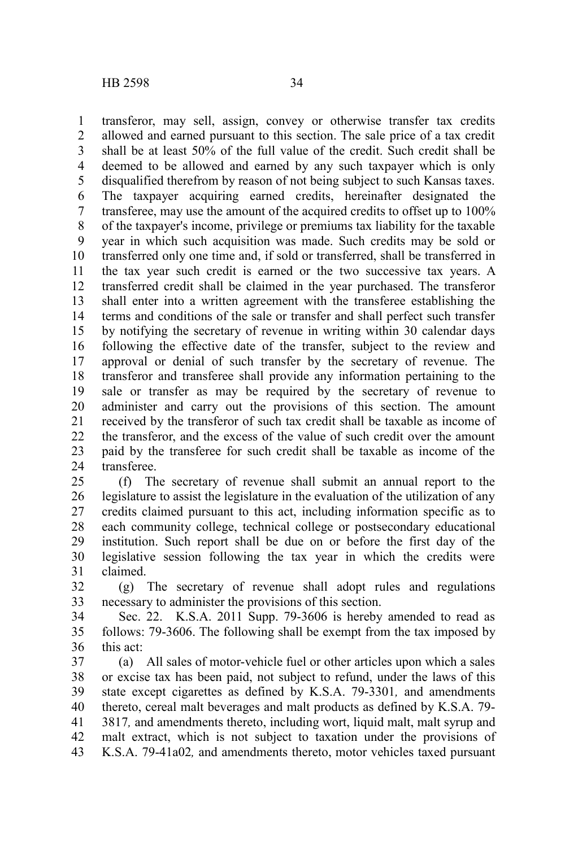transferor, may sell, assign, convey or otherwise transfer tax credits allowed and earned pursuant to this section. The sale price of a tax credit shall be at least 50% of the full value of the credit. Such credit shall be deemed to be allowed and earned by any such taxpayer which is only disqualified therefrom by reason of not being subject to such Kansas taxes. The taxpayer acquiring earned credits, hereinafter designated the transferee, may use the amount of the acquired credits to offset up to 100% of the taxpayer's income, privilege or premiums tax liability for the taxable year in which such acquisition was made. Such credits may be sold or transferred only one time and, if sold or transferred, shall be transferred in the tax year such credit is earned or the two successive tax years. A transferred credit shall be claimed in the year purchased. The transferor shall enter into a written agreement with the transferee establishing the terms and conditions of the sale or transfer and shall perfect such transfer by notifying the secretary of revenue in writing within 30 calendar days following the effective date of the transfer, subject to the review and approval or denial of such transfer by the secretary of revenue. The transferor and transferee shall provide any information pertaining to the sale or transfer as may be required by the secretary of revenue to administer and carry out the provisions of this section. The amount received by the transferor of such tax credit shall be taxable as income of the transferor, and the excess of the value of such credit over the amount paid by the transferee for such credit shall be taxable as income of the transferee. 1 2 3 4 5 6 7 8 9 10 11 12 13 14 15 16 17 18 19 20 21 22 23 24

(f) The secretary of revenue shall submit an annual report to the legislature to assist the legislature in the evaluation of the utilization of any credits claimed pursuant to this act, including information specific as to each community college, technical college or postsecondary educational institution. Such report shall be due on or before the first day of the legislative session following the tax year in which the credits were claimed. 25 26 27 28 29 30 31

(g) The secretary of revenue shall adopt rules and regulations necessary to administer the provisions of this section. 32 33

Sec. 22. K.S.A. 2011 Supp. 79-3606 is hereby amended to read as follows: 79-3606. The following shall be exempt from the tax imposed by this act: 34 35 36

(a) All sales of motor-vehicle fuel or other articles upon which a sales or excise tax has been paid, not subject to refund, under the laws of this state except cigarettes as defined by K.S.A. 79-3301*,* and amendments thereto, cereal malt beverages and malt products as defined by K.S.A. 79- 3817*,* and amendments thereto, including wort, liquid malt, malt syrup and malt extract, which is not subject to taxation under the provisions of K.S.A. 79-41a02*,* and amendments thereto, motor vehicles taxed pursuant 37 38 39 40 41 42 43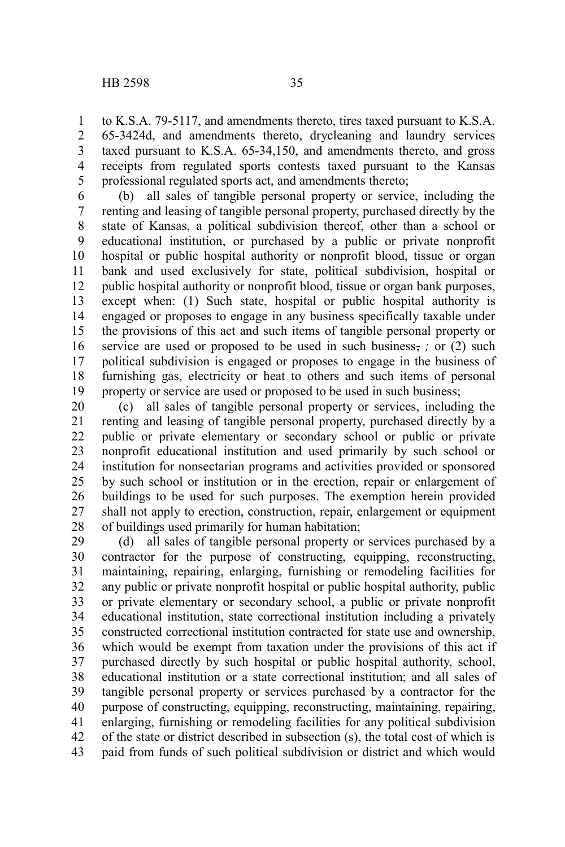to K.S.A. 79-5117, and amendments thereto, tires taxed pursuant to K.S.A. 65-3424d, and amendments thereto, drycleaning and laundry services taxed pursuant to K.S.A. 65-34,150, and amendments thereto, and gross receipts from regulated sports contests taxed pursuant to the Kansas professional regulated sports act, and amendments thereto; 1 2 3 4 5

(b) all sales of tangible personal property or service, including the renting and leasing of tangible personal property, purchased directly by the state of Kansas, a political subdivision thereof, other than a school or educational institution, or purchased by a public or private nonprofit hospital or public hospital authority or nonprofit blood, tissue or organ bank and used exclusively for state, political subdivision, hospital or public hospital authority or nonprofit blood, tissue or organ bank purposes, except when: (1) Such state, hospital or public hospital authority is engaged or proposes to engage in any business specifically taxable under the provisions of this act and such items of tangible personal property or service are used or proposed to be used in such business, *;* or (2) such political subdivision is engaged or proposes to engage in the business of furnishing gas, electricity or heat to others and such items of personal property or service are used or proposed to be used in such business; 6 7 8 9 10 11 12 13 14 15 16 17 18 19

(c) all sales of tangible personal property or services, including the renting and leasing of tangible personal property, purchased directly by a public or private elementary or secondary school or public or private nonprofit educational institution and used primarily by such school or institution for nonsectarian programs and activities provided or sponsored by such school or institution or in the erection, repair or enlargement of buildings to be used for such purposes. The exemption herein provided shall not apply to erection, construction, repair, enlargement or equipment of buildings used primarily for human habitation; 20 21 22 23 24 25 26 27 28

(d) all sales of tangible personal property or services purchased by a contractor for the purpose of constructing, equipping, reconstructing, maintaining, repairing, enlarging, furnishing or remodeling facilities for any public or private nonprofit hospital or public hospital authority, public or private elementary or secondary school, a public or private nonprofit educational institution, state correctional institution including a privately constructed correctional institution contracted for state use and ownership, which would be exempt from taxation under the provisions of this act if purchased directly by such hospital or public hospital authority, school, educational institution or a state correctional institution; and all sales of tangible personal property or services purchased by a contractor for the purpose of constructing, equipping, reconstructing, maintaining, repairing, enlarging, furnishing or remodeling facilities for any political subdivision of the state or district described in subsection (s), the total cost of which is paid from funds of such political subdivision or district and which would 29 30 31 32 33 34 35 36 37 38 39 40 41 42 43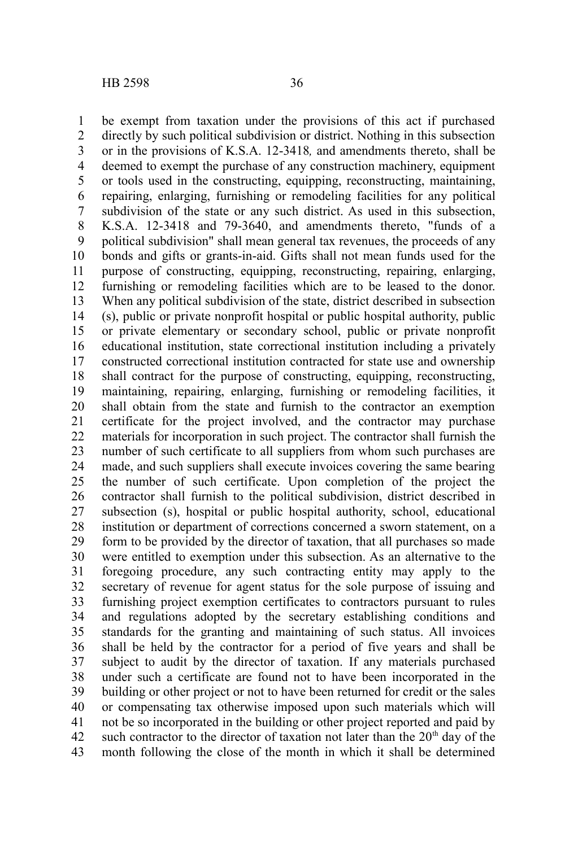be exempt from taxation under the provisions of this act if purchased directly by such political subdivision or district. Nothing in this subsection or in the provisions of K.S.A. 12-3418*,* and amendments thereto, shall be deemed to exempt the purchase of any construction machinery, equipment or tools used in the constructing, equipping, reconstructing, maintaining, repairing, enlarging, furnishing or remodeling facilities for any political subdivision of the state or any such district. As used in this subsection, K.S.A. 12-3418 and 79-3640, and amendments thereto, "funds of a political subdivision" shall mean general tax revenues, the proceeds of any bonds and gifts or grants-in-aid. Gifts shall not mean funds used for the purpose of constructing, equipping, reconstructing, repairing, enlarging, furnishing or remodeling facilities which are to be leased to the donor. When any political subdivision of the state, district described in subsection (s), public or private nonprofit hospital or public hospital authority, public or private elementary or secondary school, public or private nonprofit educational institution, state correctional institution including a privately constructed correctional institution contracted for state use and ownership shall contract for the purpose of constructing, equipping, reconstructing, maintaining, repairing, enlarging, furnishing or remodeling facilities, it shall obtain from the state and furnish to the contractor an exemption certificate for the project involved, and the contractor may purchase materials for incorporation in such project. The contractor shall furnish the number of such certificate to all suppliers from whom such purchases are made, and such suppliers shall execute invoices covering the same bearing the number of such certificate. Upon completion of the project the contractor shall furnish to the political subdivision, district described in subsection (s), hospital or public hospital authority, school, educational institution or department of corrections concerned a sworn statement, on a form to be provided by the director of taxation, that all purchases so made were entitled to exemption under this subsection. As an alternative to the foregoing procedure, any such contracting entity may apply to the secretary of revenue for agent status for the sole purpose of issuing and furnishing project exemption certificates to contractors pursuant to rules and regulations adopted by the secretary establishing conditions and standards for the granting and maintaining of such status. All invoices shall be held by the contractor for a period of five years and shall be subject to audit by the director of taxation. If any materials purchased under such a certificate are found not to have been incorporated in the building or other project or not to have been returned for credit or the sales or compensating tax otherwise imposed upon such materials which will not be so incorporated in the building or other project reported and paid by such contractor to the director of taxation not later than the  $20<sup>th</sup>$  day of the month following the close of the month in which it shall be determined 1 2 3 4 5 6 7 8 9 10 11 12 13 14 15 16 17 18 19 20 21 22 23 24 25 26 27 28 29 30 31 32 33 34 35 36 37 38 39 40 41 42 43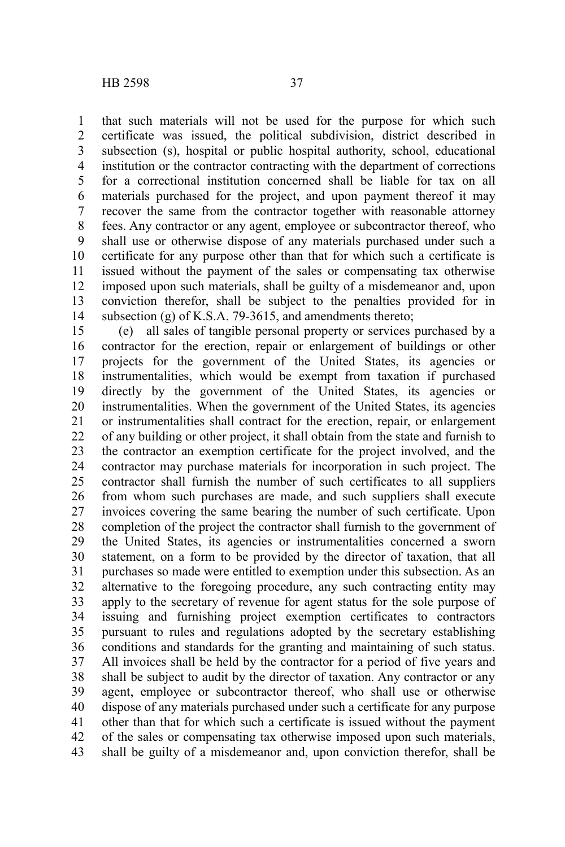that such materials will not be used for the purpose for which such certificate was issued, the political subdivision, district described in subsection (s), hospital or public hospital authority, school, educational institution or the contractor contracting with the department of corrections for a correctional institution concerned shall be liable for tax on all materials purchased for the project, and upon payment thereof it may recover the same from the contractor together with reasonable attorney fees. Any contractor or any agent, employee or subcontractor thereof, who shall use or otherwise dispose of any materials purchased under such a certificate for any purpose other than that for which such a certificate is issued without the payment of the sales or compensating tax otherwise imposed upon such materials, shall be guilty of a misdemeanor and, upon conviction therefor, shall be subject to the penalties provided for in subsection (g) of K.S.A. 79-3615, and amendments thereto; 1 2 3 4 5 6 7 8 9 10 11 12 13 14

(e) all sales of tangible personal property or services purchased by a contractor for the erection, repair or enlargement of buildings or other projects for the government of the United States, its agencies or instrumentalities, which would be exempt from taxation if purchased directly by the government of the United States, its agencies or instrumentalities. When the government of the United States, its agencies or instrumentalities shall contract for the erection, repair, or enlargement of any building or other project, it shall obtain from the state and furnish to the contractor an exemption certificate for the project involved, and the contractor may purchase materials for incorporation in such project. The contractor shall furnish the number of such certificates to all suppliers from whom such purchases are made, and such suppliers shall execute invoices covering the same bearing the number of such certificate. Upon completion of the project the contractor shall furnish to the government of the United States, its agencies or instrumentalities concerned a sworn statement, on a form to be provided by the director of taxation, that all purchases so made were entitled to exemption under this subsection. As an alternative to the foregoing procedure, any such contracting entity may apply to the secretary of revenue for agent status for the sole purpose of issuing and furnishing project exemption certificates to contractors pursuant to rules and regulations adopted by the secretary establishing conditions and standards for the granting and maintaining of such status. All invoices shall be held by the contractor for a period of five years and shall be subject to audit by the director of taxation. Any contractor or any agent, employee or subcontractor thereof, who shall use or otherwise dispose of any materials purchased under such a certificate for any purpose other than that for which such a certificate is issued without the payment of the sales or compensating tax otherwise imposed upon such materials, shall be guilty of a misdemeanor and, upon conviction therefor, shall be 15 16 17 18 19 20 21 22 23 24 25 26 27 28 29 30 31 32 33 34 35 36 37 38 39 40 41 42 43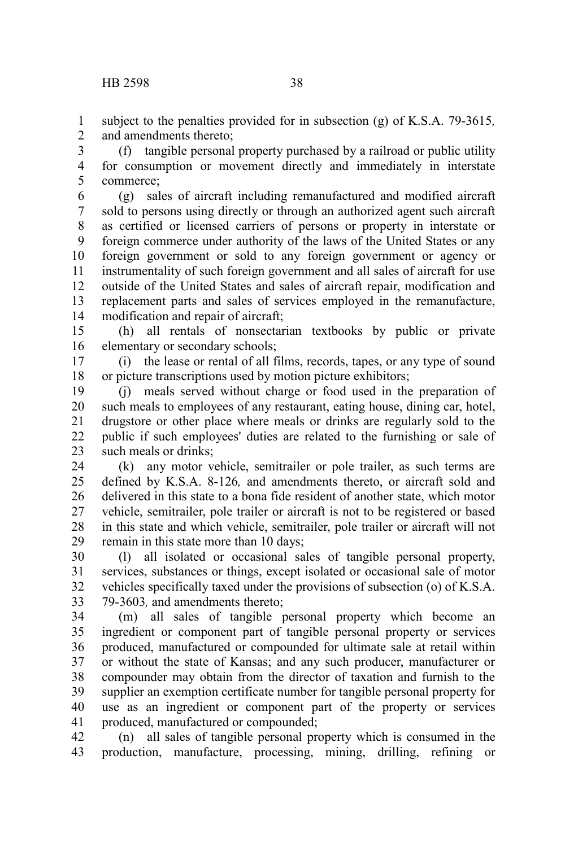subject to the penalties provided for in subsection (g) of K.S.A. 79-3615*,* and amendments thereto; 1 2

(f) tangible personal property purchased by a railroad or public utility for consumption or movement directly and immediately in interstate commerce; 3 4 5

(g) sales of aircraft including remanufactured and modified aircraft sold to persons using directly or through an authorized agent such aircraft as certified or licensed carriers of persons or property in interstate or foreign commerce under authority of the laws of the United States or any foreign government or sold to any foreign government or agency or instrumentality of such foreign government and all sales of aircraft for use outside of the United States and sales of aircraft repair, modification and replacement parts and sales of services employed in the remanufacture, modification and repair of aircraft; 6 7 8 9 10 11 12 13 14

(h) all rentals of nonsectarian textbooks by public or private elementary or secondary schools; 15 16

(i) the lease or rental of all films, records, tapes, or any type of sound or picture transcriptions used by motion picture exhibitors; 17 18

(j) meals served without charge or food used in the preparation of such meals to employees of any restaurant, eating house, dining car, hotel, drugstore or other place where meals or drinks are regularly sold to the public if such employees' duties are related to the furnishing or sale of such meals or drinks; 19 20 21 22 23

(k) any motor vehicle, semitrailer or pole trailer, as such terms are defined by K.S.A. 8-126*,* and amendments thereto, or aircraft sold and delivered in this state to a bona fide resident of another state, which motor vehicle, semitrailer, pole trailer or aircraft is not to be registered or based in this state and which vehicle, semitrailer, pole trailer or aircraft will not remain in this state more than 10 days; 24 25 26 27 28 29

(l) all isolated or occasional sales of tangible personal property, services, substances or things, except isolated or occasional sale of motor vehicles specifically taxed under the provisions of subsection (o) of K.S.A. 79-3603*,* and amendments thereto; 30 31 32 33

(m) all sales of tangible personal property which become an ingredient or component part of tangible personal property or services produced, manufactured or compounded for ultimate sale at retail within or without the state of Kansas; and any such producer, manufacturer or compounder may obtain from the director of taxation and furnish to the supplier an exemption certificate number for tangible personal property for use as an ingredient or component part of the property or services produced, manufactured or compounded; 34 35 36 37 38 39 40 41

(n) all sales of tangible personal property which is consumed in the production, manufacture, processing, mining, drilling, refining or 42 43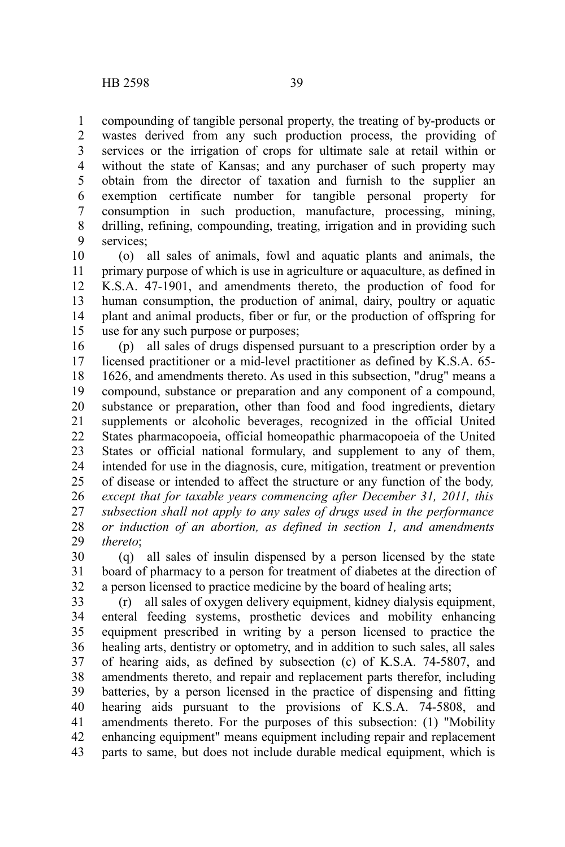compounding of tangible personal property, the treating of by-products or wastes derived from any such production process, the providing of services or the irrigation of crops for ultimate sale at retail within or without the state of Kansas; and any purchaser of such property may obtain from the director of taxation and furnish to the supplier an exemption certificate number for tangible personal property for consumption in such production, manufacture, processing, mining, drilling, refining, compounding, treating, irrigation and in providing such services<sup>.</sup> 1 2 3 4 5 6 7 8 9

(o) all sales of animals, fowl and aquatic plants and animals, the primary purpose of which is use in agriculture or aquaculture, as defined in K.S.A. 47-1901, and amendments thereto, the production of food for human consumption, the production of animal, dairy, poultry or aquatic plant and animal products, fiber or fur, or the production of offspring for use for any such purpose or purposes; 10 11 12 13 14 15

(p) all sales of drugs dispensed pursuant to a prescription order by a licensed practitioner or a mid-level practitioner as defined by K.S.A. 65- 1626, and amendments thereto. As used in this subsection, "drug" means a compound, substance or preparation and any component of a compound, substance or preparation, other than food and food ingredients, dietary supplements or alcoholic beverages, recognized in the official United States pharmacopoeia, official homeopathic pharmacopoeia of the United States or official national formulary, and supplement to any of them, intended for use in the diagnosis, cure, mitigation, treatment or prevention of disease or intended to affect the structure or any function of the body*, except that for taxable years commencing after December 31, 2011, this subsection shall not apply to any sales of drugs used in the performance or induction of an abortion, as defined in section 1, and amendments thereto*; 16 17 18 19 20 21 22 23 24 25 26 27 28 29

(q) all sales of insulin dispensed by a person licensed by the state board of pharmacy to a person for treatment of diabetes at the direction of a person licensed to practice medicine by the board of healing arts; 30 31 32

(r) all sales of oxygen delivery equipment, kidney dialysis equipment, enteral feeding systems, prosthetic devices and mobility enhancing equipment prescribed in writing by a person licensed to practice the healing arts, dentistry or optometry, and in addition to such sales, all sales of hearing aids, as defined by subsection (c) of K.S.A. 74-5807, and amendments thereto, and repair and replacement parts therefor, including batteries, by a person licensed in the practice of dispensing and fitting hearing aids pursuant to the provisions of K.S.A. 74-5808, and amendments thereto. For the purposes of this subsection: (1) "Mobility enhancing equipment" means equipment including repair and replacement parts to same, but does not include durable medical equipment, which is 33 34 35 36 37 38 39 40 41 42 43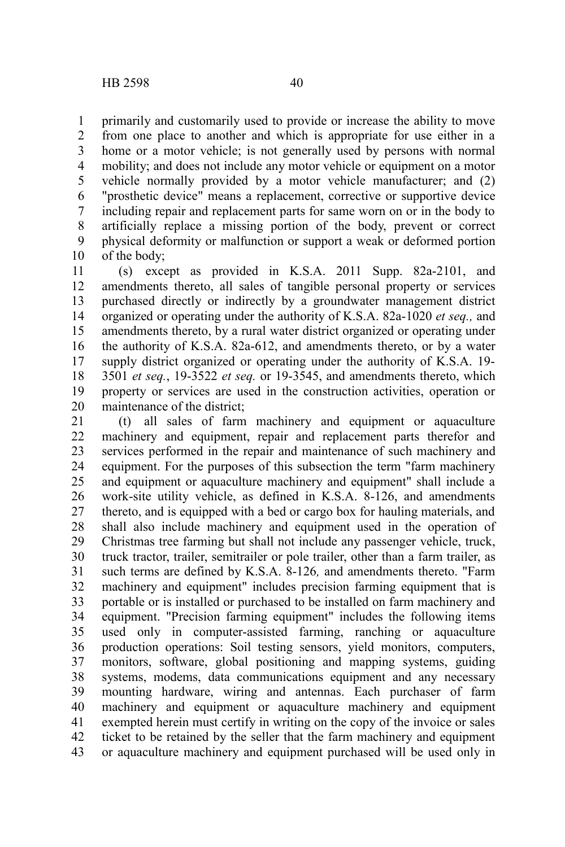primarily and customarily used to provide or increase the ability to move from one place to another and which is appropriate for use either in a home or a motor vehicle; is not generally used by persons with normal mobility; and does not include any motor vehicle or equipment on a motor vehicle normally provided by a motor vehicle manufacturer; and (2) "prosthetic device" means a replacement, corrective or supportive device including repair and replacement parts for same worn on or in the body to artificially replace a missing portion of the body, prevent or correct physical deformity or malfunction or support a weak or deformed portion of the body; 1 2 3 4 5 6 7 8 9 10

(s) except as provided in K.S.A. 2011 Supp. 82a-2101, and amendments thereto, all sales of tangible personal property or services purchased directly or indirectly by a groundwater management district organized or operating under the authority of K.S.A. 82a-1020 *et seq.,* and amendments thereto, by a rural water district organized or operating under the authority of K.S.A. 82a-612, and amendments thereto, or by a water supply district organized or operating under the authority of K.S.A. 19- 3501 *et seq.*, 19-3522 *et seq.* or 19-3545, and amendments thereto, which property or services are used in the construction activities, operation or maintenance of the district; 11 12 13 14 15 16 17 18 19 20

(t) all sales of farm machinery and equipment or aquaculture machinery and equipment, repair and replacement parts therefor and services performed in the repair and maintenance of such machinery and equipment. For the purposes of this subsection the term "farm machinery and equipment or aquaculture machinery and equipment" shall include a work-site utility vehicle, as defined in K.S.A. 8-126, and amendments thereto, and is equipped with a bed or cargo box for hauling materials, and shall also include machinery and equipment used in the operation of Christmas tree farming but shall not include any passenger vehicle, truck, truck tractor, trailer, semitrailer or pole trailer, other than a farm trailer, as such terms are defined by K.S.A. 8-126*,* and amendments thereto. "Farm machinery and equipment" includes precision farming equipment that is portable or is installed or purchased to be installed on farm machinery and equipment. "Precision farming equipment" includes the following items used only in computer-assisted farming, ranching or aquaculture production operations: Soil testing sensors, yield monitors, computers, monitors, software, global positioning and mapping systems, guiding systems, modems, data communications equipment and any necessary mounting hardware, wiring and antennas. Each purchaser of farm machinery and equipment or aquaculture machinery and equipment exempted herein must certify in writing on the copy of the invoice or sales ticket to be retained by the seller that the farm machinery and equipment or aquaculture machinery and equipment purchased will be used only in 21 22 23 24 25 26 27 28 29 30 31 32 33 34 35 36 37 38 39 40 41 42 43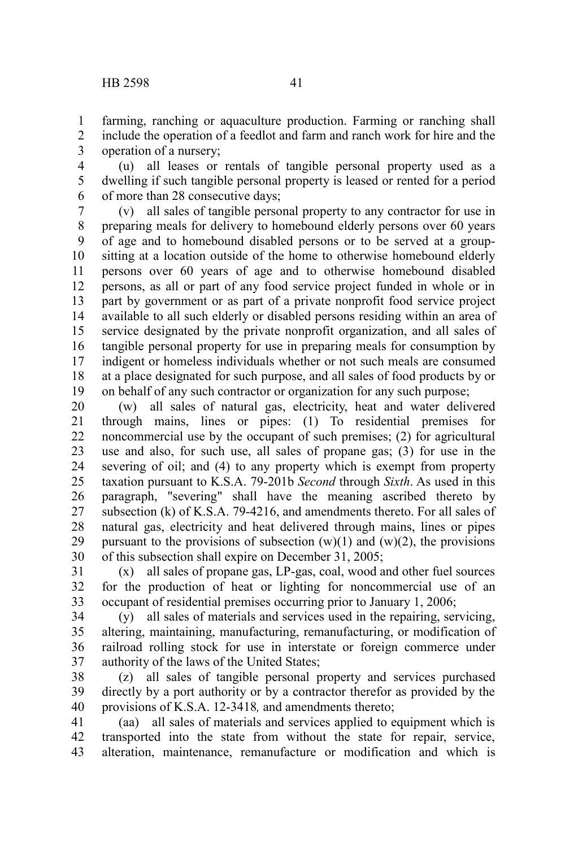farming, ranching or aquaculture production. Farming or ranching shall include the operation of a feedlot and farm and ranch work for hire and the operation of a nursery; 1 2 3

(u) all leases or rentals of tangible personal property used as a dwelling if such tangible personal property is leased or rented for a period of more than 28 consecutive days; 4 5 6

(v) all sales of tangible personal property to any contractor for use in preparing meals for delivery to homebound elderly persons over 60 years of age and to homebound disabled persons or to be served at a groupsitting at a location outside of the home to otherwise homebound elderly persons over 60 years of age and to otherwise homebound disabled persons, as all or part of any food service project funded in whole or in part by government or as part of a private nonprofit food service project available to all such elderly or disabled persons residing within an area of service designated by the private nonprofit organization, and all sales of tangible personal property for use in preparing meals for consumption by indigent or homeless individuals whether or not such meals are consumed at a place designated for such purpose, and all sales of food products by or on behalf of any such contractor or organization for any such purpose; 7 8 9 10 11 12 13 14 15 16 17 18 19

(w) all sales of natural gas, electricity, heat and water delivered through mains, lines or pipes: (1) To residential premises for noncommercial use by the occupant of such premises; (2) for agricultural use and also, for such use, all sales of propane gas; (3) for use in the severing of oil; and (4) to any property which is exempt from property taxation pursuant to K.S.A. 79-201b *Second* through *Sixth*. As used in this paragraph, "severing" shall have the meaning ascribed thereto by subsection (k) of K.S.A. 79-4216, and amendments thereto. For all sales of natural gas, electricity and heat delivered through mains, lines or pipes pursuant to the provisions of subsection  $(w)(1)$  and  $(w)(2)$ , the provisions of this subsection shall expire on December 31, 2005; 20 21 22 23 24 25 26 27 28 29 30

(x) all sales of propane gas, LP-gas, coal, wood and other fuel sources for the production of heat or lighting for noncommercial use of an occupant of residential premises occurring prior to January 1, 2006; 31 32 33

(y) all sales of materials and services used in the repairing, servicing, altering, maintaining, manufacturing, remanufacturing, or modification of railroad rolling stock for use in interstate or foreign commerce under authority of the laws of the United States; 34 35 36 37

(z) all sales of tangible personal property and services purchased directly by a port authority or by a contractor therefor as provided by the provisions of K.S.A. 12-3418*,* and amendments thereto; 38 39 40

(aa) all sales of materials and services applied to equipment which is transported into the state from without the state for repair, service, alteration, maintenance, remanufacture or modification and which is 41 42 43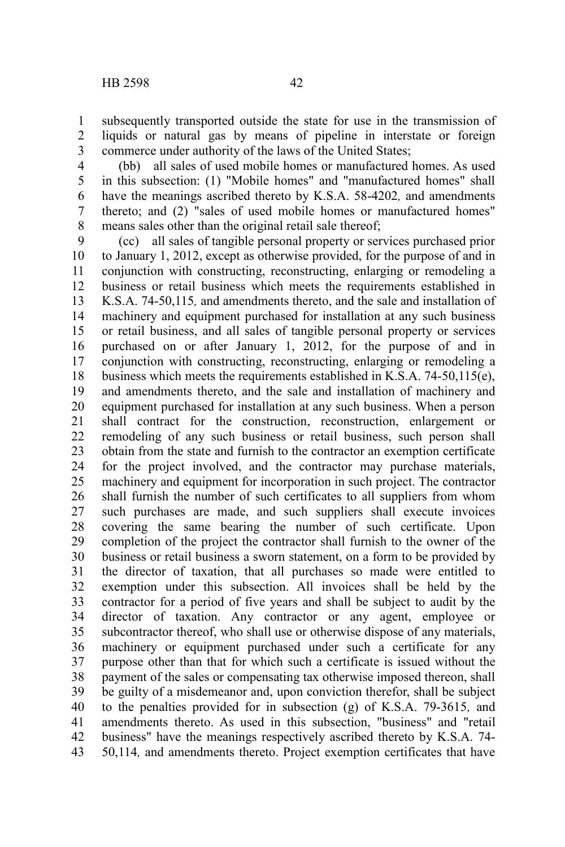subsequently transported outside the state for use in the transmission of liquids or natural gas by means of pipeline in interstate or foreign commerce under authority of the laws of the United States; 1 2 3

(bb) all sales of used mobile homes or manufactured homes. As used in this subsection: (1) "Mobile homes" and "manufactured homes" shall have the meanings ascribed thereto by K.S.A. 58-4202*,* and amendments thereto; and (2) "sales of used mobile homes or manufactured homes" means sales other than the original retail sale thereof; 4 5 6 7 8

(cc) all sales of tangible personal property or services purchased prior to January 1, 2012, except as otherwise provided, for the purpose of and in conjunction with constructing, reconstructing, enlarging or remodeling a business or retail business which meets the requirements established in K.S.A. 74-50,115*,* and amendments thereto, and the sale and installation of machinery and equipment purchased for installation at any such business or retail business, and all sales of tangible personal property or services purchased on or after January 1, 2012, for the purpose of and in conjunction with constructing, reconstructing, enlarging or remodeling a business which meets the requirements established in K.S.A. 74-50,115(e), and amendments thereto, and the sale and installation of machinery and equipment purchased for installation at any such business. When a person shall contract for the construction, reconstruction, enlargement or remodeling of any such business or retail business, such person shall obtain from the state and furnish to the contractor an exemption certificate for the project involved, and the contractor may purchase materials, machinery and equipment for incorporation in such project. The contractor shall furnish the number of such certificates to all suppliers from whom such purchases are made, and such suppliers shall execute invoices covering the same bearing the number of such certificate. Upon completion of the project the contractor shall furnish to the owner of the business or retail business a sworn statement, on a form to be provided by the director of taxation, that all purchases so made were entitled to exemption under this subsection. All invoices shall be held by the contractor for a period of five years and shall be subject to audit by the director of taxation. Any contractor or any agent, employee or subcontractor thereof, who shall use or otherwise dispose of any materials, machinery or equipment purchased under such a certificate for any purpose other than that for which such a certificate is issued without the payment of the sales or compensating tax otherwise imposed thereon, shall be guilty of a misdemeanor and, upon conviction therefor, shall be subject to the penalties provided for in subsection (g) of K.S.A. 79-3615*,* and amendments thereto. As used in this subsection, "business" and "retail business" have the meanings respectively ascribed thereto by K.S.A. 74- 50,114*,* and amendments thereto. Project exemption certificates that have 9 10 11 12 13 14 15 16 17 18 19 20 21 22 23 24 25 26 27 28 29 30 31 32 33 34 35 36 37 38 39 40 41 42 43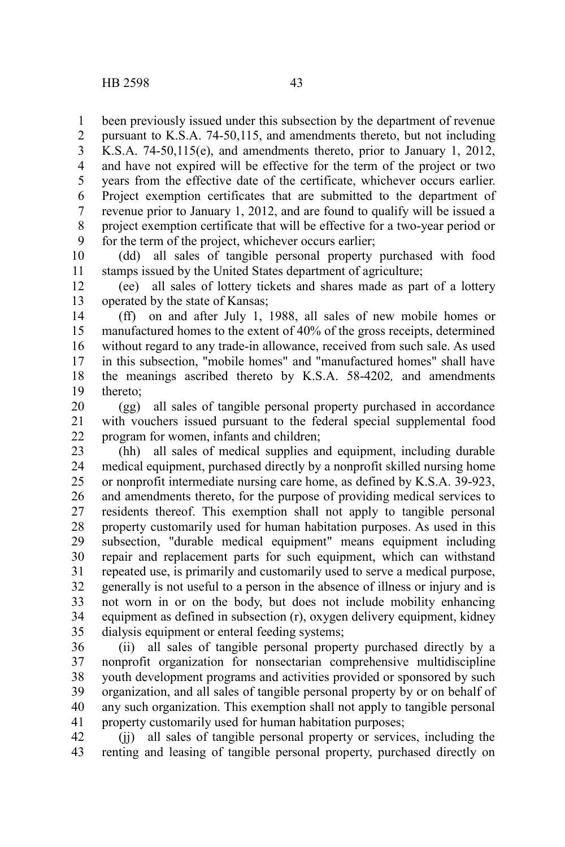been previously issued under this subsection by the department of revenue 1

pursuant to K.S.A. 74-50,115, and amendments thereto, but not including K.S.A. 74-50,115(e), and amendments thereto, prior to January 1, 2012, and have not expired will be effective for the term of the project or two years from the effective date of the certificate, whichever occurs earlier. Project exemption certificates that are submitted to the department of revenue prior to January 1, 2012, and are found to qualify will be issued a project exemption certificate that will be effective for a two-year period or for the term of the project, whichever occurs earlier; 2 3 4 5 6 7 8 9

(dd) all sales of tangible personal property purchased with food stamps issued by the United States department of agriculture; 10 11

(ee) all sales of lottery tickets and shares made as part of a lottery operated by the state of Kansas; 12 13

(ff) on and after July 1, 1988, all sales of new mobile homes or manufactured homes to the extent of 40% of the gross receipts, determined without regard to any trade-in allowance, received from such sale. As used in this subsection, "mobile homes" and "manufactured homes" shall have the meanings ascribed thereto by K.S.A. 58-4202*,* and amendments thereto; 14 15 16 17 18 19

(gg) all sales of tangible personal property purchased in accordance with vouchers issued pursuant to the federal special supplemental food program for women, infants and children; 20 21 22

(hh) all sales of medical supplies and equipment, including durable medical equipment, purchased directly by a nonprofit skilled nursing home or nonprofit intermediate nursing care home, as defined by K.S.A. 39-923, and amendments thereto, for the purpose of providing medical services to residents thereof. This exemption shall not apply to tangible personal property customarily used for human habitation purposes. As used in this subsection, "durable medical equipment" means equipment including repair and replacement parts for such equipment, which can withstand repeated use, is primarily and customarily used to serve a medical purpose, generally is not useful to a person in the absence of illness or injury and is not worn in or on the body, but does not include mobility enhancing equipment as defined in subsection (r), oxygen delivery equipment, kidney dialysis equipment or enteral feeding systems; 23 24 25 26 27 28 29 30 31 32 33 34 35

(ii) all sales of tangible personal property purchased directly by a nonprofit organization for nonsectarian comprehensive multidiscipline youth development programs and activities provided or sponsored by such organization, and all sales of tangible personal property by or on behalf of any such organization. This exemption shall not apply to tangible personal property customarily used for human habitation purposes; 36 37 38 39 40 41

(jj) all sales of tangible personal property or services, including the renting and leasing of tangible personal property, purchased directly on 42 43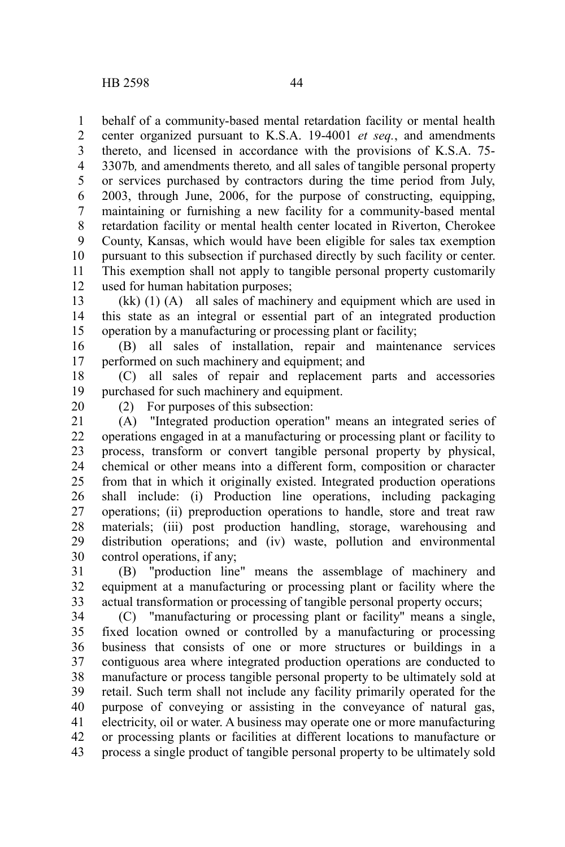behalf of a community-based mental retardation facility or mental health center organized pursuant to K.S.A. 19-4001 *et seq.*, and amendments thereto, and licensed in accordance with the provisions of K.S.A. 75- 3307b*,* and amendments thereto*,* and all sales of tangible personal property or services purchased by contractors during the time period from July, 2003, through June, 2006, for the purpose of constructing, equipping, maintaining or furnishing a new facility for a community-based mental retardation facility or mental health center located in Riverton, Cherokee County, Kansas, which would have been eligible for sales tax exemption pursuant to this subsection if purchased directly by such facility or center. This exemption shall not apply to tangible personal property customarily used for human habitation purposes; 1 2 3 4 5 6 7 8 9 10 11 12

(kk) (1) (A) all sales of machinery and equipment which are used in this state as an integral or essential part of an integrated production operation by a manufacturing or processing plant or facility; 13 14 15

(B) all sales of installation, repair and maintenance services performed on such machinery and equipment; and 16 17

(C) all sales of repair and replacement parts and accessories purchased for such machinery and equipment. 18 19

20

(2) For purposes of this subsection:

(A) "Integrated production operation" means an integrated series of operations engaged in at a manufacturing or processing plant or facility to process, transform or convert tangible personal property by physical, chemical or other means into a different form, composition or character from that in which it originally existed. Integrated production operations shall include: (i) Production line operations, including packaging operations; (ii) preproduction operations to handle, store and treat raw materials; (iii) post production handling, storage, warehousing and distribution operations; and (iv) waste, pollution and environmental control operations, if any; 21 22 23 24 25 26 27 28 29 30

(B) "production line" means the assemblage of machinery and equipment at a manufacturing or processing plant or facility where the actual transformation or processing of tangible personal property occurs; 31 32 33

(C) "manufacturing or processing plant or facility" means a single, fixed location owned or controlled by a manufacturing or processing business that consists of one or more structures or buildings in a contiguous area where integrated production operations are conducted to manufacture or process tangible personal property to be ultimately sold at retail. Such term shall not include any facility primarily operated for the purpose of conveying or assisting in the conveyance of natural gas, electricity, oil or water. A business may operate one or more manufacturing or processing plants or facilities at different locations to manufacture or process a single product of tangible personal property to be ultimately sold 34 35 36 37 38 39 40 41 42 43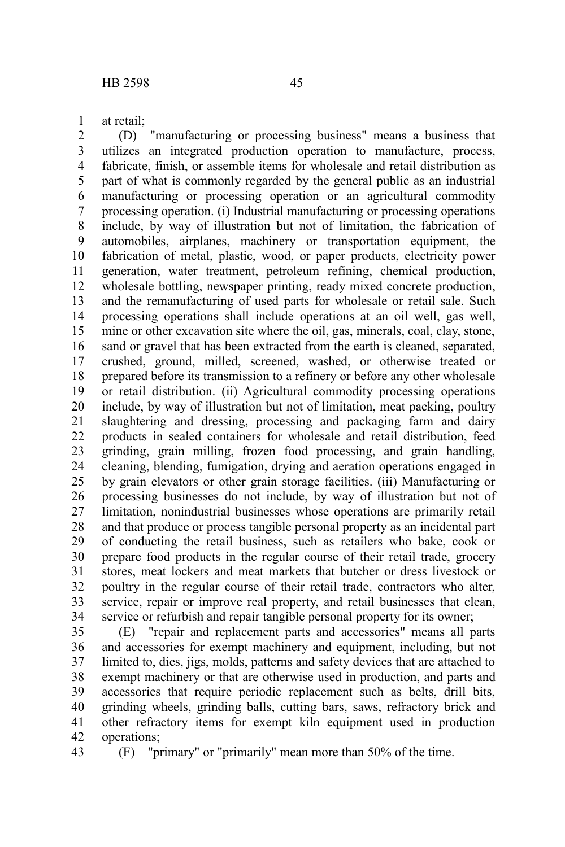at retail; 1

(D) "manufacturing or processing business" means a business that utilizes an integrated production operation to manufacture, process, fabricate, finish, or assemble items for wholesale and retail distribution as part of what is commonly regarded by the general public as an industrial manufacturing or processing operation or an agricultural commodity processing operation. (i) Industrial manufacturing or processing operations include, by way of illustration but not of limitation, the fabrication of automobiles, airplanes, machinery or transportation equipment, the fabrication of metal, plastic, wood, or paper products, electricity power generation, water treatment, petroleum refining, chemical production, wholesale bottling, newspaper printing, ready mixed concrete production, and the remanufacturing of used parts for wholesale or retail sale. Such processing operations shall include operations at an oil well, gas well, mine or other excavation site where the oil, gas, minerals, coal, clay, stone, sand or gravel that has been extracted from the earth is cleaned, separated, crushed, ground, milled, screened, washed, or otherwise treated or prepared before its transmission to a refinery or before any other wholesale or retail distribution. (ii) Agricultural commodity processing operations include, by way of illustration but not of limitation, meat packing, poultry slaughtering and dressing, processing and packaging farm and dairy products in sealed containers for wholesale and retail distribution, feed grinding, grain milling, frozen food processing, and grain handling, cleaning, blending, fumigation, drying and aeration operations engaged in by grain elevators or other grain storage facilities. (iii) Manufacturing or processing businesses do not include, by way of illustration but not of limitation, nonindustrial businesses whose operations are primarily retail and that produce or process tangible personal property as an incidental part of conducting the retail business, such as retailers who bake, cook or prepare food products in the regular course of their retail trade, grocery stores, meat lockers and meat markets that butcher or dress livestock or poultry in the regular course of their retail trade, contractors who alter, service, repair or improve real property, and retail businesses that clean, service or refurbish and repair tangible personal property for its owner; 2 3 4 5 6 7 8 9 10 11 12 13 14 15 16 17 18 19 20 21 22 23 24 25 26 27 28 29 30 31 32 33 34

(E) "repair and replacement parts and accessories" means all parts and accessories for exempt machinery and equipment, including, but not limited to, dies, jigs, molds, patterns and safety devices that are attached to exempt machinery or that are otherwise used in production, and parts and accessories that require periodic replacement such as belts, drill bits, grinding wheels, grinding balls, cutting bars, saws, refractory brick and other refractory items for exempt kiln equipment used in production operations; 35 36 37 38 39 40 41 42

43

(F) "primary" or "primarily" mean more than 50% of the time.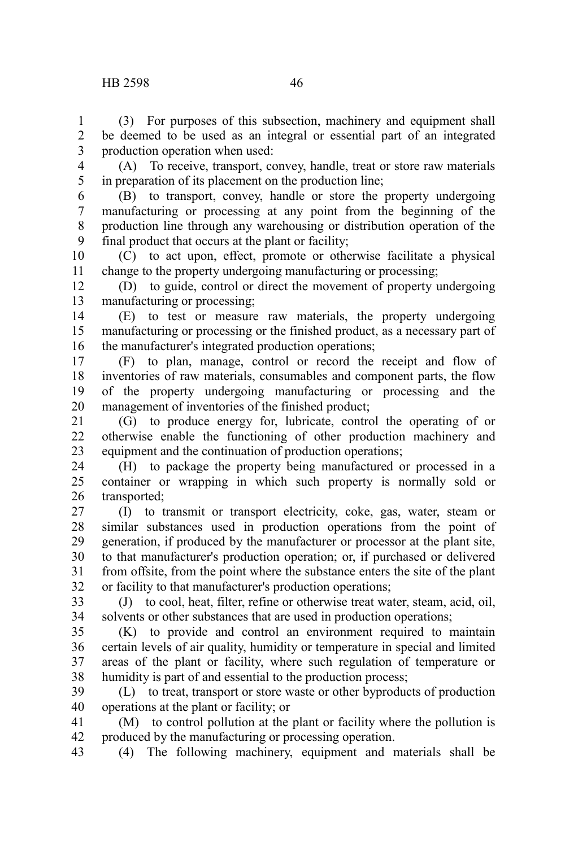## HB 2598 46

(3) For purposes of this subsection, machinery and equipment shall be deemed to be used as an integral or essential part of an integrated production operation when used: 1 2 3

4 5

(A) To receive, transport, convey, handle, treat or store raw materials in preparation of its placement on the production line;

(B) to transport, convey, handle or store the property undergoing manufacturing or processing at any point from the beginning of the production line through any warehousing or distribution operation of the final product that occurs at the plant or facility; 6 7 8 9

(C) to act upon, effect, promote or otherwise facilitate a physical change to the property undergoing manufacturing or processing; 10 11

(D) to guide, control or direct the movement of property undergoing manufacturing or processing; 12 13

(E) to test or measure raw materials, the property undergoing manufacturing or processing or the finished product, as a necessary part of the manufacturer's integrated production operations; 14 15 16

(F) to plan, manage, control or record the receipt and flow of inventories of raw materials, consumables and component parts, the flow of the property undergoing manufacturing or processing and the management of inventories of the finished product; 17 18 19 20

(G) to produce energy for, lubricate, control the operating of or otherwise enable the functioning of other production machinery and equipment and the continuation of production operations; 21 22 23

(H) to package the property being manufactured or processed in a container or wrapping in which such property is normally sold or transported; 24 25 26

(I) to transmit or transport electricity, coke, gas, water, steam or similar substances used in production operations from the point of generation, if produced by the manufacturer or processor at the plant site, to that manufacturer's production operation; or, if purchased or delivered from offsite, from the point where the substance enters the site of the plant or facility to that manufacturer's production operations; 27 28 29 30 31 32

(J) to cool, heat, filter, refine or otherwise treat water, steam, acid, oil, solvents or other substances that are used in production operations; 33 34

(K) to provide and control an environment required to maintain certain levels of air quality, humidity or temperature in special and limited areas of the plant or facility, where such regulation of temperature or humidity is part of and essential to the production process; 35 36 37 38

(L) to treat, transport or store waste or other byproducts of production operations at the plant or facility; or 39 40

(M) to control pollution at the plant or facility where the pollution is produced by the manufacturing or processing operation. 41 42

(4) The following machinery, equipment and materials shall be 43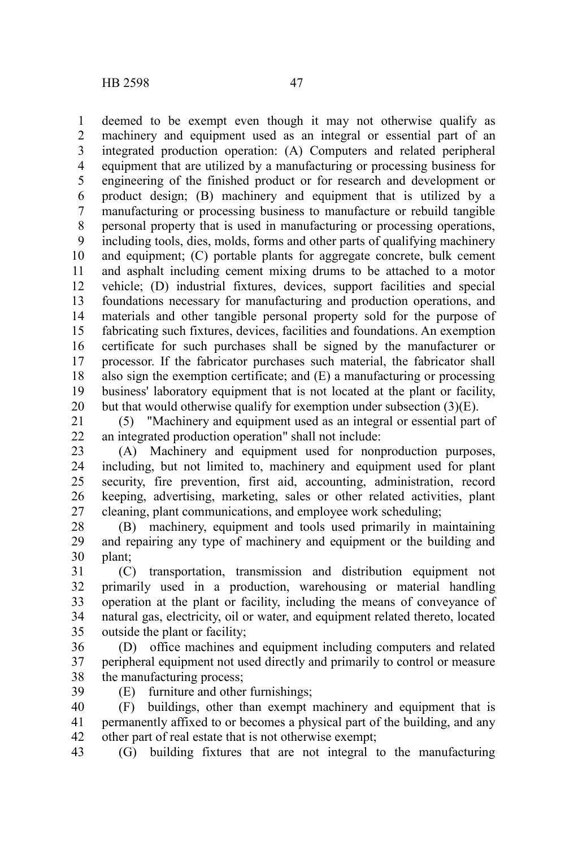deemed to be exempt even though it may not otherwise qualify as machinery and equipment used as an integral or essential part of an integrated production operation: (A) Computers and related peripheral equipment that are utilized by a manufacturing or processing business for engineering of the finished product or for research and development or product design; (B) machinery and equipment that is utilized by a manufacturing or processing business to manufacture or rebuild tangible personal property that is used in manufacturing or processing operations, including tools, dies, molds, forms and other parts of qualifying machinery and equipment; (C) portable plants for aggregate concrete, bulk cement and asphalt including cement mixing drums to be attached to a motor vehicle; (D) industrial fixtures, devices, support facilities and special foundations necessary for manufacturing and production operations, and materials and other tangible personal property sold for the purpose of fabricating such fixtures, devices, facilities and foundations. An exemption certificate for such purchases shall be signed by the manufacturer or processor. If the fabricator purchases such material, the fabricator shall also sign the exemption certificate; and (E) a manufacturing or processing business' laboratory equipment that is not located at the plant or facility, but that would otherwise qualify for exemption under subsection (3)(E). 1 2 3 4 5 6 7 8 9 10 11 12 13 14 15 16 17 18 19 20

(5) "Machinery and equipment used as an integral or essential part of an integrated production operation" shall not include: 21 22

(A) Machinery and equipment used for nonproduction purposes, including, but not limited to, machinery and equipment used for plant security, fire prevention, first aid, accounting, administration, record keeping, advertising, marketing, sales or other related activities, plant cleaning, plant communications, and employee work scheduling; 23 24 25 26 27

(B) machinery, equipment and tools used primarily in maintaining and repairing any type of machinery and equipment or the building and plant; 28 29 30

(C) transportation, transmission and distribution equipment not primarily used in a production, warehousing or material handling operation at the plant or facility, including the means of conveyance of natural gas, electricity, oil or water, and equipment related thereto, located outside the plant or facility; 31 32 33 34 35

(D) office machines and equipment including computers and related peripheral equipment not used directly and primarily to control or measure the manufacturing process; 36 37 38

(E) furniture and other furnishings; 39

(F) buildings, other than exempt machinery and equipment that is permanently affixed to or becomes a physical part of the building, and any other part of real estate that is not otherwise exempt; 40 41 42

(G) building fixtures that are not integral to the manufacturing 43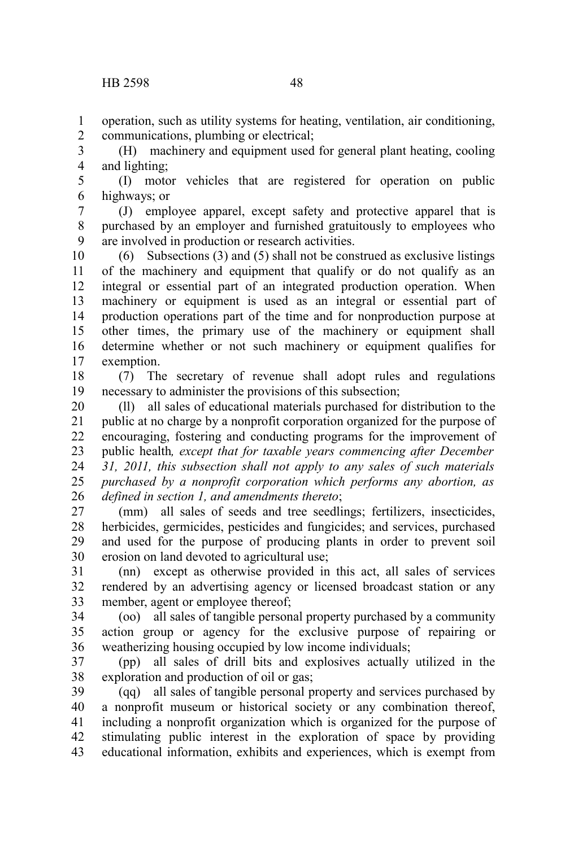operation, such as utility systems for heating, ventilation, air conditioning, communications, plumbing or electrical; 1 2

(H) machinery and equipment used for general plant heating, cooling and lighting; 3 4

(I) motor vehicles that are registered for operation on public highways; or 5 6

(J) employee apparel, except safety and protective apparel that is purchased by an employer and furnished gratuitously to employees who are involved in production or research activities. 7 8 9

(6) Subsections (3) and (5) shall not be construed as exclusive listings of the machinery and equipment that qualify or do not qualify as an integral or essential part of an integrated production operation. When machinery or equipment is used as an integral or essential part of production operations part of the time and for nonproduction purpose at other times, the primary use of the machinery or equipment shall determine whether or not such machinery or equipment qualifies for exemption. 10 11 12 13 14 15 16 17

(7) The secretary of revenue shall adopt rules and regulations necessary to administer the provisions of this subsection; 18 19

(ll) all sales of educational materials purchased for distribution to the public at no charge by a nonprofit corporation organized for the purpose of encouraging, fostering and conducting programs for the improvement of public health*, except that for taxable years commencing after December 31, 2011, this subsection shall not apply to any sales of such materials purchased by a nonprofit corporation which performs any abortion, as defined in section 1, and amendments thereto*; 20 21 22 23 24 25 26

(mm) all sales of seeds and tree seedlings; fertilizers, insecticides, herbicides, germicides, pesticides and fungicides; and services, purchased and used for the purpose of producing plants in order to prevent soil erosion on land devoted to agricultural use; 27 28 29 30

(nn) except as otherwise provided in this act, all sales of services rendered by an advertising agency or licensed broadcast station or any member, agent or employee thereof; 31 32 33

(oo) all sales of tangible personal property purchased by a community action group or agency for the exclusive purpose of repairing or weatherizing housing occupied by low income individuals; 34 35 36

(pp) all sales of drill bits and explosives actually utilized in the exploration and production of oil or gas; 37 38

(qq) all sales of tangible personal property and services purchased by a nonprofit museum or historical society or any combination thereof, including a nonprofit organization which is organized for the purpose of stimulating public interest in the exploration of space by providing educational information, exhibits and experiences, which is exempt from 39 40 41 42 43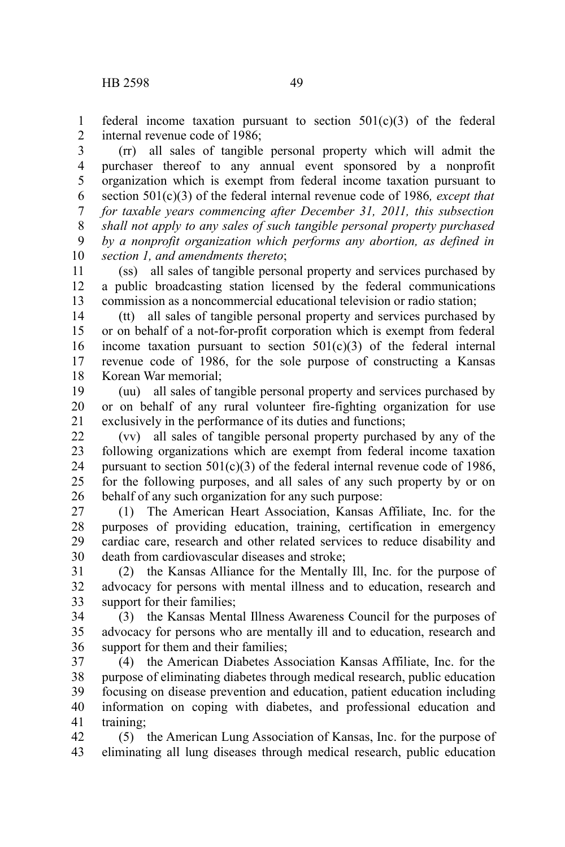federal income taxation pursuant to section 501(c)(3) of the federal internal revenue code of 1986; 1 2

(rr) all sales of tangible personal property which will admit the purchaser thereof to any annual event sponsored by a nonprofit organization which is exempt from federal income taxation pursuant to section 501(c)(3) of the federal internal revenue code of 1986*, except that for taxable years commencing after December 31, 2011, this subsection shall not apply to any sales of such tangible personal property purchased by a nonprofit organization which performs any abortion, as defined in section 1, and amendments thereto*; 3 4 5 6 7 8 9 10

(ss) all sales of tangible personal property and services purchased by a public broadcasting station licensed by the federal communications commission as a noncommercial educational television or radio station; 11 12 13

(tt) all sales of tangible personal property and services purchased by or on behalf of a not-for-profit corporation which is exempt from federal income taxation pursuant to section  $501(c)(3)$  of the federal internal revenue code of 1986, for the sole purpose of constructing a Kansas Korean War memorial; 14 15 16 17 18

(uu) all sales of tangible personal property and services purchased by or on behalf of any rural volunteer fire-fighting organization for use exclusively in the performance of its duties and functions; 19 20 21

(vv) all sales of tangible personal property purchased by any of the following organizations which are exempt from federal income taxation pursuant to section  $501(c)(3)$  of the federal internal revenue code of 1986, for the following purposes, and all sales of any such property by or on behalf of any such organization for any such purpose: 22 23 24 25 26

(1) The American Heart Association, Kansas Affiliate, Inc. for the purposes of providing education, training, certification in emergency cardiac care, research and other related services to reduce disability and death from cardiovascular diseases and stroke; 27 28 29 30

(2) the Kansas Alliance for the Mentally Ill, Inc. for the purpose of advocacy for persons with mental illness and to education, research and support for their families; 31 32 33

(3) the Kansas Mental Illness Awareness Council for the purposes of advocacy for persons who are mentally ill and to education, research and support for them and their families; 34 35 36

(4) the American Diabetes Association Kansas Affiliate, Inc. for the purpose of eliminating diabetes through medical research, public education focusing on disease prevention and education, patient education including information on coping with diabetes, and professional education and training; 37 38 39 40 41

(5) the American Lung Association of Kansas, Inc. for the purpose of eliminating all lung diseases through medical research, public education 42 43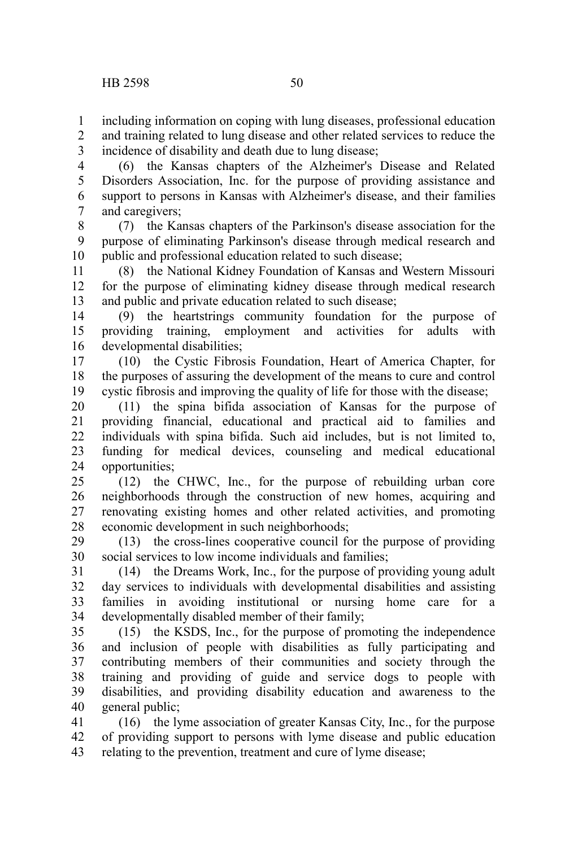including information on coping with lung diseases, professional education and training related to lung disease and other related services to reduce the incidence of disability and death due to lung disease; 1 2 3

(6) the Kansas chapters of the Alzheimer's Disease and Related Disorders Association, Inc. for the purpose of providing assistance and support to persons in Kansas with Alzheimer's disease, and their families and caregivers; 4 5 6 7

(7) the Kansas chapters of the Parkinson's disease association for the purpose of eliminating Parkinson's disease through medical research and public and professional education related to such disease; 8 9 10

(8) the National Kidney Foundation of Kansas and Western Missouri for the purpose of eliminating kidney disease through medical research and public and private education related to such disease; 11 12 13

(9) the heartstrings community foundation for the purpose of providing training, employment and activities for adults with developmental disabilities; 14 15 16

(10) the Cystic Fibrosis Foundation, Heart of America Chapter, for the purposes of assuring the development of the means to cure and control cystic fibrosis and improving the quality of life for those with the disease; 17 18 19

(11) the spina bifida association of Kansas for the purpose of providing financial, educational and practical aid to families and individuals with spina bifida. Such aid includes, but is not limited to, funding for medical devices, counseling and medical educational opportunities; 20 21 22 23 24

(12) the CHWC, Inc., for the purpose of rebuilding urban core neighborhoods through the construction of new homes, acquiring and renovating existing homes and other related activities, and promoting economic development in such neighborhoods; 25 26 27 28

(13) the cross-lines cooperative council for the purpose of providing social services to low income individuals and families; 29 30

(14) the Dreams Work, Inc., for the purpose of providing young adult day services to individuals with developmental disabilities and assisting families in avoiding institutional or nursing home care for a developmentally disabled member of their family; 31 32 33 34

(15) the KSDS, Inc., for the purpose of promoting the independence and inclusion of people with disabilities as fully participating and contributing members of their communities and society through the training and providing of guide and service dogs to people with disabilities, and providing disability education and awareness to the general public; 35 36 37 38 39 40

(16) the lyme association of greater Kansas City, Inc., for the purpose of providing support to persons with lyme disease and public education relating to the prevention, treatment and cure of lyme disease; 41 42 43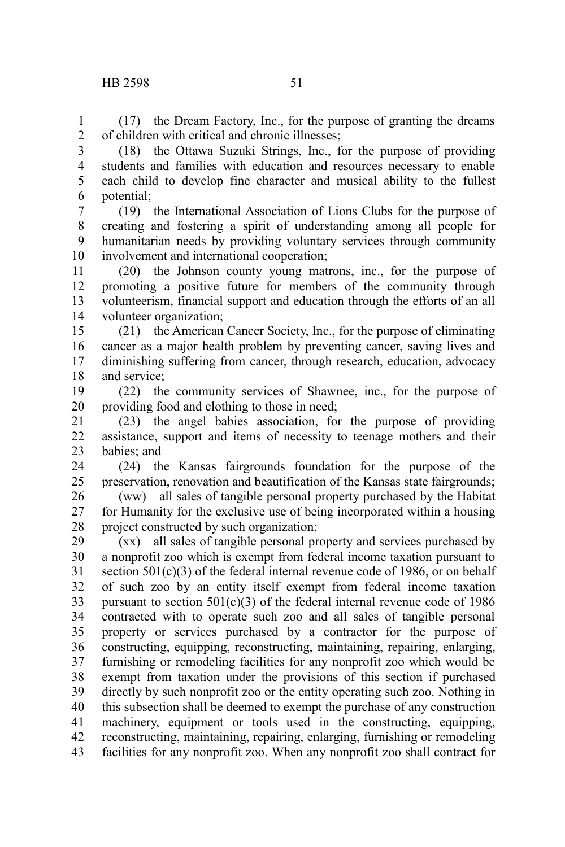(17) the Dream Factory, Inc., for the purpose of granting the dreams of children with critical and chronic illnesses; 1 2

(18) the Ottawa Suzuki Strings, Inc., for the purpose of providing students and families with education and resources necessary to enable each child to develop fine character and musical ability to the fullest potential; 3 4 5 6

(19) the International Association of Lions Clubs for the purpose of creating and fostering a spirit of understanding among all people for humanitarian needs by providing voluntary services through community involvement and international cooperation; 7 8 9 10

(20) the Johnson county young matrons, inc., for the purpose of promoting a positive future for members of the community through volunteerism, financial support and education through the efforts of an all volunteer organization; 11 12 13 14

(21) the American Cancer Society, Inc., for the purpose of eliminating cancer as a major health problem by preventing cancer, saving lives and diminishing suffering from cancer, through research, education, advocacy and service; 15 16 17 18

(22) the community services of Shawnee, inc., for the purpose of providing food and clothing to those in need; 19 20

(23) the angel babies association, for the purpose of providing assistance, support and items of necessity to teenage mothers and their babies; and 21 22 23

(24) the Kansas fairgrounds foundation for the purpose of the preservation, renovation and beautification of the Kansas state fairgrounds; 24 25

(ww) all sales of tangible personal property purchased by the Habitat for Humanity for the exclusive use of being incorporated within a housing project constructed by such organization; 26 27 28

(xx) all sales of tangible personal property and services purchased by a nonprofit zoo which is exempt from federal income taxation pursuant to section 501(c)(3) of the federal internal revenue code of 1986, or on behalf of such zoo by an entity itself exempt from federal income taxation pursuant to section  $501(c)(3)$  of the federal internal revenue code of 1986 contracted with to operate such zoo and all sales of tangible personal property or services purchased by a contractor for the purpose of constructing, equipping, reconstructing, maintaining, repairing, enlarging, furnishing or remodeling facilities for any nonprofit zoo which would be exempt from taxation under the provisions of this section if purchased directly by such nonprofit zoo or the entity operating such zoo. Nothing in this subsection shall be deemed to exempt the purchase of any construction machinery, equipment or tools used in the constructing, equipping, reconstructing, maintaining, repairing, enlarging, furnishing or remodeling facilities for any nonprofit zoo. When any nonprofit zoo shall contract for 29 30 31 32 33 34 35 36 37 38 39 40 41 42 43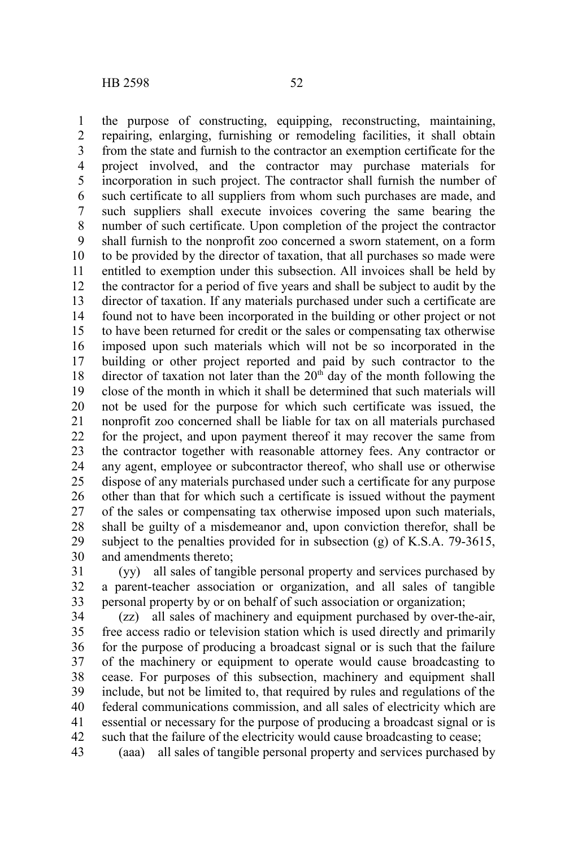the purpose of constructing, equipping, reconstructing, maintaining, repairing, enlarging, furnishing or remodeling facilities, it shall obtain from the state and furnish to the contractor an exemption certificate for the project involved, and the contractor may purchase materials for incorporation in such project. The contractor shall furnish the number of such certificate to all suppliers from whom such purchases are made, and such suppliers shall execute invoices covering the same bearing the number of such certificate. Upon completion of the project the contractor shall furnish to the nonprofit zoo concerned a sworn statement, on a form to be provided by the director of taxation, that all purchases so made were entitled to exemption under this subsection. All invoices shall be held by the contractor for a period of five years and shall be subject to audit by the director of taxation. If any materials purchased under such a certificate are found not to have been incorporated in the building or other project or not to have been returned for credit or the sales or compensating tax otherwise imposed upon such materials which will not be so incorporated in the building or other project reported and paid by such contractor to the director of taxation not later than the  $20<sup>th</sup>$  day of the month following the close of the month in which it shall be determined that such materials will not be used for the purpose for which such certificate was issued, the nonprofit zoo concerned shall be liable for tax on all materials purchased for the project, and upon payment thereof it may recover the same from the contractor together with reasonable attorney fees. Any contractor or any agent, employee or subcontractor thereof, who shall use or otherwise dispose of any materials purchased under such a certificate for any purpose other than that for which such a certificate is issued without the payment of the sales or compensating tax otherwise imposed upon such materials, shall be guilty of a misdemeanor and, upon conviction therefor, shall be subject to the penalties provided for in subsection (g) of K.S.A. 79-3615, and amendments thereto; 1 2 3 4 5 6 7 8 9 10 11 12 13 14 15 16 17 18 19 20 21 22 23 24 25 26 27 28 29 30

(yy) all sales of tangible personal property and services purchased by a parent-teacher association or organization, and all sales of tangible personal property by or on behalf of such association or organization; 31 32 33

(zz) all sales of machinery and equipment purchased by over-the-air, free access radio or television station which is used directly and primarily for the purpose of producing a broadcast signal or is such that the failure of the machinery or equipment to operate would cause broadcasting to cease. For purposes of this subsection, machinery and equipment shall include, but not be limited to, that required by rules and regulations of the federal communications commission, and all sales of electricity which are essential or necessary for the purpose of producing a broadcast signal or is such that the failure of the electricity would cause broadcasting to cease; 34 35 36 37 38 39 40 41 42

(aaa) all sales of tangible personal property and services purchased by 43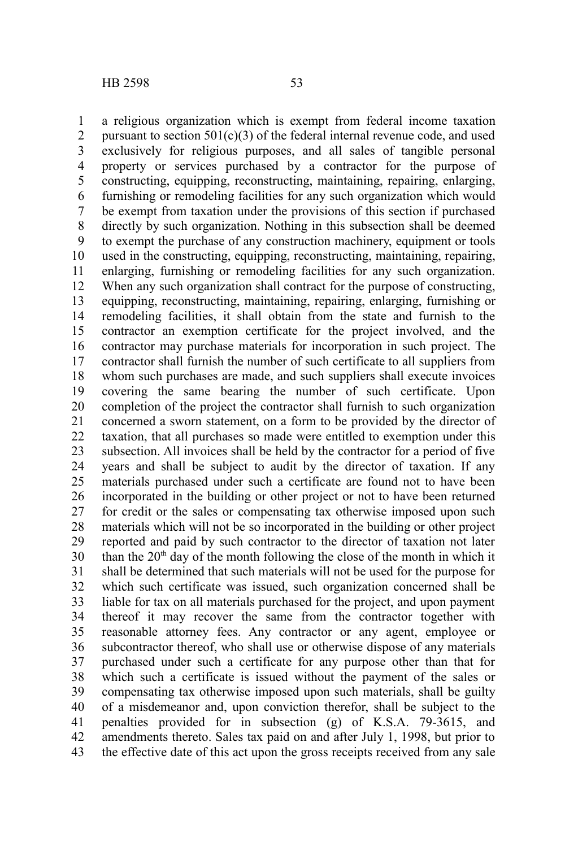a religious organization which is exempt from federal income taxation pursuant to section  $501(c)(3)$  of the federal internal revenue code, and used exclusively for religious purposes, and all sales of tangible personal property or services purchased by a contractor for the purpose of constructing, equipping, reconstructing, maintaining, repairing, enlarging, furnishing or remodeling facilities for any such organization which would be exempt from taxation under the provisions of this section if purchased directly by such organization. Nothing in this subsection shall be deemed to exempt the purchase of any construction machinery, equipment or tools used in the constructing, equipping, reconstructing, maintaining, repairing, enlarging, furnishing or remodeling facilities for any such organization. When any such organization shall contract for the purpose of constructing, equipping, reconstructing, maintaining, repairing, enlarging, furnishing or remodeling facilities, it shall obtain from the state and furnish to the contractor an exemption certificate for the project involved, and the contractor may purchase materials for incorporation in such project. The contractor shall furnish the number of such certificate to all suppliers from whom such purchases are made, and such suppliers shall execute invoices covering the same bearing the number of such certificate. Upon completion of the project the contractor shall furnish to such organization concerned a sworn statement, on a form to be provided by the director of taxation, that all purchases so made were entitled to exemption under this subsection. All invoices shall be held by the contractor for a period of five years and shall be subject to audit by the director of taxation. If any materials purchased under such a certificate are found not to have been incorporated in the building or other project or not to have been returned for credit or the sales or compensating tax otherwise imposed upon such materials which will not be so incorporated in the building or other project reported and paid by such contractor to the director of taxation not later than the  $20<sup>th</sup>$  day of the month following the close of the month in which it shall be determined that such materials will not be used for the purpose for which such certificate was issued, such organization concerned shall be liable for tax on all materials purchased for the project, and upon payment thereof it may recover the same from the contractor together with reasonable attorney fees. Any contractor or any agent, employee or subcontractor thereof, who shall use or otherwise dispose of any materials purchased under such a certificate for any purpose other than that for which such a certificate is issued without the payment of the sales or compensating tax otherwise imposed upon such materials, shall be guilty of a misdemeanor and, upon conviction therefor, shall be subject to the penalties provided for in subsection (g) of K.S.A. 79-3615, and amendments thereto. Sales tax paid on and after July 1, 1998, but prior to the effective date of this act upon the gross receipts received from any sale 1 2 3 4 5 6 7 8 9 10 11 12 13 14 15 16 17 18 19 20 21 22 23 24 25 26 27 28 29 30 31 32 33 34 35 36 37 38 39 40 41 42 43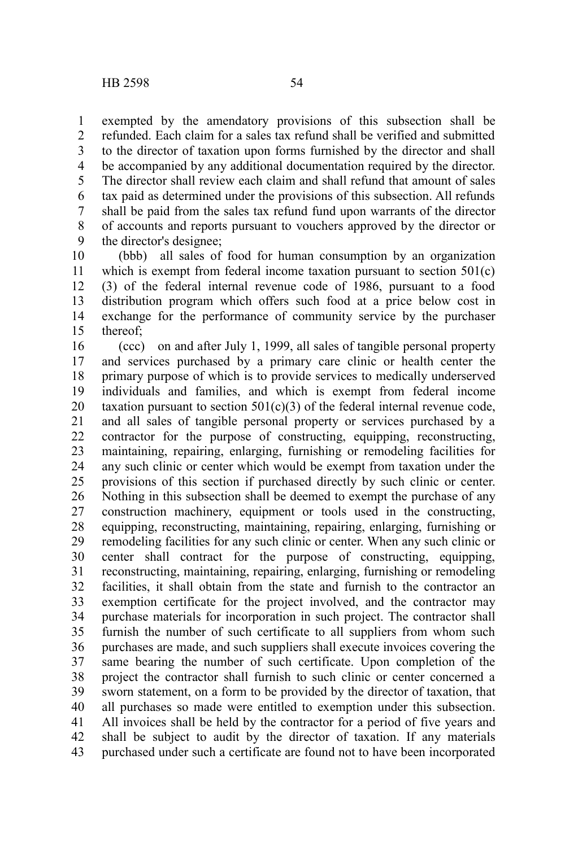1 2 exempted by the amendatory provisions of this subsection shall be refunded. Each claim for a sales tax refund shall be verified and submitted

to the director of taxation upon forms furnished by the director and shall be accompanied by any additional documentation required by the director. The director shall review each claim and shall refund that amount of sales tax paid as determined under the provisions of this subsection. All refunds shall be paid from the sales tax refund fund upon warrants of the director of accounts and reports pursuant to vouchers approved by the director or the director's designee; 3 4 5 6 7 8 9

(bbb) all sales of food for human consumption by an organization which is exempt from federal income taxation pursuant to section 501(c) (3) of the federal internal revenue code of 1986, pursuant to a food distribution program which offers such food at a price below cost in exchange for the performance of community service by the purchaser thereof; 10 11 12 13 14 15

(ccc) on and after July 1, 1999, all sales of tangible personal property and services purchased by a primary care clinic or health center the primary purpose of which is to provide services to medically underserved individuals and families, and which is exempt from federal income taxation pursuant to section  $501(c)(3)$  of the federal internal revenue code, and all sales of tangible personal property or services purchased by a contractor for the purpose of constructing, equipping, reconstructing, maintaining, repairing, enlarging, furnishing or remodeling facilities for any such clinic or center which would be exempt from taxation under the provisions of this section if purchased directly by such clinic or center. Nothing in this subsection shall be deemed to exempt the purchase of any construction machinery, equipment or tools used in the constructing, equipping, reconstructing, maintaining, repairing, enlarging, furnishing or remodeling facilities for any such clinic or center. When any such clinic or center shall contract for the purpose of constructing, equipping, reconstructing, maintaining, repairing, enlarging, furnishing or remodeling facilities, it shall obtain from the state and furnish to the contractor an exemption certificate for the project involved, and the contractor may purchase materials for incorporation in such project. The contractor shall furnish the number of such certificate to all suppliers from whom such purchases are made, and such suppliers shall execute invoices covering the same bearing the number of such certificate. Upon completion of the project the contractor shall furnish to such clinic or center concerned a sworn statement, on a form to be provided by the director of taxation, that all purchases so made were entitled to exemption under this subsection. All invoices shall be held by the contractor for a period of five years and shall be subject to audit by the director of taxation. If any materials purchased under such a certificate are found not to have been incorporated 16 17 18 19 20 21 22 23 24 25 26 27 28 29 30 31 32 33 34 35 36 37 38 39 40 41 42 43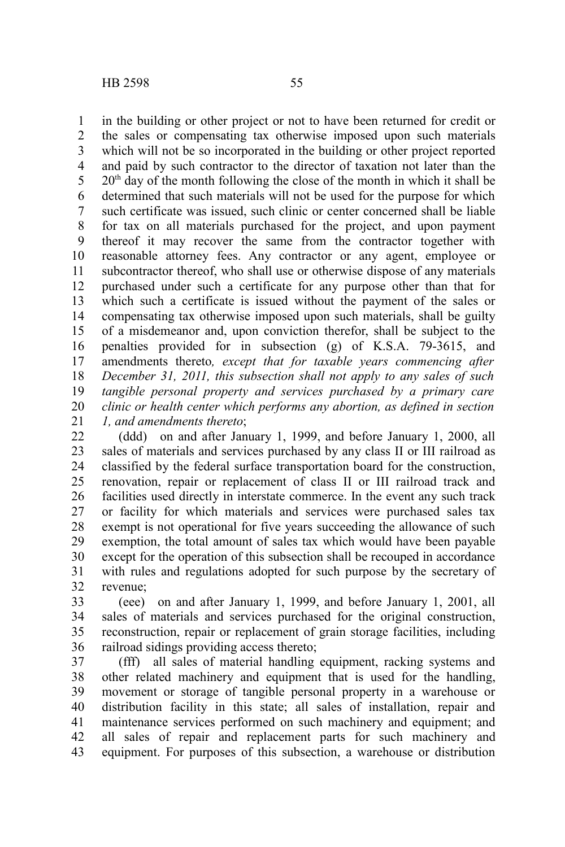in the building or other project or not to have been returned for credit or the sales or compensating tax otherwise imposed upon such materials which will not be so incorporated in the building or other project reported and paid by such contractor to the director of taxation not later than the  $20<sup>th</sup>$  day of the month following the close of the month in which it shall be determined that such materials will not be used for the purpose for which such certificate was issued, such clinic or center concerned shall be liable for tax on all materials purchased for the project, and upon payment thereof it may recover the same from the contractor together with reasonable attorney fees. Any contractor or any agent, employee or subcontractor thereof, who shall use or otherwise dispose of any materials purchased under such a certificate for any purpose other than that for which such a certificate is issued without the payment of the sales or compensating tax otherwise imposed upon such materials, shall be guilty of a misdemeanor and, upon conviction therefor, shall be subject to the penalties provided for in subsection (g) of K.S.A. 79-3615, and amendments thereto*, except that for taxable years commencing after December 31, 2011, this subsection shall not apply to any sales of such tangible personal property and services purchased by a primary care clinic or health center which performs any abortion, as defined in section 1, and amendments thereto*; 1 2 3 4 5 6 7 8 9 10 11 12 13 14 15 16 17 18 19 20 21

(ddd) on and after January 1, 1999, and before January 1, 2000, all sales of materials and services purchased by any class II or III railroad as classified by the federal surface transportation board for the construction, renovation, repair or replacement of class II or III railroad track and facilities used directly in interstate commerce. In the event any such track or facility for which materials and services were purchased sales tax exempt is not operational for five years succeeding the allowance of such exemption, the total amount of sales tax which would have been payable except for the operation of this subsection shall be recouped in accordance with rules and regulations adopted for such purpose by the secretary of revenue; 22 23 24 25 26 27 28 29 30 31 32

(eee) on and after January 1, 1999, and before January 1, 2001, all sales of materials and services purchased for the original construction, reconstruction, repair or replacement of grain storage facilities, including railroad sidings providing access thereto; 33 34 35 36

(fff) all sales of material handling equipment, racking systems and other related machinery and equipment that is used for the handling, movement or storage of tangible personal property in a warehouse or distribution facility in this state; all sales of installation, repair and maintenance services performed on such machinery and equipment; and all sales of repair and replacement parts for such machinery and equipment. For purposes of this subsection, a warehouse or distribution 37 38 39 40 41 42 43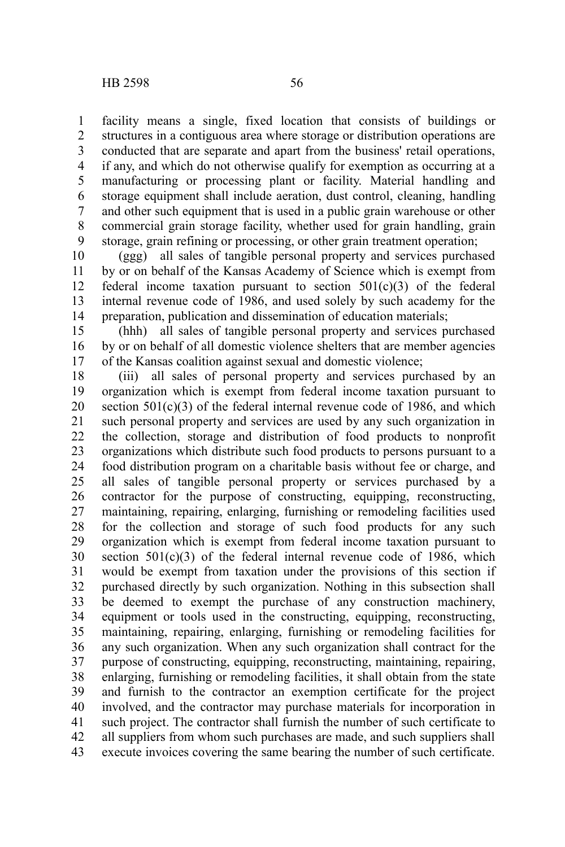facility means a single, fixed location that consists of buildings or structures in a contiguous area where storage or distribution operations are conducted that are separate and apart from the business' retail operations, if any, and which do not otherwise qualify for exemption as occurring at a manufacturing or processing plant or facility. Material handling and storage equipment shall include aeration, dust control, cleaning, handling and other such equipment that is used in a public grain warehouse or other commercial grain storage facility, whether used for grain handling, grain storage, grain refining or processing, or other grain treatment operation; 1 2 3 4 5 6 7 8 9

(ggg) all sales of tangible personal property and services purchased by or on behalf of the Kansas Academy of Science which is exempt from federal income taxation pursuant to section  $501(c)(3)$  of the federal internal revenue code of 1986, and used solely by such academy for the preparation, publication and dissemination of education materials; 10 11 12 13 14

(hhh) all sales of tangible personal property and services purchased by or on behalf of all domestic violence shelters that are member agencies of the Kansas coalition against sexual and domestic violence; 15 16 17

(iii) all sales of personal property and services purchased by an organization which is exempt from federal income taxation pursuant to section 501(c)(3) of the federal internal revenue code of 1986, and which such personal property and services are used by any such organization in the collection, storage and distribution of food products to nonprofit organizations which distribute such food products to persons pursuant to a food distribution program on a charitable basis without fee or charge, and all sales of tangible personal property or services purchased by a contractor for the purpose of constructing, equipping, reconstructing, maintaining, repairing, enlarging, furnishing or remodeling facilities used for the collection and storage of such food products for any such organization which is exempt from federal income taxation pursuant to section  $501(c)(3)$  of the federal internal revenue code of 1986, which would be exempt from taxation under the provisions of this section if purchased directly by such organization. Nothing in this subsection shall be deemed to exempt the purchase of any construction machinery, equipment or tools used in the constructing, equipping, reconstructing, maintaining, repairing, enlarging, furnishing or remodeling facilities for any such organization. When any such organization shall contract for the purpose of constructing, equipping, reconstructing, maintaining, repairing, enlarging, furnishing or remodeling facilities, it shall obtain from the state and furnish to the contractor an exemption certificate for the project involved, and the contractor may purchase materials for incorporation in such project. The contractor shall furnish the number of such certificate to all suppliers from whom such purchases are made, and such suppliers shall execute invoices covering the same bearing the number of such certificate. 18 19 20 21 22 23 24 25 26 27 28 29 30 31 32 33 34 35 36 37 38 39 40 41 42 43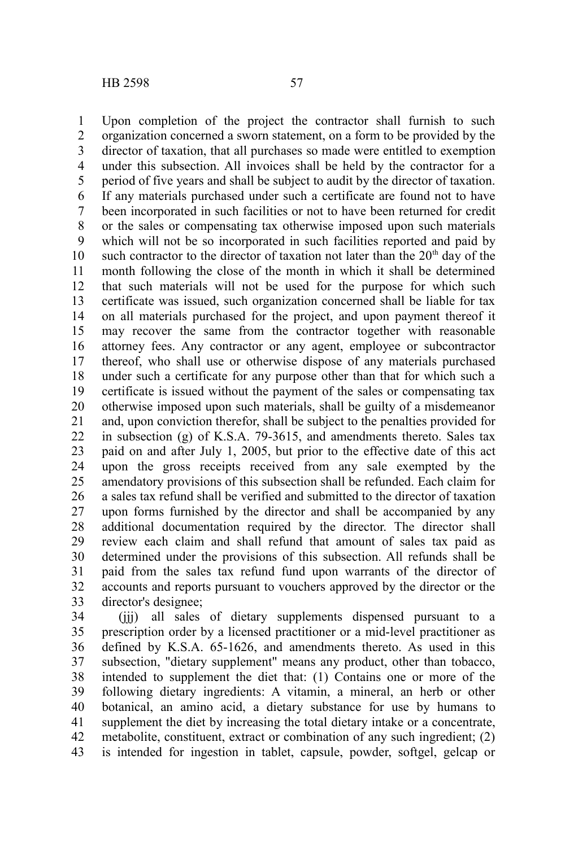Upon completion of the project the contractor shall furnish to such organization concerned a sworn statement, on a form to be provided by the director of taxation, that all purchases so made were entitled to exemption under this subsection. All invoices shall be held by the contractor for a period of five years and shall be subject to audit by the director of taxation. If any materials purchased under such a certificate are found not to have been incorporated in such facilities or not to have been returned for credit or the sales or compensating tax otherwise imposed upon such materials which will not be so incorporated in such facilities reported and paid by such contractor to the director of taxation not later than the  $20<sup>th</sup>$  day of the month following the close of the month in which it shall be determined that such materials will not be used for the purpose for which such certificate was issued, such organization concerned shall be liable for tax on all materials purchased for the project, and upon payment thereof it may recover the same from the contractor together with reasonable attorney fees. Any contractor or any agent, employee or subcontractor thereof, who shall use or otherwise dispose of any materials purchased under such a certificate for any purpose other than that for which such a certificate is issued without the payment of the sales or compensating tax otherwise imposed upon such materials, shall be guilty of a misdemeanor and, upon conviction therefor, shall be subject to the penalties provided for in subsection (g) of K.S.A. 79-3615, and amendments thereto. Sales tax paid on and after July 1, 2005, but prior to the effective date of this act upon the gross receipts received from any sale exempted by the amendatory provisions of this subsection shall be refunded. Each claim for a sales tax refund shall be verified and submitted to the director of taxation upon forms furnished by the director and shall be accompanied by any additional documentation required by the director. The director shall review each claim and shall refund that amount of sales tax paid as determined under the provisions of this subsection. All refunds shall be paid from the sales tax refund fund upon warrants of the director of accounts and reports pursuant to vouchers approved by the director or the director's designee; 1 2 3 4 5 6 7 8 9 10 11 12 13 14 15 16 17 18 19 20 21 22 23 24 25 26 27 28 29 30 31 32 33

(jjj) all sales of dietary supplements dispensed pursuant to a prescription order by a licensed practitioner or a mid-level practitioner as defined by K.S.A. 65-1626, and amendments thereto. As used in this subsection, "dietary supplement" means any product, other than tobacco, intended to supplement the diet that: (1) Contains one or more of the following dietary ingredients: A vitamin, a mineral, an herb or other botanical, an amino acid, a dietary substance for use by humans to supplement the diet by increasing the total dietary intake or a concentrate, metabolite, constituent, extract or combination of any such ingredient; (2) is intended for ingestion in tablet, capsule, powder, softgel, gelcap or 34 35 36 37 38 39 40 41 42 43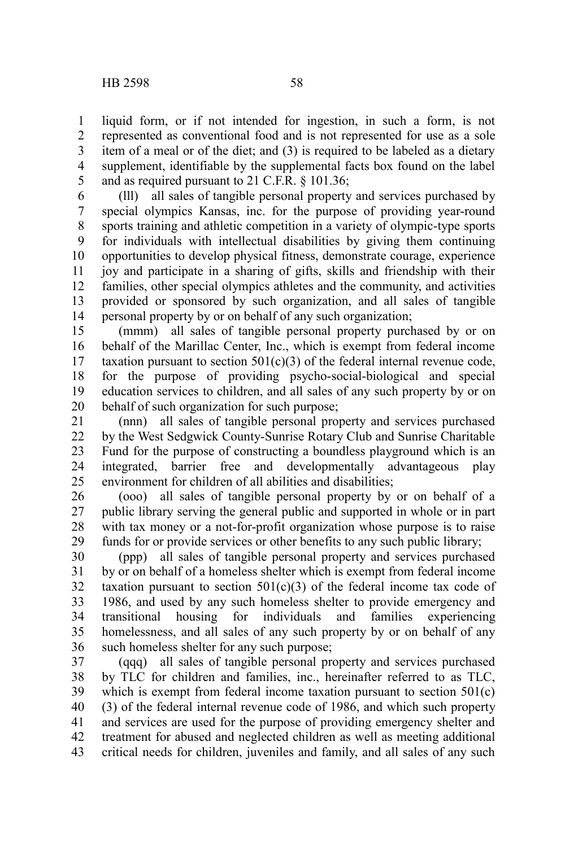liquid form, or if not intended for ingestion, in such a form, is not represented as conventional food and is not represented for use as a sole item of a meal or of the diet; and (3) is required to be labeled as a dietary supplement, identifiable by the supplemental facts box found on the label and as required pursuant to 21 C.F.R. § 101.36; 1 2 3 4 5

(lll) all sales of tangible personal property and services purchased by special olympics Kansas, inc. for the purpose of providing year-round sports training and athletic competition in a variety of olympic-type sports for individuals with intellectual disabilities by giving them continuing opportunities to develop physical fitness, demonstrate courage, experience joy and participate in a sharing of gifts, skills and friendship with their families, other special olympics athletes and the community, and activities provided or sponsored by such organization, and all sales of tangible personal property by or on behalf of any such organization; 6 7 8 9 10 11 12 13 14

(mmm) all sales of tangible personal property purchased by or on behalf of the Marillac Center, Inc., which is exempt from federal income taxation pursuant to section  $501(c)(3)$  of the federal internal revenue code, for the purpose of providing psycho-social-biological and special education services to children, and all sales of any such property by or on behalf of such organization for such purpose; 15 16 17 18 19 20

(nnn) all sales of tangible personal property and services purchased by the West Sedgwick County-Sunrise Rotary Club and Sunrise Charitable Fund for the purpose of constructing a boundless playground which is an integrated, barrier free and developmentally advantageous play environment for children of all abilities and disabilities; 21 22 23 24 25

(ooo) all sales of tangible personal property by or on behalf of a public library serving the general public and supported in whole or in part with tax money or a not-for-profit organization whose purpose is to raise funds for or provide services or other benefits to any such public library; 26 27 28 29

(ppp) all sales of tangible personal property and services purchased by or on behalf of a homeless shelter which is exempt from federal income taxation pursuant to section  $501(c)(3)$  of the federal income tax code of 1986, and used by any such homeless shelter to provide emergency and transitional housing for individuals and families experiencing homelessness, and all sales of any such property by or on behalf of any such homeless shelter for any such purpose; 30 31 32 33 34 35 36

(qqq) all sales of tangible personal property and services purchased by TLC for children and families, inc., hereinafter referred to as TLC, which is exempt from federal income taxation pursuant to section  $501(c)$ (3) of the federal internal revenue code of 1986, and which such property and services are used for the purpose of providing emergency shelter and treatment for abused and neglected children as well as meeting additional critical needs for children, juveniles and family, and all sales of any such 37 38 39 40 41 42 43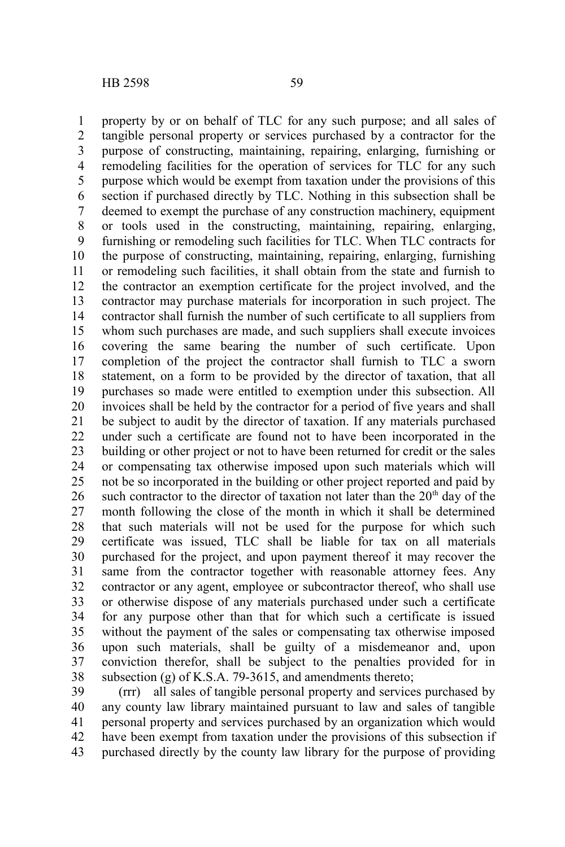property by or on behalf of TLC for any such purpose; and all sales of tangible personal property or services purchased by a contractor for the purpose of constructing, maintaining, repairing, enlarging, furnishing or remodeling facilities for the operation of services for TLC for any such purpose which would be exempt from taxation under the provisions of this section if purchased directly by TLC. Nothing in this subsection shall be deemed to exempt the purchase of any construction machinery, equipment or tools used in the constructing, maintaining, repairing, enlarging, furnishing or remodeling such facilities for TLC. When TLC contracts for the purpose of constructing, maintaining, repairing, enlarging, furnishing or remodeling such facilities, it shall obtain from the state and furnish to the contractor an exemption certificate for the project involved, and the contractor may purchase materials for incorporation in such project. The contractor shall furnish the number of such certificate to all suppliers from whom such purchases are made, and such suppliers shall execute invoices covering the same bearing the number of such certificate. Upon completion of the project the contractor shall furnish to TLC a sworn statement, on a form to be provided by the director of taxation, that all purchases so made were entitled to exemption under this subsection. All invoices shall be held by the contractor for a period of five years and shall be subject to audit by the director of taxation. If any materials purchased under such a certificate are found not to have been incorporated in the building or other project or not to have been returned for credit or the sales or compensating tax otherwise imposed upon such materials which will not be so incorporated in the building or other project reported and paid by such contractor to the director of taxation not later than the  $20<sup>th</sup>$  day of the month following the close of the month in which it shall be determined that such materials will not be used for the purpose for which such certificate was issued, TLC shall be liable for tax on all materials purchased for the project, and upon payment thereof it may recover the same from the contractor together with reasonable attorney fees. Any contractor or any agent, employee or subcontractor thereof, who shall use or otherwise dispose of any materials purchased under such a certificate for any purpose other than that for which such a certificate is issued without the payment of the sales or compensating tax otherwise imposed upon such materials, shall be guilty of a misdemeanor and, upon conviction therefor, shall be subject to the penalties provided for in subsection (g) of K.S.A. 79-3615, and amendments thereto; 1 2 3 4 5 6 7 8 9 10 11 12 13 14 15 16 17 18 19 20 21 22 23 24 25 26 27 28 29 30 31 32 33 34 35 36 37 38

(rrr) all sales of tangible personal property and services purchased by any county law library maintained pursuant to law and sales of tangible personal property and services purchased by an organization which would have been exempt from taxation under the provisions of this subsection if purchased directly by the county law library for the purpose of providing 39 40 41 42 43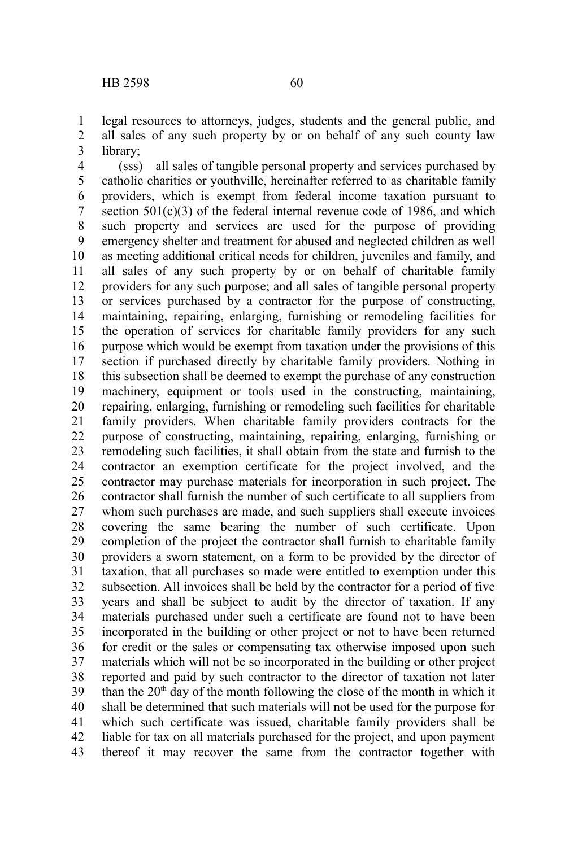legal resources to attorneys, judges, students and the general public, and all sales of any such property by or on behalf of any such county law library; 1 2 3

(sss) all sales of tangible personal property and services purchased by catholic charities or youthville, hereinafter referred to as charitable family providers, which is exempt from federal income taxation pursuant to section  $501(c)(3)$  of the federal internal revenue code of 1986, and which such property and services are used for the purpose of providing emergency shelter and treatment for abused and neglected children as well as meeting additional critical needs for children, juveniles and family, and all sales of any such property by or on behalf of charitable family providers for any such purpose; and all sales of tangible personal property or services purchased by a contractor for the purpose of constructing, maintaining, repairing, enlarging, furnishing or remodeling facilities for the operation of services for charitable family providers for any such purpose which would be exempt from taxation under the provisions of this section if purchased directly by charitable family providers. Nothing in this subsection shall be deemed to exempt the purchase of any construction machinery, equipment or tools used in the constructing, maintaining, repairing, enlarging, furnishing or remodeling such facilities for charitable family providers. When charitable family providers contracts for the purpose of constructing, maintaining, repairing, enlarging, furnishing or remodeling such facilities, it shall obtain from the state and furnish to the contractor an exemption certificate for the project involved, and the contractor may purchase materials for incorporation in such project. The contractor shall furnish the number of such certificate to all suppliers from whom such purchases are made, and such suppliers shall execute invoices covering the same bearing the number of such certificate. Upon completion of the project the contractor shall furnish to charitable family providers a sworn statement, on a form to be provided by the director of taxation, that all purchases so made were entitled to exemption under this subsection. All invoices shall be held by the contractor for a period of five years and shall be subject to audit by the director of taxation. If any materials purchased under such a certificate are found not to have been incorporated in the building or other project or not to have been returned for credit or the sales or compensating tax otherwise imposed upon such materials which will not be so incorporated in the building or other project reported and paid by such contractor to the director of taxation not later than the  $20<sup>th</sup>$  day of the month following the close of the month in which it shall be determined that such materials will not be used for the purpose for which such certificate was issued, charitable family providers shall be liable for tax on all materials purchased for the project, and upon payment thereof it may recover the same from the contractor together with 4 5 6 7 8 9 10 11 12 13 14 15 16 17 18 19 20 21 22 23 24 25 26 27 28 29 30 31 32 33 34 35 36 37 38 39 40 41 42 43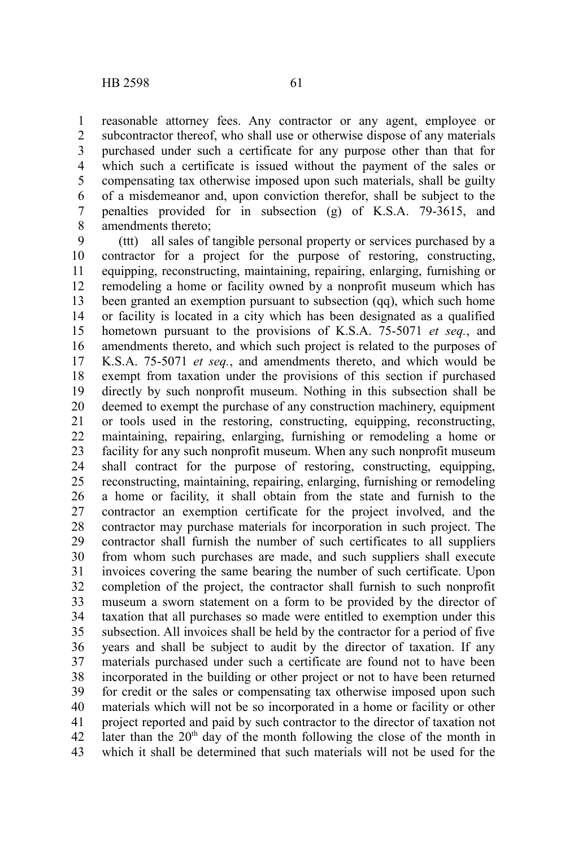reasonable attorney fees. Any contractor or any agent, employee or subcontractor thereof, who shall use or otherwise dispose of any materials purchased under such a certificate for any purpose other than that for which such a certificate is issued without the payment of the sales or compensating tax otherwise imposed upon such materials, shall be guilty of a misdemeanor and, upon conviction therefor, shall be subject to the penalties provided for in subsection (g) of K.S.A. 79-3615, and amendments thereto; 1 2 3 4 5 6 7 8

(ttt) all sales of tangible personal property or services purchased by a contractor for a project for the purpose of restoring, constructing, equipping, reconstructing, maintaining, repairing, enlarging, furnishing or remodeling a home or facility owned by a nonprofit museum which has been granted an exemption pursuant to subsection (qq), which such home or facility is located in a city which has been designated as a qualified hometown pursuant to the provisions of K.S.A. 75-5071 *et seq.*, and amendments thereto, and which such project is related to the purposes of K.S.A. 75-5071 *et seq.*, and amendments thereto, and which would be exempt from taxation under the provisions of this section if purchased directly by such nonprofit museum. Nothing in this subsection shall be deemed to exempt the purchase of any construction machinery, equipment or tools used in the restoring, constructing, equipping, reconstructing, maintaining, repairing, enlarging, furnishing or remodeling a home or facility for any such nonprofit museum. When any such nonprofit museum shall contract for the purpose of restoring, constructing, equipping, reconstructing, maintaining, repairing, enlarging, furnishing or remodeling a home or facility, it shall obtain from the state and furnish to the contractor an exemption certificate for the project involved, and the contractor may purchase materials for incorporation in such project. The contractor shall furnish the number of such certificates to all suppliers from whom such purchases are made, and such suppliers shall execute invoices covering the same bearing the number of such certificate. Upon completion of the project, the contractor shall furnish to such nonprofit museum a sworn statement on a form to be provided by the director of taxation that all purchases so made were entitled to exemption under this subsection. All invoices shall be held by the contractor for a period of five years and shall be subject to audit by the director of taxation. If any materials purchased under such a certificate are found not to have been incorporated in the building or other project or not to have been returned for credit or the sales or compensating tax otherwise imposed upon such materials which will not be so incorporated in a home or facility or other project reported and paid by such contractor to the director of taxation not later than the  $20<sup>th</sup>$  day of the month following the close of the month in which it shall be determined that such materials will not be used for the 9 10 11 12 13 14 15 16 17 18 19 20 21 22 23 24 25 26 27 28 29 30 31 32 33 34 35 36 37 38 39 40 41 42 43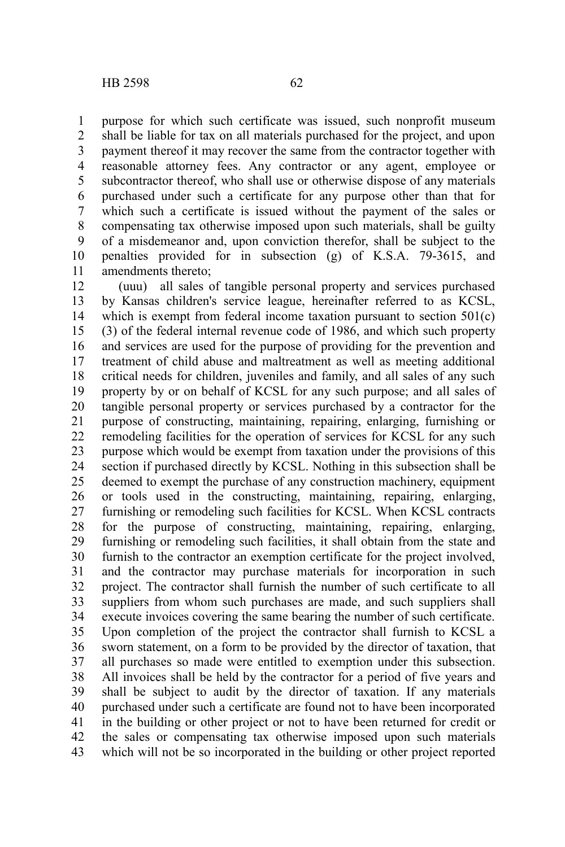purpose for which such certificate was issued, such nonprofit museum shall be liable for tax on all materials purchased for the project, and upon payment thereof it may recover the same from the contractor together with reasonable attorney fees. Any contractor or any agent, employee or subcontractor thereof, who shall use or otherwise dispose of any materials purchased under such a certificate for any purpose other than that for which such a certificate is issued without the payment of the sales or compensating tax otherwise imposed upon such materials, shall be guilty of a misdemeanor and, upon conviction therefor, shall be subject to the penalties provided for in subsection (g) of K.S.A. 79-3615, and amendments thereto; 1 2 3 4 5 6 7 8 9 10 11

(uuu) all sales of tangible personal property and services purchased by Kansas children's service league, hereinafter referred to as KCSL, which is exempt from federal income taxation pursuant to section 501(c) (3) of the federal internal revenue code of 1986, and which such property and services are used for the purpose of providing for the prevention and treatment of child abuse and maltreatment as well as meeting additional critical needs for children, juveniles and family, and all sales of any such property by or on behalf of KCSL for any such purpose; and all sales of tangible personal property or services purchased by a contractor for the purpose of constructing, maintaining, repairing, enlarging, furnishing or remodeling facilities for the operation of services for KCSL for any such purpose which would be exempt from taxation under the provisions of this section if purchased directly by KCSL. Nothing in this subsection shall be deemed to exempt the purchase of any construction machinery, equipment or tools used in the constructing, maintaining, repairing, enlarging, furnishing or remodeling such facilities for KCSL. When KCSL contracts for the purpose of constructing, maintaining, repairing, enlarging, furnishing or remodeling such facilities, it shall obtain from the state and furnish to the contractor an exemption certificate for the project involved, and the contractor may purchase materials for incorporation in such project. The contractor shall furnish the number of such certificate to all suppliers from whom such purchases are made, and such suppliers shall execute invoices covering the same bearing the number of such certificate. Upon completion of the project the contractor shall furnish to KCSL a sworn statement, on a form to be provided by the director of taxation, that all purchases so made were entitled to exemption under this subsection. All invoices shall be held by the contractor for a period of five years and shall be subject to audit by the director of taxation. If any materials purchased under such a certificate are found not to have been incorporated in the building or other project or not to have been returned for credit or the sales or compensating tax otherwise imposed upon such materials which will not be so incorporated in the building or other project reported 12 13 14 15 16 17 18 19 20 21 22 23 24 25 26 27 28 29 30 31 32 33 34 35 36 37 38 39 40 41 42 43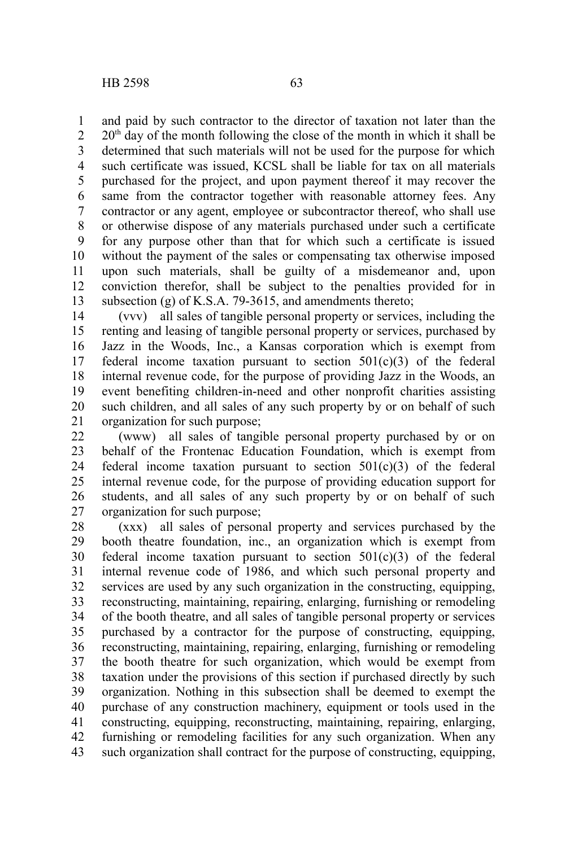and paid by such contractor to the director of taxation not later than the  $20<sup>th</sup>$  day of the month following the close of the month in which it shall be determined that such materials will not be used for the purpose for which such certificate was issued, KCSL shall be liable for tax on all materials purchased for the project, and upon payment thereof it may recover the same from the contractor together with reasonable attorney fees. Any contractor or any agent, employee or subcontractor thereof, who shall use or otherwise dispose of any materials purchased under such a certificate for any purpose other than that for which such a certificate is issued without the payment of the sales or compensating tax otherwise imposed upon such materials, shall be guilty of a misdemeanor and, upon conviction therefor, shall be subject to the penalties provided for in subsection (g) of K.S.A. 79-3615, and amendments thereto; 1 2 3 4 5 6 7 8 9 10 11 12 13

(vvv) all sales of tangible personal property or services, including the renting and leasing of tangible personal property or services, purchased by Jazz in the Woods, Inc., a Kansas corporation which is exempt from federal income taxation pursuant to section  $501(c)(3)$  of the federal internal revenue code, for the purpose of providing Jazz in the Woods, an event benefiting children-in-need and other nonprofit charities assisting such children, and all sales of any such property by or on behalf of such organization for such purpose; 14 15 16 17 18 19 20 21

(www) all sales of tangible personal property purchased by or on behalf of the Frontenac Education Foundation, which is exempt from federal income taxation pursuant to section  $501(c)(3)$  of the federal internal revenue code, for the purpose of providing education support for students, and all sales of any such property by or on behalf of such organization for such purpose; 22 23 24 25 26 27

(xxx) all sales of personal property and services purchased by the booth theatre foundation, inc., an organization which is exempt from federal income taxation pursuant to section  $501(c)(3)$  of the federal internal revenue code of 1986, and which such personal property and services are used by any such organization in the constructing, equipping, reconstructing, maintaining, repairing, enlarging, furnishing or remodeling of the booth theatre, and all sales of tangible personal property or services purchased by a contractor for the purpose of constructing, equipping, reconstructing, maintaining, repairing, enlarging, furnishing or remodeling the booth theatre for such organization, which would be exempt from taxation under the provisions of this section if purchased directly by such organization. Nothing in this subsection shall be deemed to exempt the purchase of any construction machinery, equipment or tools used in the constructing, equipping, reconstructing, maintaining, repairing, enlarging, furnishing or remodeling facilities for any such organization. When any such organization shall contract for the purpose of constructing, equipping, 28 29 30 31 32 33 34 35 36 37 38 39 40 41 42 43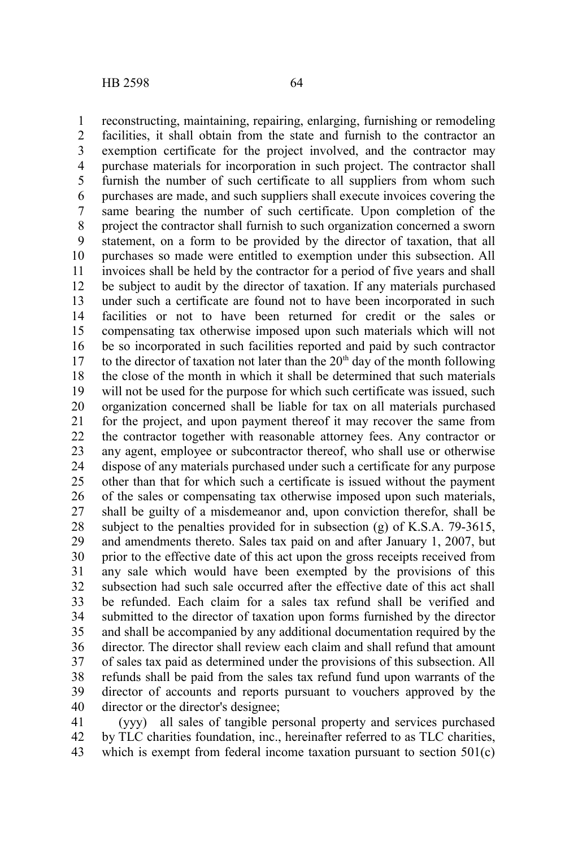reconstructing, maintaining, repairing, enlarging, furnishing or remodeling facilities, it shall obtain from the state and furnish to the contractor an exemption certificate for the project involved, and the contractor may purchase materials for incorporation in such project. The contractor shall furnish the number of such certificate to all suppliers from whom such purchases are made, and such suppliers shall execute invoices covering the same bearing the number of such certificate. Upon completion of the project the contractor shall furnish to such organization concerned a sworn statement, on a form to be provided by the director of taxation, that all purchases so made were entitled to exemption under this subsection. All invoices shall be held by the contractor for a period of five years and shall be subject to audit by the director of taxation. If any materials purchased under such a certificate are found not to have been incorporated in such facilities or not to have been returned for credit or the sales or compensating tax otherwise imposed upon such materials which will not be so incorporated in such facilities reported and paid by such contractor to the director of taxation not later than the  $20<sup>th</sup>$  day of the month following the close of the month in which it shall be determined that such materials will not be used for the purpose for which such certificate was issued, such organization concerned shall be liable for tax on all materials purchased for the project, and upon payment thereof it may recover the same from the contractor together with reasonable attorney fees. Any contractor or any agent, employee or subcontractor thereof, who shall use or otherwise dispose of any materials purchased under such a certificate for any purpose other than that for which such a certificate is issued without the payment of the sales or compensating tax otherwise imposed upon such materials, shall be guilty of a misdemeanor and, upon conviction therefor, shall be subject to the penalties provided for in subsection (g) of K.S.A. 79-3615, and amendments thereto. Sales tax paid on and after January 1, 2007, but prior to the effective date of this act upon the gross receipts received from any sale which would have been exempted by the provisions of this subsection had such sale occurred after the effective date of this act shall be refunded. Each claim for a sales tax refund shall be verified and submitted to the director of taxation upon forms furnished by the director and shall be accompanied by any additional documentation required by the director. The director shall review each claim and shall refund that amount of sales tax paid as determined under the provisions of this subsection. All refunds shall be paid from the sales tax refund fund upon warrants of the director of accounts and reports pursuant to vouchers approved by the director or the director's designee; 1 2 3 4 5 6 7 8 9 10 11 12 13 14 15 16 17 18 19 20 21 22 23 24 25 26 27 28 29 30 31 32 33 34 35 36 37 38 39 40

(yyy) all sales of tangible personal property and services purchased by TLC charities foundation, inc., hereinafter referred to as TLC charities, which is exempt from federal income taxation pursuant to section 501(c) 41 42 43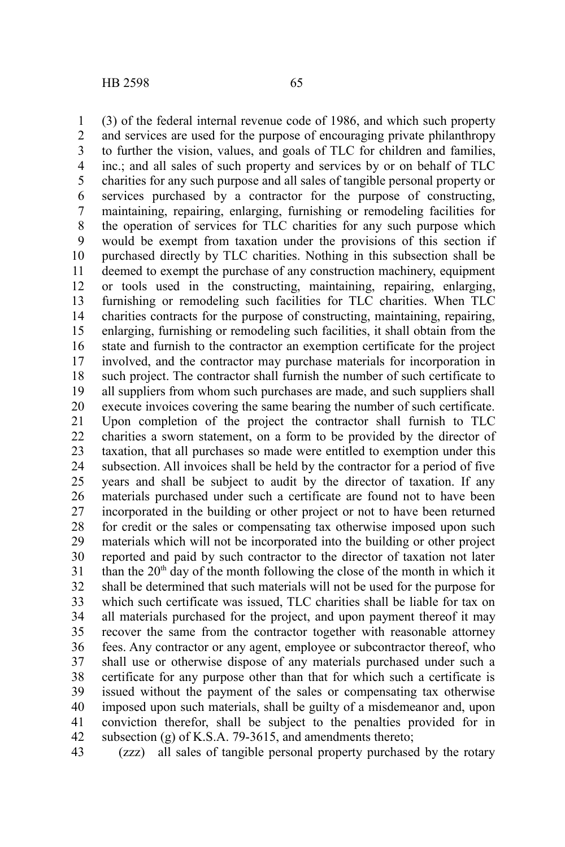(3) of the federal internal revenue code of 1986, and which such property and services are used for the purpose of encouraging private philanthropy to further the vision, values, and goals of TLC for children and families, inc.; and all sales of such property and services by or on behalf of TLC charities for any such purpose and all sales of tangible personal property or services purchased by a contractor for the purpose of constructing, maintaining, repairing, enlarging, furnishing or remodeling facilities for the operation of services for TLC charities for any such purpose which would be exempt from taxation under the provisions of this section if purchased directly by TLC charities. Nothing in this subsection shall be deemed to exempt the purchase of any construction machinery, equipment or tools used in the constructing, maintaining, repairing, enlarging, furnishing or remodeling such facilities for TLC charities. When TLC charities contracts for the purpose of constructing, maintaining, repairing, enlarging, furnishing or remodeling such facilities, it shall obtain from the state and furnish to the contractor an exemption certificate for the project involved, and the contractor may purchase materials for incorporation in such project. The contractor shall furnish the number of such certificate to all suppliers from whom such purchases are made, and such suppliers shall execute invoices covering the same bearing the number of such certificate. Upon completion of the project the contractor shall furnish to TLC charities a sworn statement, on a form to be provided by the director of taxation, that all purchases so made were entitled to exemption under this subsection. All invoices shall be held by the contractor for a period of five years and shall be subject to audit by the director of taxation. If any materials purchased under such a certificate are found not to have been incorporated in the building or other project or not to have been returned for credit or the sales or compensating tax otherwise imposed upon such materials which will not be incorporated into the building or other project reported and paid by such contractor to the director of taxation not later than the  $20<sup>th</sup>$  day of the month following the close of the month in which it shall be determined that such materials will not be used for the purpose for which such certificate was issued, TLC charities shall be liable for tax on all materials purchased for the project, and upon payment thereof it may recover the same from the contractor together with reasonable attorney fees. Any contractor or any agent, employee or subcontractor thereof, who shall use or otherwise dispose of any materials purchased under such a certificate for any purpose other than that for which such a certificate is issued without the payment of the sales or compensating tax otherwise imposed upon such materials, shall be guilty of a misdemeanor and, upon conviction therefor, shall be subject to the penalties provided for in subsection (g) of K.S.A. 79-3615, and amendments thereto; 1 2 3 4 5 6 7 8 9 10 11 12 13 14 15 16 17 18 19 20 21 22 23 24 25 26 27 28 29 30 31 32 33 34 35 36 37 38 39 40 41 42

(zzz) all sales of tangible personal property purchased by the rotary 43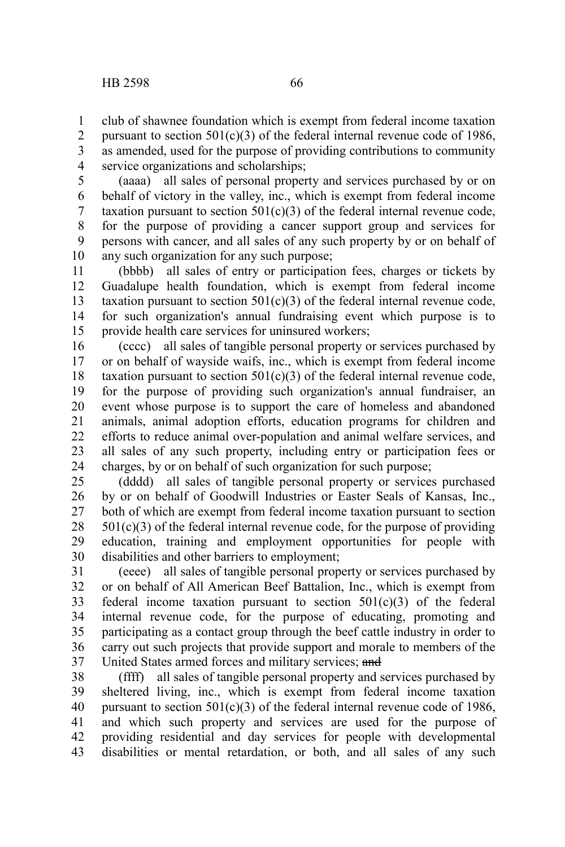club of shawnee foundation which is exempt from federal income taxation 1

pursuant to section  $501(c)(3)$  of the federal internal revenue code of 1986, as amended, used for the purpose of providing contributions to community service organizations and scholarships; 2 3 4

(aaaa) all sales of personal property and services purchased by or on behalf of victory in the valley, inc., which is exempt from federal income taxation pursuant to section  $501(c)(3)$  of the federal internal revenue code, for the purpose of providing a cancer support group and services for persons with cancer, and all sales of any such property by or on behalf of any such organization for any such purpose; 5 6 7 8 9 10

(bbbb) all sales of entry or participation fees, charges or tickets by Guadalupe health foundation, which is exempt from federal income taxation pursuant to section  $501(c)(3)$  of the federal internal revenue code, for such organization's annual fundraising event which purpose is to provide health care services for uninsured workers; 11 12 13 14 15

(cccc) all sales of tangible personal property or services purchased by or on behalf of wayside waifs, inc., which is exempt from federal income taxation pursuant to section  $501(c)(3)$  of the federal internal revenue code, for the purpose of providing such organization's annual fundraiser, an event whose purpose is to support the care of homeless and abandoned animals, animal adoption efforts, education programs for children and efforts to reduce animal over-population and animal welfare services, and all sales of any such property, including entry or participation fees or charges, by or on behalf of such organization for such purpose; 16 17 18 19 20 21 22 23 24

(dddd) all sales of tangible personal property or services purchased by or on behalf of Goodwill Industries or Easter Seals of Kansas, Inc., both of which are exempt from federal income taxation pursuant to section  $501(c)(3)$  of the federal internal revenue code, for the purpose of providing education, training and employment opportunities for people with disabilities and other barriers to employment; 25 26 27 28 29 30

(eeee) all sales of tangible personal property or services purchased by or on behalf of All American Beef Battalion, Inc., which is exempt from federal income taxation pursuant to section  $501(c)(3)$  of the federal internal revenue code, for the purpose of educating, promoting and participating as a contact group through the beef cattle industry in order to carry out such projects that provide support and morale to members of the United States armed forces and military services; and 31 32 33 34 35 36 37

(ffff) all sales of tangible personal property and services purchased by sheltered living, inc., which is exempt from federal income taxation pursuant to section  $501(c)(3)$  of the federal internal revenue code of 1986, and which such property and services are used for the purpose of providing residential and day services for people with developmental disabilities or mental retardation, or both, and all sales of any such 38 39 40 41 42 43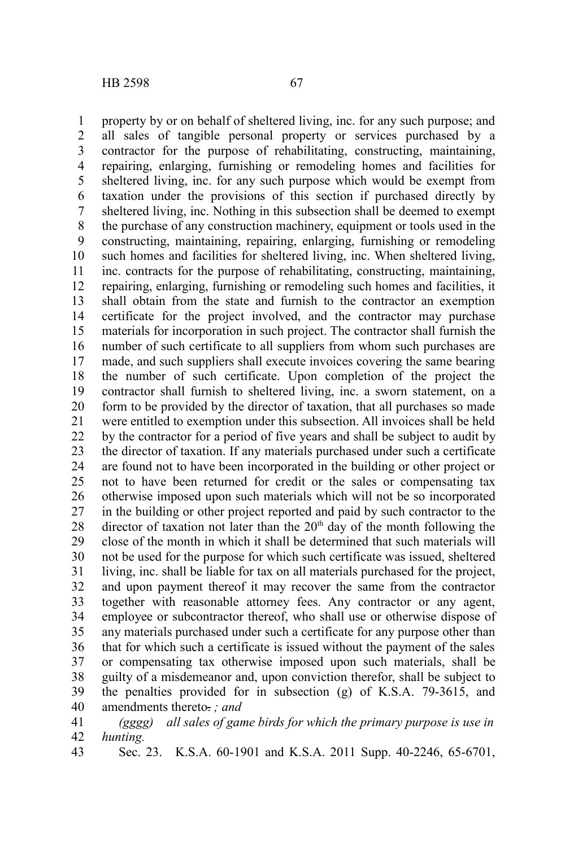property by or on behalf of sheltered living, inc. for any such purpose; and all sales of tangible personal property or services purchased by a contractor for the purpose of rehabilitating, constructing, maintaining, repairing, enlarging, furnishing or remodeling homes and facilities for sheltered living, inc. for any such purpose which would be exempt from taxation under the provisions of this section if purchased directly by sheltered living, inc. Nothing in this subsection shall be deemed to exempt the purchase of any construction machinery, equipment or tools used in the constructing, maintaining, repairing, enlarging, furnishing or remodeling such homes and facilities for sheltered living, inc. When sheltered living, inc. contracts for the purpose of rehabilitating, constructing, maintaining, repairing, enlarging, furnishing or remodeling such homes and facilities, it shall obtain from the state and furnish to the contractor an exemption certificate for the project involved, and the contractor may purchase materials for incorporation in such project. The contractor shall furnish the number of such certificate to all suppliers from whom such purchases are made, and such suppliers shall execute invoices covering the same bearing the number of such certificate. Upon completion of the project the contractor shall furnish to sheltered living, inc. a sworn statement, on a form to be provided by the director of taxation, that all purchases so made were entitled to exemption under this subsection. All invoices shall be held by the contractor for a period of five years and shall be subject to audit by the director of taxation. If any materials purchased under such a certificate are found not to have been incorporated in the building or other project or not to have been returned for credit or the sales or compensating tax otherwise imposed upon such materials which will not be so incorporated in the building or other project reported and paid by such contractor to the director of taxation not later than the  $20<sup>th</sup>$  day of the month following the close of the month in which it shall be determined that such materials will not be used for the purpose for which such certificate was issued, sheltered living, inc. shall be liable for tax on all materials purchased for the project, and upon payment thereof it may recover the same from the contractor together with reasonable attorney fees. Any contractor or any agent, employee or subcontractor thereof, who shall use or otherwise dispose of any materials purchased under such a certificate for any purpose other than that for which such a certificate is issued without the payment of the sales or compensating tax otherwise imposed upon such materials, shall be guilty of a misdemeanor and, upon conviction therefor, shall be subject to the penalties provided for in subsection (g) of K.S.A. 79-3615, and amendments thereto. *; and* 1 2 3 4 5 6 7 8 9 10 11 12 13 14 15 16 17 18 19 20 21 22 23 24 25 26 27 28 29 30 31 32 33 34 35 36 37 38 39 40

*(gggg) all sales of game birds for which the primary purpose is use in hunting.* 41 42

Sec. 23. K.S.A. 60-1901 and K.S.A. 2011 Supp. 40-2246, 65-6701, 43